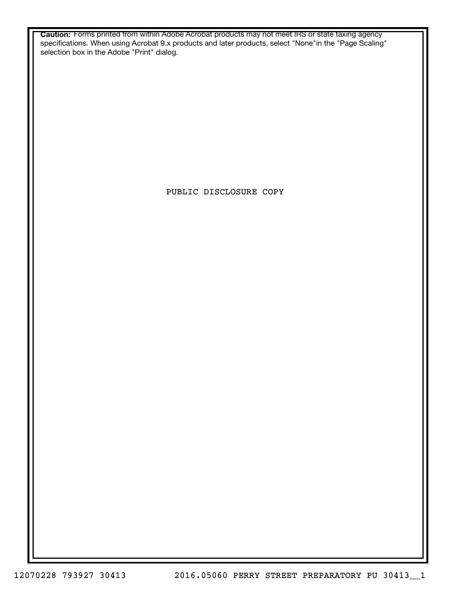**Caution:** Forms printed from within Adobe Acrobat products may not meet IRS or state taxing agency specifications. When using Acrobat 9.x products and later products, select "None"in the "Page Scaling" selection box in the Adobe "Print" dialog.

PUBLIC DISCLOSURE COPY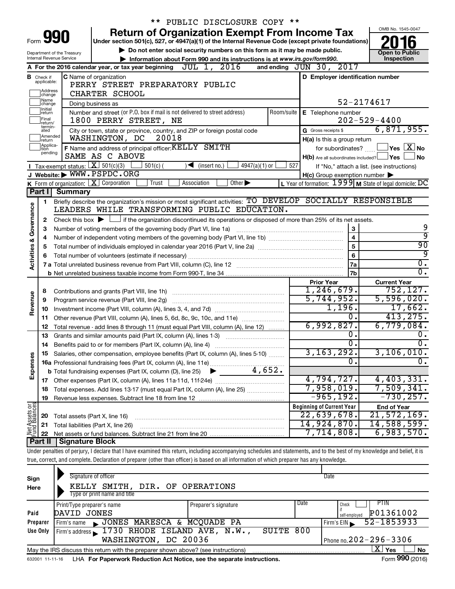|                                |                               |                                | ** PUBLIC DISCLOSURE COPY **                                                                                                                                               |     |                                                         |                                                                        |  |  |  |
|--------------------------------|-------------------------------|--------------------------------|----------------------------------------------------------------------------------------------------------------------------------------------------------------------------|-----|---------------------------------------------------------|------------------------------------------------------------------------|--|--|--|
|                                |                               | Form 990                       | <b>Return of Organization Exempt From Income Tax</b>                                                                                                                       |     |                                                         | OMB No. 1545-0047                                                      |  |  |  |
|                                |                               |                                | Under section 501(c), 527, or 4947(a)(1) of the Internal Revenue Code (except private foundations)                                                                         |     |                                                         |                                                                        |  |  |  |
|                                |                               | Department of the Treasury     | Do not enter social security numbers on this form as it may be made public.                                                                                                |     |                                                         | <b>Open to Public</b>                                                  |  |  |  |
|                                |                               | Internal Revenue Service       | Information about Form 990 and its instructions is at www.irs.gov/form990.                                                                                                 |     |                                                         | Inspection                                                             |  |  |  |
|                                |                               |                                | A For the 2016 calendar year, or tax year beginning $JUL$ 1, $2016$                                                                                                        |     | and ending JUN 30, 2017                                 |                                                                        |  |  |  |
|                                | <b>B</b> Check if applicable: |                                | <b>C</b> Name of organization<br>PERRY STREET PREPARATORY PUBLIC                                                                                                           |     | D Employer identification number                        |                                                                        |  |  |  |
|                                | Address<br> change            |                                | CHARTER SCHOOL                                                                                                                                                             |     |                                                         |                                                                        |  |  |  |
|                                | Name<br>change                |                                | Doing business as                                                                                                                                                          |     |                                                         | 52-2174617                                                             |  |  |  |
|                                | Initial<br>return             |                                | Number and street (or P.O. box if mail is not delivered to street address)                                                                                                 |     | Room/suite   E Telephone number                         |                                                                        |  |  |  |
|                                | Final                         |                                | 1800 PERRY STREET, NE                                                                                                                                                      |     |                                                         | $202 - 529 - 4400$                                                     |  |  |  |
|                                | return/<br>termin-<br>ated    |                                | City or town, state or province, country, and ZIP or foreign postal code                                                                                                   |     | G Gross receipts \$                                     | 6,871,955.                                                             |  |  |  |
|                                | Amended<br>Ireturn            |                                | WASHINGTON, DC<br>20018                                                                                                                                                    |     | H(a) Is this a group return                             |                                                                        |  |  |  |
|                                | Applica-<br>tion              |                                | F Name and address of principal officer: KELLY SMITH                                                                                                                       |     | for subordinates?                                       | $\sqrt{}$ Yes $\left\lfloor \frac{X}{X} \right\rfloor$ No              |  |  |  |
|                                | pending                       |                                | SAME AS C ABOVE                                                                                                                                                            |     | $H(b)$ Are all subordinates included? $\Box$ Yes $\Box$ | <b>No</b>                                                              |  |  |  |
|                                |                               |                                | Tax-exempt status: $X \over 301(c)(3)$<br>$501(c)$ (<br>$4947(a)(1)$ or<br>$\sqrt{\bullet}$ (insert no.)                                                                   | 527 |                                                         | If "No," attach a list. (see instructions)                             |  |  |  |
|                                |                               |                                | J Website: WWW.PSPDC.ORG                                                                                                                                                   |     | $H(c)$ Group exemption number $\blacktriangleright$     |                                                                        |  |  |  |
|                                |                               |                                | K Form of organization: $X$ Corporation<br>Other $\blacktriangleright$<br>Trust<br>Association                                                                             |     |                                                         | L Year of formation: $1999$ M State of legal domicile: $\overline{DC}$ |  |  |  |
|                                | Part I                        | <b>Summary</b>                 |                                                                                                                                                                            |     |                                                         |                                                                        |  |  |  |
|                                | 1                             |                                | Briefly describe the organization's mission or most significant activities: TO DEVELOP SOCIALLY RESPONSIBLE                                                                |     |                                                         |                                                                        |  |  |  |
| Governance                     |                               |                                | LEADERS WHILE TRANSFORMING PUBLIC EDUCATION.                                                                                                                               |     |                                                         |                                                                        |  |  |  |
|                                | 2                             |                                | Check this box $\blacktriangleright$ $\Box$ if the organization discontinued its operations or disposed of more than 25% of its net assets.                                |     |                                                         |                                                                        |  |  |  |
|                                | 3                             |                                | Number of voting members of the governing body (Part VI, line 1a)                                                                                                          |     | $\mathbf{3}$                                            | 9<br>ब्र                                                               |  |  |  |
|                                | 4                             |                                |                                                                                                                                                                            |     | $\overline{4}$                                          | 90                                                                     |  |  |  |
|                                |                               | 5<br>5<br>6                    |                                                                                                                                                                            |     |                                                         |                                                                        |  |  |  |
| <b>Activities &amp;</b>        | 6                             |                                |                                                                                                                                                                            |     | 7a                                                      | 9<br>$\overline{0}$ .                                                  |  |  |  |
|                                |                               |                                |                                                                                                                                                                            |     | 7b                                                      | $\overline{0}$ .                                                       |  |  |  |
|                                |                               |                                |                                                                                                                                                                            |     | <b>Prior Year</b>                                       | <b>Current Year</b>                                                    |  |  |  |
|                                | 8                             |                                |                                                                                                                                                                            |     | 1, 246, 679.                                            | 752, 127.                                                              |  |  |  |
| Revenue                        | 9                             |                                | Program service revenue (Part VIII, line 2g)                                                                                                                               |     | 5,744,952.                                              | 5,596,020.                                                             |  |  |  |
|                                | 10                            |                                |                                                                                                                                                                            |     | 1,196.                                                  | 17,662.                                                                |  |  |  |
|                                | 11                            |                                | Other revenue (Part VIII, column (A), lines 5, 6d, 8c, 9c, 10c, and 11e)                                                                                                   |     | $\overline{0}$ .                                        | 413, 275.                                                              |  |  |  |
|                                | 12                            |                                | Total revenue - add lines 8 through 11 (must equal Part VIII, column (A), line 12)                                                                                         |     | 6,992,827.                                              | 6,779,084.                                                             |  |  |  |
|                                | 13                            |                                | Grants and similar amounts paid (Part IX, column (A), lines 1-3)                                                                                                           |     | о.                                                      | 0.                                                                     |  |  |  |
|                                | 14                            |                                |                                                                                                                                                                            |     | $\overline{0}$ .                                        | $\overline{0}$ .                                                       |  |  |  |
|                                |                               |                                | Salaries, other compensation, employee benefits (Part IX, column (A), lines 5-10)                                                                                          |     | 3,163,292.                                              | 3,106,010.                                                             |  |  |  |
| Expenses                       |                               |                                |                                                                                                                                                                            |     | σ.                                                      | $\overline{0}$ .                                                       |  |  |  |
|                                |                               |                                |                                                                                                                                                                            |     |                                                         |                                                                        |  |  |  |
|                                |                               |                                |                                                                                                                                                                            |     | 4,794,727.                                              | 4,403,331.                                                             |  |  |  |
|                                | 18                            |                                | Total expenses. Add lines 13-17 (must equal Part IX, column (A), line 25)                                                                                                  |     | 7,958,019.                                              | 7,509,341.<br>$-730, 257.$                                             |  |  |  |
|                                | 19                            |                                |                                                                                                                                                                            |     | $-965, 192.$                                            |                                                                        |  |  |  |
| Net Assets or<br>Fund Balances |                               |                                |                                                                                                                                                                            |     | <b>Beginning of Current Year</b><br>22,639,678.         | <b>End of Year</b><br>21,572,169.                                      |  |  |  |
|                                | 20                            | Total assets (Part X, line 16) |                                                                                                                                                                            |     | 14,924,870.                                             | 14,588,599.                                                            |  |  |  |
|                                | 21<br>22                      |                                | Total liabilities (Part X, line 26)                                                                                                                                        |     | 7,714,808.                                              | 6,983,570.                                                             |  |  |  |
|                                | Part II                       | <b>Signature Block</b>         |                                                                                                                                                                            |     |                                                         |                                                                        |  |  |  |
|                                |                               |                                | Under penalties of perjury, I declare that I have examined this return, including accompanying schedules and statements, and to the best of my knowledge and belief, it is |     |                                                         |                                                                        |  |  |  |
|                                |                               |                                | true, correct, and complete. Declaration of preparer (other than officer) is based on all information of which preparer has any knowledge.                                 |     |                                                         |                                                                        |  |  |  |
|                                |                               |                                |                                                                                                                                                                            |     |                                                         |                                                                        |  |  |  |
| Sign                           |                               |                                | Signature of officer                                                                                                                                                       |     | Date                                                    |                                                                        |  |  |  |
| Here                           |                               |                                | KELLY SMITH, DIR. OF OPERATIONS                                                                                                                                            |     |                                                         |                                                                        |  |  |  |
|                                |                               |                                |                                                                                                                                                                            |     |                                                         |                                                                        |  |  |  |

|          | Type or print name and title                                                                                 |                      |      |                            |  |  |  |  |  |  |
|----------|--------------------------------------------------------------------------------------------------------------|----------------------|------|----------------------------|--|--|--|--|--|--|
|          | Print/Type preparer's name                                                                                   | Preparer's signature | Date | PIIN<br>Check              |  |  |  |  |  |  |
| Paid     | DAVID JONES                                                                                                  |                      |      | P01361002<br>self-employed |  |  |  |  |  |  |
| Preparer | JONES MARESCA & MCQUADE PA<br>Firm's name                                                                    |                      |      | 52-1853933<br>Firm's EIN   |  |  |  |  |  |  |
| Use Only | Firm's address 1730 RHODE ISLAND AVE, N.W.,                                                                  | SUITE 800            |      |                            |  |  |  |  |  |  |
|          | Phone no. $202 - 296 - 3306$<br>WASHINGTON, DC 20036                                                         |                      |      |                            |  |  |  |  |  |  |
|          | <b>No</b><br>May the IRS discuss this return with the preparer shown above? (see instructions)<br><b>Yes</b> |                      |      |                            |  |  |  |  |  |  |

632001 11-11-16 **For Paperwork Reduction Act Notice, see the separate instructions.** LHA Form (2016)

Form **990** (2016)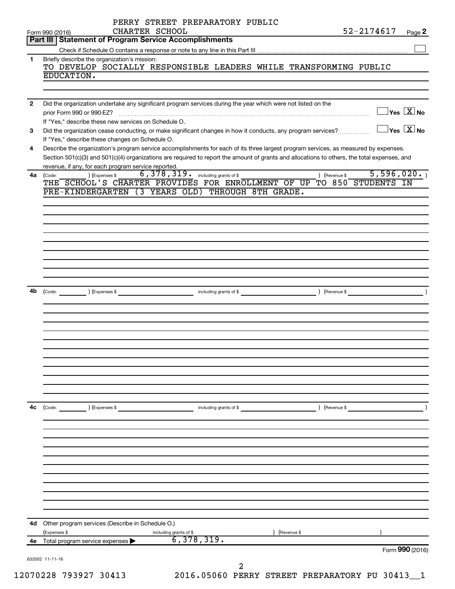|                | 632002 11-11-16<br>$\overline{a}$                                                                                                                                                                                                                                                                                                       |                                         |         |
|----------------|-----------------------------------------------------------------------------------------------------------------------------------------------------------------------------------------------------------------------------------------------------------------------------------------------------------------------------------------|-----------------------------------------|---------|
| 4е             | 6,378,319.<br>Total program service expenses                                                                                                                                                                                                                                                                                            | Form 990 (2016)                         |         |
| 4d -           | Other program services (Describe in Schedule O.)<br>(Revenue \$<br>(Expenses \$<br>including grants of \$                                                                                                                                                                                                                               |                                         |         |
|                |                                                                                                                                                                                                                                                                                                                                         |                                         |         |
|                |                                                                                                                                                                                                                                                                                                                                         |                                         |         |
|                |                                                                                                                                                                                                                                                                                                                                         |                                         |         |
| 4c             | (Code:<br>(Expenses \$<br>(Revenue \$<br>including grants of \$                                                                                                                                                                                                                                                                         |                                         |         |
|                |                                                                                                                                                                                                                                                                                                                                         |                                         |         |
|                |                                                                                                                                                                                                                                                                                                                                         |                                         |         |
|                |                                                                                                                                                                                                                                                                                                                                         |                                         |         |
|                | 4b (Code:                                                                                                                                                                                                                                                                                                                               |                                         | $\big)$ |
|                |                                                                                                                                                                                                                                                                                                                                         |                                         |         |
|                |                                                                                                                                                                                                                                                                                                                                         |                                         |         |
|                | PRE-KINDERGARTEN (3 YEARS OLD) THROUGH 8TH GRADE.                                                                                                                                                                                                                                                                                       |                                         |         |
| 4a l           | revenue, if any, for each program service reported.<br>6, 378, 319. including grants of \$<br>(Expenses \$<br>) (Revenue \$<br>(Code:<br>THE SCHOOL'S CHARTER PROVIDES FOR ENROLLMENT OF UP TO 850 STUDENTS IN                                                                                                                          | 5,596,020.                              |         |
| 4              | If "Yes," describe these changes on Schedule O.<br>Describe the organization's program service accomplishments for each of its three largest program services, as measured by expenses.<br>Section 501(c)(3) and 501(c)(4) organizations are required to report the amount of grants and allocations to others, the total expenses, and |                                         |         |
| З              | If "Yes." describe these new services on Schedule O.<br>Did the organization cease conducting, or make significant changes in how it conducts, any program services?                                                                                                                                                                    | $\Box$ Yes $[\overline{\mathrm{X}}]$ No |         |
| $\overline{2}$ | Did the organization undertake any significant program services during the year which were not listed on the                                                                                                                                                                                                                            | $\Box$ Yes $[\overline{\mathrm{X}}]$ No |         |
|                | EDUCATION.                                                                                                                                                                                                                                                                                                                              |                                         |         |
| 1.             | Briefly describe the organization's mission:<br>TO DEVELOP SOCIALLY RESPONSIBLE LEADERS WHILE TRANSFORMING PUBLIC                                                                                                                                                                                                                       |                                         |         |
|                | Part III   Statement of Program Service Accomplishments                                                                                                                                                                                                                                                                                 |                                         |         |
|                | 52-2174617<br>CHARTER SCHOOL<br>Form 990 (2016)                                                                                                                                                                                                                                                                                         |                                         | Page 2  |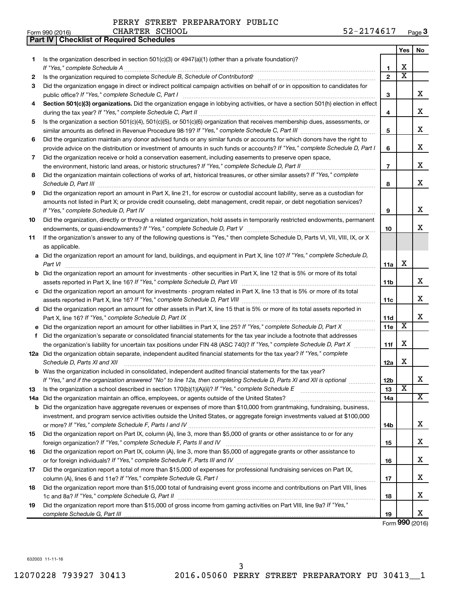|    | Part IV   Checklist of Required Schedules                                                                                                                                                                                                                                                                                                                            |                |                         |     |
|----|----------------------------------------------------------------------------------------------------------------------------------------------------------------------------------------------------------------------------------------------------------------------------------------------------------------------------------------------------------------------|----------------|-------------------------|-----|
|    |                                                                                                                                                                                                                                                                                                                                                                      |                | Yes                     | No. |
| 1  | Is the organization described in section $501(c)(3)$ or $4947(a)(1)$ (other than a private foundation)?                                                                                                                                                                                                                                                              |                |                         |     |
|    |                                                                                                                                                                                                                                                                                                                                                                      | 1              | X                       |     |
| 2  | Is the organization required to complete Schedule B, Schedule of Contributors? [111] [12] the organization required to complete Schedule B, Schedule of Contributors? [11] [12] [12] the organization required to complete Sch                                                                                                                                       | $\overline{2}$ | $\overline{\texttt{x}}$ |     |
| З  | Did the organization engage in direct or indirect political campaign activities on behalf of or in opposition to candidates for                                                                                                                                                                                                                                      |                |                         |     |
|    |                                                                                                                                                                                                                                                                                                                                                                      | 3              |                         | х   |
| 4  | Section 501(c)(3) organizations. Did the organization engage in lobbying activities, or have a section 501(h) election in effect                                                                                                                                                                                                                                     |                |                         |     |
|    |                                                                                                                                                                                                                                                                                                                                                                      | 4              |                         | х   |
| 5  | Is the organization a section 501(c)(4), 501(c)(5), or 501(c)(6) organization that receives membership dues, assessments, or                                                                                                                                                                                                                                         |                |                         |     |
|    |                                                                                                                                                                                                                                                                                                                                                                      | 5              |                         | х   |
| 6  | Did the organization maintain any donor advised funds or any similar funds or accounts for which donors have the right to                                                                                                                                                                                                                                            |                |                         |     |
|    | provide advice on the distribution or investment of amounts in such funds or accounts? If "Yes," complete Schedule D, Part I                                                                                                                                                                                                                                         | 6              |                         | х   |
| 7  | Did the organization receive or hold a conservation easement, including easements to preserve open space,                                                                                                                                                                                                                                                            |                |                         |     |
|    |                                                                                                                                                                                                                                                                                                                                                                      | $\overline{7}$ |                         | х   |
| 8  | Did the organization maintain collections of works of art, historical treasures, or other similar assets? If "Yes," complete                                                                                                                                                                                                                                         |                |                         |     |
|    |                                                                                                                                                                                                                                                                                                                                                                      | 8              |                         | х   |
| 9  | Schedule D, Part III <b>Marting Community</b> Construction of the Construction of the Construction of the Construction of the Construction of the Construction of the Construction of the Construction of the Construction of the C<br>Did the organization report an amount in Part X, line 21, for escrow or custodial account liability, serve as a custodian for |                |                         |     |
|    | amounts not listed in Part X; or provide credit counseling, debt management, credit repair, or debt negotiation services?                                                                                                                                                                                                                                            |                |                         |     |
|    | If "Yes," complete Schedule D, Part IV                                                                                                                                                                                                                                                                                                                               | 9              |                         | х   |
| 10 | Did the organization, directly or through a related organization, hold assets in temporarily restricted endowments, permanent                                                                                                                                                                                                                                        |                |                         |     |
|    |                                                                                                                                                                                                                                                                                                                                                                      | 10             |                         | x   |
|    | If the organization's answer to any of the following questions is "Yes," then complete Schedule D, Parts VI, VII, VIII, IX, or X                                                                                                                                                                                                                                     |                |                         |     |
| 11 | as applicable.                                                                                                                                                                                                                                                                                                                                                       |                |                         |     |
|    |                                                                                                                                                                                                                                                                                                                                                                      |                |                         |     |
|    | a Did the organization report an amount for land, buildings, and equipment in Part X, line 10? If "Yes," complete Schedule D,                                                                                                                                                                                                                                        |                | X                       |     |
|    | Part VI                                                                                                                                                                                                                                                                                                                                                              | 11a            |                         |     |
|    | <b>b</b> Did the organization report an amount for investments - other securities in Part X, line 12 that is 5% or more of its total                                                                                                                                                                                                                                 |                |                         | х   |
|    |                                                                                                                                                                                                                                                                                                                                                                      | 11b            |                         |     |
|    | c Did the organization report an amount for investments - program related in Part X, line 13 that is 5% or more of its total                                                                                                                                                                                                                                         |                |                         | х   |
|    |                                                                                                                                                                                                                                                                                                                                                                      | 11c            |                         |     |
|    | d Did the organization report an amount for other assets in Part X, line 15 that is 5% or more of its total assets reported in                                                                                                                                                                                                                                       |                |                         | х   |
|    |                                                                                                                                                                                                                                                                                                                                                                      | 11d            | $\overline{\mathbf{X}}$ |     |
|    |                                                                                                                                                                                                                                                                                                                                                                      | 11e            |                         |     |
| f  | Did the organization's separate or consolidated financial statements for the tax year include a footnote that addresses                                                                                                                                                                                                                                              |                | X                       |     |
|    | the organization's liability for uncertain tax positions under FIN 48 (ASC 740)? If "Yes," complete Schedule D, Part X                                                                                                                                                                                                                                               | 11f            |                         |     |
|    | 12a Did the organization obtain separate, independent audited financial statements for the tax year? If "Yes," complete                                                                                                                                                                                                                                              |                | х                       |     |
|    | Schedule D, Parts XI and XII <b>continuum continuum continuum continuum continuum continuum continuum continuum</b> continuum continuum continuum continuum continuum continuum continuum continuum continuum continuum continuum c                                                                                                                                  | 12a            |                         |     |
|    | b Was the organization included in consolidated, independent audited financial statements for the tax year?                                                                                                                                                                                                                                                          |                |                         | х   |
|    | If "Yes," and if the organization answered "No" to line 12a, then completing Schedule D, Parts XI and XII is optional                                                                                                                                                                                                                                                | 12b            | $\overline{\textbf{x}}$ |     |
| 13 |                                                                                                                                                                                                                                                                                                                                                                      | 13             |                         | х   |
|    |                                                                                                                                                                                                                                                                                                                                                                      | 14a            |                         |     |
|    | <b>b</b> Did the organization have aggregate revenues or expenses of more than \$10,000 from grantmaking, fundraising, business,                                                                                                                                                                                                                                     |                |                         |     |
|    | investment, and program service activities outside the United States, or aggregate foreign investments valued at \$100,000                                                                                                                                                                                                                                           |                |                         |     |
|    |                                                                                                                                                                                                                                                                                                                                                                      | 14b            |                         | х   |
| 15 | Did the organization report on Part IX, column (A), line 3, more than \$5,000 of grants or other assistance to or for any                                                                                                                                                                                                                                            |                |                         |     |
|    |                                                                                                                                                                                                                                                                                                                                                                      | 15             |                         | х   |
| 16 | Did the organization report on Part IX, column (A), line 3, more than \$5,000 of aggregate grants or other assistance to                                                                                                                                                                                                                                             |                |                         | х   |
|    |                                                                                                                                                                                                                                                                                                                                                                      | 16             |                         |     |
| 17 | Did the organization report a total of more than \$15,000 of expenses for professional fundraising services on Part IX,                                                                                                                                                                                                                                              |                |                         | х   |
|    |                                                                                                                                                                                                                                                                                                                                                                      | 17             |                         |     |
| 18 | Did the organization report more than \$15,000 total of fundraising event gross income and contributions on Part VIII, lines                                                                                                                                                                                                                                         |                |                         | х   |
|    |                                                                                                                                                                                                                                                                                                                                                                      | 18             |                         |     |
| 19 | Did the organization report more than \$15,000 of gross income from gaming activities on Part VIII, line 9a? If "Yes,"                                                                                                                                                                                                                                               |                |                         | x   |
|    |                                                                                                                                                                                                                                                                                                                                                                      | 19             |                         |     |

Form (2016) **990**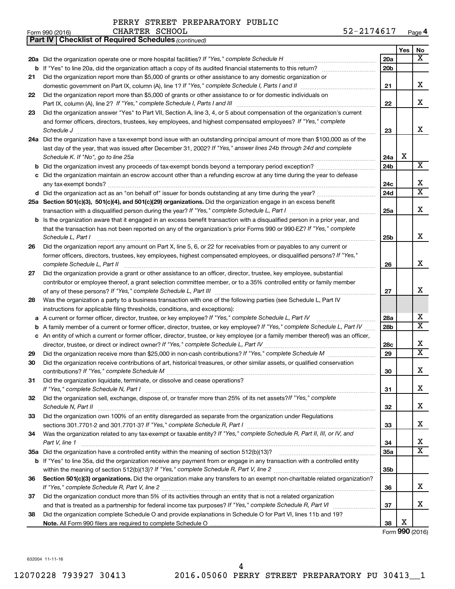|     | CHARTER SCHOOL<br>Form 990 (2016)                                                                                     | 52-2174617      |     | Page 4 |
|-----|-----------------------------------------------------------------------------------------------------------------------|-----------------|-----|--------|
|     | <b>Part IV   Checklist of Required Schedules (continued)</b>                                                          |                 |     |        |
|     |                                                                                                                       |                 | Yes | No     |
|     | 20a Did the organization operate one or more hospital facilities? If "Yes," complete Schedule H                       | 20a             |     |        |
|     | <b>b</b> If "Yes" to line 20a, did the organization attach a copy of its audited financial statements to this return? | 20 <sub>b</sub> |     |        |
| 21. | Did the organization report more than \$5,000 of graphs or other assistance to any domestic organization or           |                 |     |        |

|    |                                                                                                                                     | 20a |   | X                       |
|----|-------------------------------------------------------------------------------------------------------------------------------------|-----|---|-------------------------|
|    |                                                                                                                                     | 20b |   |                         |
| 21 | Did the organization report more than \$5,000 of grants or other assistance to any domestic organization or                         |     |   |                         |
|    |                                                                                                                                     | 21  |   | x                       |
| 22 | Did the organization report more than \$5,000 of grants or other assistance to or for domestic individuals on                       |     |   |                         |
|    |                                                                                                                                     | 22  |   | x                       |
| 23 | Did the organization answer "Yes" to Part VII, Section A, line 3, 4, or 5 about compensation of the organization's current          |     |   |                         |
|    | and former officers, directors, trustees, key employees, and highest compensated employees? If "Yes," complete                      |     |   |                         |
|    | Schedule J <b>Execute Schedule J Execute Schedule J Execute Schedule J Execute Schedule J</b>                                       | 23  |   | x                       |
|    | 24a Did the organization have a tax-exempt bond issue with an outstanding principal amount of more than \$100,000 as of the         |     |   |                         |
|    | last day of the year, that was issued after December 31, 2002? If "Yes," answer lines 24b through 24d and complete                  |     |   |                         |
|    | Schedule K. If "No", go to line 25a                                                                                                 | 24a | X |                         |
|    |                                                                                                                                     | 24b |   | X                       |
|    | c Did the organization maintain an escrow account other than a refunding escrow at any time during the year to defease              |     |   |                         |
|    |                                                                                                                                     | 24c |   | х                       |
|    |                                                                                                                                     | 24d |   | $\overline{\mathtt{x}}$ |
|    | 25a Section 501(c)(3), 501(c)(4), and 501(c)(29) organizations. Did the organization engage in an excess benefit                    |     |   |                         |
|    |                                                                                                                                     | 25a |   | x                       |
|    | <b>b</b> Is the organization aware that it engaged in an excess benefit transaction with a disqualified person in a prior year, and |     |   |                         |
|    | that the transaction has not been reported on any of the organization's prior Forms 990 or 990-EZ? If "Yes," complete               |     |   |                         |
|    | Schedule L, Part I                                                                                                                  | 25b |   | x                       |
| 26 | Did the organization report any amount on Part X, line 5, 6, or 22 for receivables from or payables to any current or               |     |   |                         |
|    | former officers, directors, trustees, key employees, highest compensated employees, or disqualified persons? If "Yes,"              |     |   | x                       |
|    | complete Schedule L, Part II                                                                                                        | 26  |   |                         |
| 27 | Did the organization provide a grant or other assistance to an officer, director, trustee, key employee, substantial                |     |   |                         |
|    | contributor or employee thereof, a grant selection committee member, or to a 35% controlled entity or family member                 |     |   | x                       |
| 28 | Was the organization a party to a business transaction with one of the following parties (see Schedule L, Part IV                   | 27  |   |                         |
|    | instructions for applicable filing thresholds, conditions, and exceptions):                                                         |     |   |                         |
| a  | A current or former officer, director, trustee, or key employee? If "Yes," complete Schedule L, Part IV                             | 28a |   | x                       |
| b  | A family member of a current or former officer, director, trustee, or key employee? If "Yes," complete Schedule L, Part IV          | 28b |   | $\overline{\mathtt{x}}$ |
|    | c An entity of which a current or former officer, director, trustee, or key employee (or a family member thereof) was an officer,   |     |   |                         |
|    |                                                                                                                                     | 28c |   | х                       |
| 29 |                                                                                                                                     | 29  |   | $\overline{\mathtt{x}}$ |
| 30 | Did the organization receive contributions of art, historical treasures, or other similar assets, or qualified conservation         |     |   |                         |
|    |                                                                                                                                     | 30  |   | X                       |
| 31 | Did the organization liquidate, terminate, or dissolve and cease operations?                                                        |     |   |                         |
|    | If "Yes," complete Schedule N, Part I                                                                                               | 31  |   | x                       |
| 32 | Did the organization sell, exchange, dispose of, or transfer more than 25% of its net assets? If "Yes," complete                    |     |   |                         |
|    |                                                                                                                                     | 32  |   | х                       |
| 33 | Did the organization own 100% of an entity disregarded as separate from the organization under Regulations                          |     |   |                         |
|    |                                                                                                                                     | 33  |   | х                       |
| 34 | Was the organization related to any tax-exempt or taxable entity? If "Yes," complete Schedule R, Part II, III, or IV, and           |     |   |                         |
|    | Part V, line 1                                                                                                                      | 34  |   | x                       |
|    |                                                                                                                                     | 35a |   | $\overline{\mathtt{x}}$ |
|    | b If "Yes" to line 35a, did the organization receive any payment from or engage in any transaction with a controlled entity         |     |   |                         |
|    |                                                                                                                                     | 35b |   |                         |
| 36 | Section 501(c)(3) organizations. Did the organization make any transfers to an exempt non-charitable related organization?          |     |   |                         |
|    |                                                                                                                                     | 36  |   | x                       |
| 37 | Did the organization conduct more than 5% of its activities through an entity that is not a related organization                    |     |   |                         |
|    |                                                                                                                                     | 37  |   | x                       |
| 38 | Did the organization complete Schedule O and provide explanations in Schedule O for Part VI, lines 11b and 19?                      |     |   |                         |
|    |                                                                                                                                     | 38  | х |                         |

Form (2016) **990**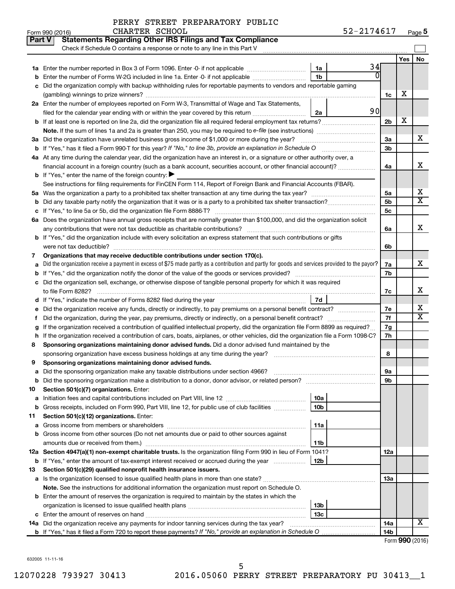|                | PERRY STREET PREPARATORY PUBLIC |  |
|----------------|---------------------------------|--|
| CHARTER SCHOOL |                                 |  |

|         | <b>Statements Regarding Other IRS Filings and Tax Compliance</b><br><b>Part V</b><br>Check if Schedule O contains a response or note to any line in this Part V |                 |                 |     |                              |  |  |
|---------|-----------------------------------------------------------------------------------------------------------------------------------------------------------------|-----------------|-----------------|-----|------------------------------|--|--|
|         |                                                                                                                                                                 |                 |                 | Yes | No                           |  |  |
| 1a      | Enter the number reported in Box 3 of Form 1096. Enter -0- if not applicable                                                                                    | 34<br>1a        |                 |     |                              |  |  |
| b       | Enter the number of Forms W-2G included in line 1a. Enter -0- if not applicable                                                                                 | 1 <sub>b</sub>  |                 |     |                              |  |  |
|         | Did the organization comply with backup withholding rules for reportable payments to vendors and reportable gaming                                              |                 |                 |     |                              |  |  |
|         |                                                                                                                                                                 |                 | 1c              | х   |                              |  |  |
|         | 2a Enter the number of employees reported on Form W-3, Transmittal of Wage and Tax Statements,                                                                  |                 |                 |     |                              |  |  |
|         | filed for the calendar year ending with or within the year covered by this return <i>manumumumum</i>                                                            | 90<br>2a        |                 |     |                              |  |  |
|         |                                                                                                                                                                 |                 | 2 <sub>b</sub>  | х   |                              |  |  |
|         | Note. If the sum of lines 1a and 2a is greater than 250, you may be required to e-file (see instructions) <i>managereroum</i>                                   |                 |                 |     |                              |  |  |
|         | 3a Did the organization have unrelated business gross income of \$1,000 or more during the year?                                                                |                 | За              |     | х                            |  |  |
|         |                                                                                                                                                                 |                 | 3 <sub>b</sub>  |     |                              |  |  |
|         | 4a At any time during the calendar year, did the organization have an interest in, or a signature or other authority over, a                                    |                 |                 |     |                              |  |  |
|         | financial account in a foreign country (such as a bank account, securities account, or other financial account)?                                                |                 | 4a              |     | x                            |  |  |
|         | <b>b</b> If "Yes," enter the name of the foreign country: $\blacktriangleright$                                                                                 |                 |                 |     |                              |  |  |
|         | See instructions for filing requirements for FinCEN Form 114, Report of Foreign Bank and Financial Accounts (FBAR).                                             |                 |                 |     |                              |  |  |
|         |                                                                                                                                                                 |                 | 5a              |     | х                            |  |  |
| b       |                                                                                                                                                                 |                 | 5 <sub>b</sub>  |     | $\overline{\mathtt{x}}$      |  |  |
| с       |                                                                                                                                                                 |                 | 5c              |     |                              |  |  |
|         | 6a Does the organization have annual gross receipts that are normally greater than \$100,000, and did the organization solicit                                  |                 |                 |     |                              |  |  |
|         |                                                                                                                                                                 |                 | 6a              |     | X                            |  |  |
|         | <b>b</b> If "Yes," did the organization include with every solicitation an express statement that such contributions or gifts                                   |                 |                 |     |                              |  |  |
|         |                                                                                                                                                                 |                 | 6b              |     |                              |  |  |
| 7       | Organizations that may receive deductible contributions under section 170(c).                                                                                   |                 |                 |     |                              |  |  |
| а       | Did the organization receive a payment in excess of \$75 made partly as a contribution and partly for goods and services provided to the payor?                 |                 | 7a              |     | х                            |  |  |
|         |                                                                                                                                                                 |                 | 7b              |     |                              |  |  |
|         | c Did the organization sell, exchange, or otherwise dispose of tangible personal property for which it was required                                             |                 |                 |     |                              |  |  |
|         |                                                                                                                                                                 |                 | 7c              |     | X                            |  |  |
|         |                                                                                                                                                                 | 7d              |                 |     |                              |  |  |
| е       |                                                                                                                                                                 |                 | 7е              |     | х<br>$\overline{\mathtt{x}}$ |  |  |
|         |                                                                                                                                                                 |                 | 7f              |     |                              |  |  |
|         | If the organization received a contribution of qualified intellectual property, did the organization file Form 8899 as required?                                |                 | 7g              |     |                              |  |  |
| h       | If the organization received a contribution of cars, boats, airplanes, or other vehicles, did the organization file a Form 1098-C?                              |                 | 7h              |     |                              |  |  |
| 8       | Sponsoring organizations maintaining donor advised funds. Did a donor advised fund maintained by the                                                            |                 |                 |     |                              |  |  |
|         |                                                                                                                                                                 |                 | 8               |     |                              |  |  |
| 9       | Sponsoring organizations maintaining donor advised funds.                                                                                                       |                 |                 |     |                              |  |  |
|         |                                                                                                                                                                 |                 | эа<br>9b        |     |                              |  |  |
|         |                                                                                                                                                                 |                 |                 |     |                              |  |  |
| 10<br>а | Section 501(c)(7) organizations. Enter:                                                                                                                         | 10a             |                 |     |                              |  |  |
| b       | Gross receipts, included on Form 990, Part VIII, line 12, for public use of club facilities                                                                     | 10b             |                 |     |                              |  |  |
| 11      | Section 501(c)(12) organizations. Enter:                                                                                                                        |                 |                 |     |                              |  |  |
| а       |                                                                                                                                                                 | 11a             |                 |     |                              |  |  |
| b       | Gross income from other sources (Do not net amounts due or paid to other sources against                                                                        |                 |                 |     |                              |  |  |
|         | amounts due or received from them.)                                                                                                                             | 11b             |                 |     |                              |  |  |
|         | 12a Section 4947(a)(1) non-exempt charitable trusts. Is the organization filing Form 990 in lieu of Form 1041?                                                  |                 |                 |     |                              |  |  |
|         | <b>b</b> If "Yes," enter the amount of tax-exempt interest received or accrued during the year                                                                  | 12b             | 12a             |     |                              |  |  |
| 13      | Section 501(c)(29) qualified nonprofit health insurance issuers.                                                                                                |                 |                 |     |                              |  |  |
|         | a Is the organization licensed to issue qualified health plans in more than one state?                                                                          |                 | 13a             |     |                              |  |  |
|         | Note. See the instructions for additional information the organization must report on Schedule O.                                                               |                 |                 |     |                              |  |  |
|         | <b>b</b> Enter the amount of reserves the organization is required to maintain by the states in which the                                                       |                 |                 |     |                              |  |  |
|         |                                                                                                                                                                 | 13 <sub>b</sub> |                 |     |                              |  |  |
|         |                                                                                                                                                                 | 13 <sub>c</sub> |                 |     |                              |  |  |
|         | 14a Did the organization receive any payments for indoor tanning services during the tax year?                                                                  |                 | 14a             |     | X                            |  |  |
|         |                                                                                                                                                                 |                 | 14 <sub>b</sub> |     |                              |  |  |

Form (2016) **990**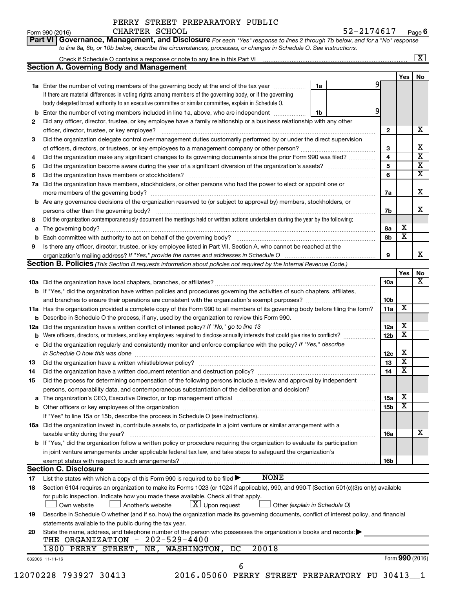| Form 990 (2016) | CHARTER SCHOOL                                                                                                                     |  | 52-2174617 | Pag |
|-----------------|------------------------------------------------------------------------------------------------------------------------------------|--|------------|-----|
|                 | <b>Part VI Governance, Management, and Disclosure</b> For each "Yes" response to lines 2 through 7b below, and for a "No" response |  |            |     |
|                 | to line 8a, 8b, or 10b below, describe the circumstances, processes, or changes in Schedule O. See instructions.                   |  |            |     |

|     |                                                                                                                                                                    |    |  |                 |                         | $\mathbf{X}$            |  |  |  |
|-----|--------------------------------------------------------------------------------------------------------------------------------------------------------------------|----|--|-----------------|-------------------------|-------------------------|--|--|--|
|     | <b>Section A. Governing Body and Management</b>                                                                                                                    |    |  |                 |                         |                         |  |  |  |
|     |                                                                                                                                                                    |    |  |                 | Yes                     | No                      |  |  |  |
|     | <b>1a</b> Enter the number of voting members of the governing body at the end of the tax year                                                                      | 1a |  | 9               |                         |                         |  |  |  |
|     | If there are material differences in voting rights among members of the governing body, or if the governing                                                        |    |  |                 |                         |                         |  |  |  |
|     | body delegated broad authority to an executive committee or similar committee, explain in Schedule O.                                                              |    |  |                 |                         |                         |  |  |  |
| b   | Enter the number of voting members included in line 1a, above, who are independent                                                                                 | 1b |  |                 |                         |                         |  |  |  |
| 2   | Did any officer, director, trustee, or key employee have a family relationship or a business relationship with any other                                           |    |  |                 |                         |                         |  |  |  |
|     | officer, director, trustee, or key employee?                                                                                                                       |    |  | 2               |                         | X                       |  |  |  |
| 3   | Did the organization delegate control over management duties customarily performed by or under the direct supervision                                              |    |  |                 |                         |                         |  |  |  |
|     |                                                                                                                                                                    |    |  | З               |                         | x                       |  |  |  |
| 4   | Did the organization make any significant changes to its governing documents since the prior Form 990 was filed?                                                   |    |  | 4               |                         | $\overline{\mathbf{x}}$ |  |  |  |
| 5   |                                                                                                                                                                    |    |  | 5               |                         | $\overline{\mathbf{X}}$ |  |  |  |
| 6   | Did the organization have members or stockholders?                                                                                                                 |    |  | 6               |                         | $\overline{\mathbf{x}}$ |  |  |  |
| 7a  | Did the organization have members, stockholders, or other persons who had the power to elect or appoint one or                                                     |    |  |                 |                         |                         |  |  |  |
|     | more members of the governing body?                                                                                                                                |    |  | 7a              |                         | X                       |  |  |  |
|     | <b>b</b> Are any governance decisions of the organization reserved to (or subject to approval by) members, stockholders, or                                        |    |  |                 |                         |                         |  |  |  |
|     | persons other than the governing body?                                                                                                                             |    |  | 7b              |                         | x                       |  |  |  |
| 8   | Did the organization contemporaneously document the meetings held or written actions undertaken during the year by the following:                                  |    |  |                 |                         |                         |  |  |  |
| a   | The governing body?                                                                                                                                                |    |  | 8а              | x                       |                         |  |  |  |
| b   |                                                                                                                                                                    |    |  | 8b              | $\overline{\textbf{x}}$ |                         |  |  |  |
| 9   | Is there any officer, director, trustee, or key employee listed in Part VII, Section A, who cannot be reached at the                                               |    |  |                 |                         |                         |  |  |  |
|     |                                                                                                                                                                    |    |  | 9               |                         | x                       |  |  |  |
|     | <b>Section B. Policies</b> (This Section B requests information about policies not required by the Internal Revenue Code.)                                         |    |  |                 |                         |                         |  |  |  |
|     |                                                                                                                                                                    |    |  |                 | Yes                     | No                      |  |  |  |
|     |                                                                                                                                                                    |    |  | 10a             |                         | $\overline{\mathbf{x}}$ |  |  |  |
|     | <b>b</b> If "Yes," did the organization have written policies and procedures governing the activities of such chapters, affiliates,                                |    |  |                 |                         |                         |  |  |  |
|     |                                                                                                                                                                    |    |  | 10 <sub>b</sub> |                         |                         |  |  |  |
|     | 11a Has the organization provided a complete copy of this Form 990 to all members of its governing body before filing the form?                                    |    |  | 11a             | $\overline{\mathbf{X}}$ |                         |  |  |  |
| b   | Describe in Schedule O the process, if any, used by the organization to review this Form 990.                                                                      |    |  |                 |                         |                         |  |  |  |
| 12a | Did the organization have a written conflict of interest policy? If "No," go to line 13                                                                            |    |  | 12a             | X                       |                         |  |  |  |
| b   | Were officers, directors, or trustees, and key employees required to disclose annually interests that could give rise to conflicts?                                |    |  | 12 <sub>b</sub> | $\overline{\textbf{X}}$ |                         |  |  |  |
| с   | Did the organization regularly and consistently monitor and enforce compliance with the policy? If "Yes," describe                                                 |    |  |                 |                         |                         |  |  |  |
|     | in Schedule O how this was done                                                                                                                                    |    |  | 12c             | X                       |                         |  |  |  |
| 13  | Did the organization have a written whistleblower policy?                                                                                                          |    |  | 13              | $\overline{\mathbf{X}}$ |                         |  |  |  |
| 14  |                                                                                                                                                                    |    |  | 14              | $\overline{\mathbf{X}}$ |                         |  |  |  |
| 15  | Did the process for determining compensation of the following persons include a review and approval by independent                                                 |    |  |                 |                         |                         |  |  |  |
|     | persons, comparability data, and contemporaneous substantiation of the deliberation and decision?                                                                  |    |  |                 |                         |                         |  |  |  |
|     |                                                                                                                                                                    |    |  | 15a             | х                       |                         |  |  |  |
| b   | Other officers or key employees of the organization                                                                                                                |    |  | 15 <sub>b</sub> | $\overline{\textbf{x}}$ |                         |  |  |  |
|     | If "Yes" to line 15a or 15b, describe the process in Schedule O (see instructions).                                                                                |    |  |                 |                         |                         |  |  |  |
|     |                                                                                                                                                                    |    |  |                 |                         |                         |  |  |  |
|     | 16a Did the organization invest in, contribute assets to, or participate in a joint venture or similar arrangement with a<br>taxable entity during the year?       |    |  |                 |                         | х                       |  |  |  |
|     | <b>b</b> If "Yes," did the organization follow a written policy or procedure requiring the organization to evaluate its participation                              |    |  | 16a             |                         |                         |  |  |  |
|     |                                                                                                                                                                    |    |  |                 |                         |                         |  |  |  |
|     | in joint venture arrangements under applicable federal tax law, and take steps to safeguard the organization's<br>exempt status with respect to such arrangements? |    |  |                 |                         |                         |  |  |  |
|     | <b>Section C. Disclosure</b>                                                                                                                                       |    |  | 16b             |                         |                         |  |  |  |
|     | <b>NONE</b>                                                                                                                                                        |    |  |                 |                         |                         |  |  |  |
| 17  | List the states with which a copy of this Form 990 is required to be filed >                                                                                       |    |  |                 |                         |                         |  |  |  |
| 18  | Section 6104 requires an organization to make its Forms 1023 (or 1024 if applicable), 990, and 990-T (Section 501(c)(3)s only) available                           |    |  |                 |                         |                         |  |  |  |
|     | for public inspection. Indicate how you made these available. Check all that apply.<br>$\lfloor \underline{X} \rfloor$ Upon request                                |    |  |                 |                         |                         |  |  |  |
|     | Another's website<br>Other (explain in Schedule O)<br>Own website                                                                                                  |    |  |                 |                         |                         |  |  |  |
| 19  | Describe in Schedule O whether (and if so, how) the organization made its governing documents, conflict of interest policy, and financial                          |    |  |                 |                         |                         |  |  |  |
|     | statements available to the public during the tax year.                                                                                                            |    |  |                 |                         |                         |  |  |  |
| 20  | State the name, address, and telephone number of the person who possesses the organization's books and records:<br>$202 - 529 - 4400$                              |    |  |                 |                         |                         |  |  |  |
|     | THE ORGANIZATION -<br>20018<br>1800 PERRY STREET,<br>WASHINGTON,<br>NE,<br>DC                                                                                      |    |  |                 |                         |                         |  |  |  |
|     |                                                                                                                                                                    |    |  |                 |                         |                         |  |  |  |
|     | 632006 11-11-16<br>6                                                                                                                                               |    |  |                 |                         | Form 990 (2016)         |  |  |  |
|     |                                                                                                                                                                    |    |  |                 |                         |                         |  |  |  |

12070228 793927 30413 2016.05060 PERRY STREET PREPARATORY PU 30413\_\_1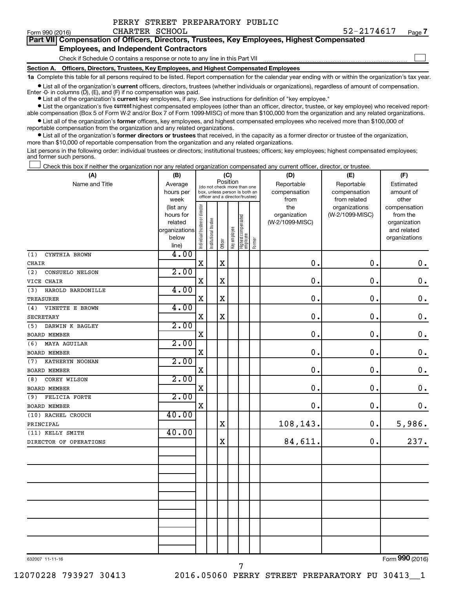| Form 990 (2016)                                                                            | CHARTER SCHOOL                                                               |  |  |  |  | 52-2174617 | Page 7 |  |  |
|--------------------------------------------------------------------------------------------|------------------------------------------------------------------------------|--|--|--|--|------------|--------|--|--|
| Part VII Compensation of Officers, Directors, Trustees, Key Employees, Highest Compensated |                                                                              |  |  |  |  |            |        |  |  |
| <b>Employees, and Independent Contractors</b>                                              |                                                                              |  |  |  |  |            |        |  |  |
|                                                                                            | Check if Schedule O contains a response or note to any line in this Part VII |  |  |  |  |            |        |  |  |
| Section A. Officers, Directors, Trustees, Key Employees, and Highest Compensated Employees |                                                                              |  |  |  |  |            |        |  |  |
|                                                                                            |                                                                              |  |  |  |  |            |        |  |  |

**1a**  Complete this table for all persons required to be listed. Report compensation for the calendar year ending with or within the organization's tax year.

**•** List all of the organization's current officers, directors, trustees (whether individuals or organizations), regardless of amount of compensation. Enter -0- in columns  $(D)$ ,  $(E)$ , and  $(F)$  if no compensation was paid.

**•** List all of the organization's **current** key employees, if any. See instructions for definition of "key employee."

PERRY STREET PREPARATORY PUBLIC

**•** List the organization's five current highest compensated employees (other than an officer, director, trustee, or key employee) who received reportable compensation (Box 5 of Form W-2 and/or Box 7 of Form 1099-MISC) of more than \$100,000 from the organization and any related organizations.

**•** List all of the organization's former officers, key employees, and highest compensated employees who received more than \$100,000 of reportable compensation from the organization and any related organizations.

**•** List all of the organization's former directors or trustees that received, in the capacity as a former director or trustee of the organization, more than \$10,000 of reportable compensation from the organization and any related organizations.

List persons in the following order: individual trustees or directors; institutional trustees; officers; key employees; highest compensated employees; and former such persons.

Check this box if neither the organization nor any related organization compensated any current officer, director, or trustee.  $\Box$ 

| (A)                      | (B)                    | (C)                                                              |                       |             |              |                                   |              | (D)                 | (E)                              | (F)                      |  |  |
|--------------------------|------------------------|------------------------------------------------------------------|-----------------------|-------------|--------------|-----------------------------------|--------------|---------------------|----------------------------------|--------------------------|--|--|
| Name and Title           | Average                | Position<br>(do not check more than one                          |                       |             |              |                                   |              | Reportable          | Reportable                       | Estimated                |  |  |
|                          | hours per              | box, unless person is both an<br>officer and a director/trustee) |                       |             |              |                                   | compensation | compensation        | amount of                        |                          |  |  |
|                          | week                   |                                                                  |                       |             |              |                                   |              | from                | from related                     | other                    |  |  |
|                          | (list any<br>hours for |                                                                  |                       |             |              |                                   |              | the<br>organization | organizations<br>(W-2/1099-MISC) | compensation<br>from the |  |  |
|                          | related                |                                                                  |                       |             |              |                                   |              | (W-2/1099-MISC)     |                                  | organization             |  |  |
|                          | organizations          |                                                                  |                       |             |              |                                   |              |                     |                                  | and related              |  |  |
|                          | below                  | Individual trustee or director                                   | Institutional trustee |             | Key employee |                                   |              |                     |                                  | organizations            |  |  |
|                          | line)                  |                                                                  |                       | Officer     |              | Highest compensated<br>  employee | Former       |                     |                                  |                          |  |  |
| (1)<br>CYNTHIA BROWN     | 4.00                   |                                                                  |                       |             |              |                                   |              |                     |                                  |                          |  |  |
| CHAIR                    |                        | X                                                                |                       | $\mathbf X$ |              |                                   |              | $\mathbf 0$ .       | 0.                               | $\mathbf 0$ .            |  |  |
| (2)<br>CONSUELO NELSON   | 2.00                   |                                                                  |                       |             |              |                                   |              |                     |                                  |                          |  |  |
| VICE CHAIR               |                        | X                                                                |                       | $\mathbf X$ |              |                                   |              | $\mathbf 0$ .       | 0.                               | $\mathbf 0$ .            |  |  |
| HAROLD BARDONILLE<br>(3) | 4.00                   |                                                                  |                       |             |              |                                   |              |                     |                                  |                          |  |  |
| <b>TREASURER</b>         |                        | $\mathbf X$                                                      |                       | $\mathbf X$ |              |                                   |              | $\mathbf 0$ .       | $\mathbf 0$ .                    | $\mathbf 0$ .            |  |  |
| VINETTE E BROWN<br>(4)   | 4.00                   |                                                                  |                       |             |              |                                   |              |                     |                                  |                          |  |  |
| SECRETARY                |                        | X                                                                |                       | $\mathbf X$ |              |                                   |              | $\mathbf 0$ .       | $\mathbf 0$ .                    | $\mathbf 0$ .            |  |  |
| DARWIN K BAGLEY<br>(5)   | 2.00                   |                                                                  |                       |             |              |                                   |              |                     |                                  |                          |  |  |
| BOARD MEMBER             |                        | X                                                                |                       |             |              |                                   |              | $\mathbf 0$ .       | $\mathbf 0$ .                    | $\mathbf 0$ .            |  |  |
| MAYA AGUILAR<br>(6)      | 2.00                   |                                                                  |                       |             |              |                                   |              |                     |                                  |                          |  |  |
| BOARD MEMBER             |                        | $\mathbf X$                                                      |                       |             |              |                                   |              | $\mathbf 0$ .       | $\mathbf 0$ .                    | $\mathbf 0$ .            |  |  |
| KATHERYN NOONAN<br>(7)   | 2.00                   |                                                                  |                       |             |              |                                   |              |                     |                                  |                          |  |  |
| <b>BOARD MEMBER</b>      |                        | $\mathbf X$                                                      |                       |             |              |                                   |              | $\mathbf 0$ .       | 0.                               | $\mathbf 0$ .            |  |  |
| COREY WILSON<br>(8)      | 2.00                   |                                                                  |                       |             |              |                                   |              |                     |                                  |                          |  |  |
| <b>BOARD MEMBER</b>      |                        | $\mathbf X$                                                      |                       |             |              |                                   |              | $\mathbf 0$ .       | 0.                               | $\mathbf 0$ .            |  |  |
| FELICIA FORTE<br>(9)     | 2.00                   |                                                                  |                       |             |              |                                   |              |                     |                                  |                          |  |  |
| <b>BOARD MEMBER</b>      |                        | $\mathbf X$                                                      |                       |             |              |                                   |              | 0.                  | 0.                               | $0$ .                    |  |  |
| (10) RACHEL CROUCH       | 40.00                  |                                                                  |                       |             |              |                                   |              |                     |                                  |                          |  |  |
| PRINCIPAL                |                        |                                                                  |                       | $\rm X$     |              |                                   |              | 108,143.            | 0.                               | 5,986.                   |  |  |
| (11) KELLY SMITH         | 40.00                  |                                                                  |                       |             |              |                                   |              |                     |                                  |                          |  |  |
| DIRECTOR OF OPERATIONS   |                        |                                                                  |                       | $\rm X$     |              |                                   |              | 84,611.             | 0.                               | 237.                     |  |  |
|                          |                        |                                                                  |                       |             |              |                                   |              |                     |                                  |                          |  |  |
|                          |                        |                                                                  |                       |             |              |                                   |              |                     |                                  |                          |  |  |
|                          |                        |                                                                  |                       |             |              |                                   |              |                     |                                  |                          |  |  |
|                          |                        |                                                                  |                       |             |              |                                   |              |                     |                                  |                          |  |  |
|                          |                        |                                                                  |                       |             |              |                                   |              |                     |                                  |                          |  |  |
|                          |                        |                                                                  |                       |             |              |                                   |              |                     |                                  |                          |  |  |
|                          |                        |                                                                  |                       |             |              |                                   |              |                     |                                  |                          |  |  |
|                          |                        |                                                                  |                       |             |              |                                   |              |                     |                                  |                          |  |  |
|                          |                        |                                                                  |                       |             |              |                                   |              |                     |                                  |                          |  |  |
|                          |                        |                                                                  |                       |             |              |                                   |              |                     |                                  |                          |  |  |
|                          |                        |                                                                  |                       |             |              |                                   |              |                     |                                  |                          |  |  |
|                          |                        |                                                                  |                       |             |              |                                   |              |                     |                                  |                          |  |  |

632007 11-11-16

Form (2016) **990**

7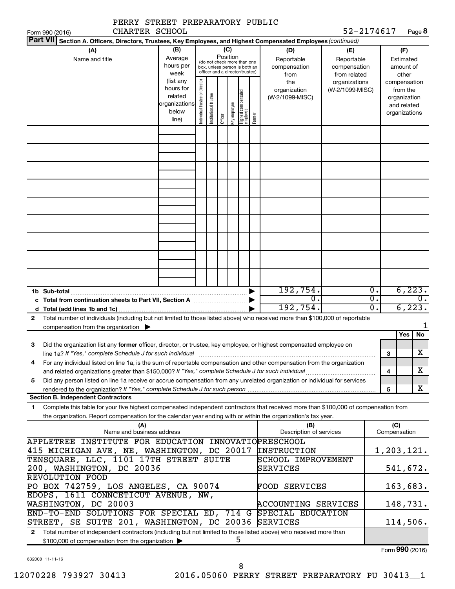| PERRY STREET PREPARATORY PUBLIC                                                                                                                                                     |                |                                |                       |                 |              |                                                                  |        |                         |                              |                  |              |                    |
|-------------------------------------------------------------------------------------------------------------------------------------------------------------------------------------|----------------|--------------------------------|-----------------------|-----------------|--------------|------------------------------------------------------------------|--------|-------------------------|------------------------------|------------------|--------------|--------------------|
| CHARTER SCHOOL<br>Form 990 (2016)<br><b>Part VII</b>                                                                                                                                |                |                                |                       |                 |              |                                                                  |        |                         | 52-2174617                   |                  |              | Page 8             |
| Section A. Officers, Directors, Trustees, Key Employees, and Highest Compensated Employees (continued)                                                                              |                |                                |                       |                 |              |                                                                  |        |                         |                              |                  |              |                    |
| (A)                                                                                                                                                                                 | (B)<br>Average |                                |                       | (C)<br>Position |              |                                                                  |        | (D)                     | (E)                          |                  |              | (F)                |
| Name and title                                                                                                                                                                      | hours per      |                                |                       |                 |              | (do not check more than one                                      |        | Reportable              | Reportable                   |                  |              | Estimated          |
|                                                                                                                                                                                     | week           |                                |                       |                 |              | box, unless person is both an<br>officer and a director/trustee) |        | compensation<br>from    | compensation<br>from related |                  |              | amount of<br>other |
|                                                                                                                                                                                     | (list any      |                                |                       |                 |              |                                                                  |        | the                     | organizations                |                  |              | compensation       |
|                                                                                                                                                                                     | hours for      |                                |                       |                 |              |                                                                  |        | organization            | (W-2/1099-MISC)              |                  |              | from the           |
|                                                                                                                                                                                     | related        |                                |                       |                 |              |                                                                  |        | (W-2/1099-MISC)         |                              |                  |              | organization       |
|                                                                                                                                                                                     | organizations  |                                |                       |                 |              |                                                                  |        |                         |                              |                  |              | and related        |
|                                                                                                                                                                                     | below          | Individual trustee or director | Institutional trustee |                 | Key employee | Highest compensated<br>employee                                  |        |                         |                              |                  |              | organizations      |
|                                                                                                                                                                                     | line)          |                                |                       | Officer         |              |                                                                  | Former |                         |                              |                  |              |                    |
|                                                                                                                                                                                     |                |                                |                       |                 |              |                                                                  |        |                         |                              |                  |              |                    |
|                                                                                                                                                                                     |                |                                |                       |                 |              |                                                                  |        |                         |                              |                  |              |                    |
|                                                                                                                                                                                     |                |                                |                       |                 |              |                                                                  |        |                         |                              |                  |              |                    |
|                                                                                                                                                                                     |                |                                |                       |                 |              |                                                                  |        |                         |                              |                  |              |                    |
|                                                                                                                                                                                     |                |                                |                       |                 |              |                                                                  |        |                         |                              |                  |              |                    |
|                                                                                                                                                                                     |                |                                |                       |                 |              |                                                                  |        |                         |                              |                  |              |                    |
|                                                                                                                                                                                     |                |                                |                       |                 |              |                                                                  |        |                         |                              |                  |              |                    |
|                                                                                                                                                                                     |                |                                |                       |                 |              |                                                                  |        |                         |                              |                  |              |                    |
|                                                                                                                                                                                     |                |                                |                       |                 |              |                                                                  |        |                         |                              |                  |              |                    |
|                                                                                                                                                                                     |                |                                |                       |                 |              |                                                                  |        |                         |                              |                  |              |                    |
|                                                                                                                                                                                     |                |                                |                       |                 |              |                                                                  |        |                         |                              |                  |              |                    |
|                                                                                                                                                                                     |                |                                |                       |                 |              |                                                                  |        |                         |                              |                  |              |                    |
|                                                                                                                                                                                     |                |                                |                       |                 |              |                                                                  |        |                         |                              |                  |              |                    |
|                                                                                                                                                                                     |                |                                |                       |                 |              |                                                                  |        |                         |                              |                  |              |                    |
|                                                                                                                                                                                     |                |                                |                       |                 |              |                                                                  |        |                         |                              |                  |              |                    |
| 1b Sub-total                                                                                                                                                                        |                |                                |                       |                 |              |                                                                  |        | 192,754.                |                              | $\overline{0}$ . |              | 6, 223.            |
|                                                                                                                                                                                     |                |                                |                       |                 |              |                                                                  |        | $\overline{0}$ .        |                              | σ.               |              | $\overline{0}$ .   |
|                                                                                                                                                                                     |                |                                |                       |                 |              |                                                                  |        | 192,754.                |                              | σ.               |              | 6, 223.            |
| Total number of individuals (including but not limited to those listed above) who received more than \$100,000 of reportable<br>$\mathbf{2}$                                        |                |                                |                       |                 |              |                                                                  |        |                         |                              |                  |              |                    |
| compensation from the organization $\blacktriangleright$                                                                                                                            |                |                                |                       |                 |              |                                                                  |        |                         |                              |                  |              | 1<br>No            |
| Did the organization list any former officer, director, or trustee, key employee, or highest compensated employee on<br>З                                                           |                |                                |                       |                 |              |                                                                  |        |                         |                              |                  |              | Yes                |
| line 1a? If "Yes," complete Schedule J for such individual manufactured content to the content of the content o                                                                     |                |                                |                       |                 |              |                                                                  |        |                         |                              |                  | 3            | X                  |
| For any individual listed on line 1a, is the sum of reportable compensation and other compensation from the organization<br>4                                                       |                |                                |                       |                 |              |                                                                  |        |                         |                              |                  |              |                    |
|                                                                                                                                                                                     |                |                                |                       |                 |              |                                                                  |        |                         |                              |                  | 4            | X.                 |
| Did any person listed on line 1a receive or accrue compensation from any unrelated organization or individual for services<br>5                                                     |                |                                |                       |                 |              |                                                                  |        |                         |                              |                  |              |                    |
| <b>Section B. Independent Contractors</b>                                                                                                                                           |                |                                |                       |                 |              |                                                                  |        |                         |                              |                  | 5            | x                  |
| Complete this table for your five highest compensated independent contractors that received more than \$100,000 of compensation from<br>$\mathbf{1}$                                |                |                                |                       |                 |              |                                                                  |        |                         |                              |                  |              |                    |
| the organization. Report compensation for the calendar year ending with or within the organization's tax year.                                                                      |                |                                |                       |                 |              |                                                                  |        |                         |                              |                  |              |                    |
| (A)                                                                                                                                                                                 |                |                                |                       |                 |              |                                                                  |        | (B)                     |                              |                  | (C)          |                    |
| Name and business address                                                                                                                                                           |                |                                |                       |                 |              |                                                                  |        | Description of services |                              |                  | Compensation |                    |
| APPLETREE INSTITUTE FOR EDUCATION INNOVATIOPRESCHOOL                                                                                                                                |                |                                |                       |                 |              |                                                                  |        |                         |                              |                  |              |                    |
| 415 MICHIGAN AVE, NE, WASHINGTON, DC 20017                                                                                                                                          |                |                                |                       |                 |              |                                                                  |        | <b>INSTRUCTION</b>      |                              |                  |              | 1,203,121.         |
| TENSQUARE, LLC, 1101 17TH STREET SUITE<br>SCHOOL IMPROVEMENT<br>200, WASHINGTON, DC 20036<br>541,672.<br>SERVICES                                                                   |                |                                |                       |                 |              |                                                                  |        |                         |                              |                  |              |                    |
| REVOLUTION FOOD                                                                                                                                                                     |                |                                |                       |                 |              |                                                                  |        |                         |                              |                  |              |                    |
| PO BOX 742759, LOS ANGELES, CA 90074                                                                                                                                                |                |                                |                       |                 |              |                                                                  |        | <b>FOOD SERVICES</b>    |                              |                  |              | 163,683.           |
| EDOPS, 1611 CONNCETICUT AVENUE, NW,                                                                                                                                                 |                |                                |                       |                 |              |                                                                  |        |                         |                              |                  |              |                    |
| WASHINGTON, DC 20003                                                                                                                                                                |                |                                |                       |                 |              |                                                                  |        | ACCOUNTING SERVICES     |                              |                  |              | 148,731.           |
| END-TO-END SOLUTIONS FOR SPECIAL ED, 714 G SPECIAL EDUCATION                                                                                                                        |                |                                |                       |                 |              |                                                                  |        |                         |                              |                  |              |                    |
| STREET, SE SUITE 201, WASHINGTON, DC 20036                                                                                                                                          |                |                                |                       |                 |              |                                                                  |        | <b>SERVICES</b>         |                              |                  |              | 114,506.           |
| Total number of independent contractors (including but not limited to those listed above) who received more than<br>$\mathbf{2}$<br>\$100,000 of compensation from the organization |                |                                |                       |                 |              | 5                                                                |        |                         |                              |                  |              |                    |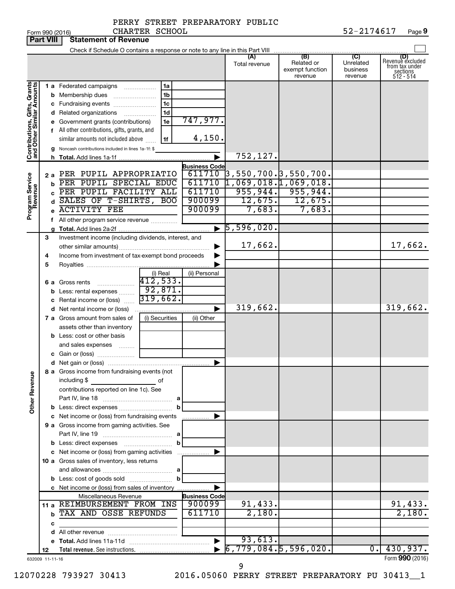|                              | <b>Part VIII</b> | <b>Statement of Revenue</b>                                   |                                                  |                                |                                                                           |                                                     |                                         |                                                                    |
|------------------------------|------------------|---------------------------------------------------------------|--------------------------------------------------|--------------------------------|---------------------------------------------------------------------------|-----------------------------------------------------|-----------------------------------------|--------------------------------------------------------------------|
|                              |                  |                                                               |                                                  |                                |                                                                           |                                                     |                                         |                                                                    |
|                              |                  |                                                               |                                                  |                                | (A)<br>Total revenue                                                      | (B)<br>Related or<br>exempt function<br>revenue     | (C)<br>Unrelated<br>business<br>revenue | (D)<br>Revenue excluded<br>from tax under<br>sections<br>512 - 514 |
|                              |                  | <b>1 a</b> Federated campaigns                                | 1a                                               |                                |                                                                           |                                                     |                                         |                                                                    |
|                              |                  | <b>b</b> Membership dues                                      | 1 <sub>b</sub>                                   |                                |                                                                           |                                                     |                                         |                                                                    |
|                              |                  | c Fundraising events                                          | 1 <sub>c</sub>                                   |                                |                                                                           |                                                     |                                         |                                                                    |
|                              |                  | d Related organizations                                       | 1 <sub>d</sub>                                   |                                |                                                                           |                                                     |                                         |                                                                    |
|                              |                  | e Government grants (contributions)                           | 1e                                               | 747,977.                       |                                                                           |                                                     |                                         |                                                                    |
|                              |                  | f All other contributions, gifts, grants, and                 |                                                  |                                |                                                                           |                                                     |                                         |                                                                    |
|                              |                  | similar amounts not included above                            | 1f                                               | 4,150.                         |                                                                           |                                                     |                                         |                                                                    |
| Contributions, Gifts, Grants |                  | g Noncash contributions included in lines 1a-1f: \$           |                                                  |                                |                                                                           |                                                     |                                         |                                                                    |
|                              |                  |                                                               |                                                  |                                | 752,127.                                                                  |                                                     |                                         |                                                                    |
|                              |                  |                                                               |                                                  | <b>Business Code</b>           |                                                                           |                                                     |                                         |                                                                    |
|                              | 2а               | PER PUPIL APPROPRIATIO<br>PER PUPIL SPECIAL EDUC              |                                                  | 611710<br>611710               | $\overline{3}$ ,550,700. $\overline{3}$ ,550,700.<br>1,069,018.1,069,018. |                                                     |                                         |                                                                    |
| Program Service<br>Revenue   | b                | PER PUPIL FACILITY ALL                                        |                                                  | 611710                         |                                                                           |                                                     |                                         |                                                                    |
|                              | d                | SALES OF T-SHIRTS, BOO                                        |                                                  | 900099                         |                                                                           | $\frac{955,944.}{12,675.} \frac{955,944.}{12,675.}$ |                                         |                                                                    |
|                              |                  | <b>ACTIVITY FEE</b>                                           |                                                  | 900099                         | 7,683.                                                                    | 7,683.                                              |                                         |                                                                    |
|                              |                  | f All other program service revenue                           |                                                  |                                |                                                                           |                                                     |                                         |                                                                    |
|                              |                  |                                                               |                                                  |                                | $\blacktriangleright$ 5,596,020.                                          |                                                     |                                         |                                                                    |
|                              | З                | Investment income (including dividends, interest, and         |                                                  |                                |                                                                           |                                                     |                                         |                                                                    |
|                              |                  |                                                               |                                                  |                                | 17,662.                                                                   |                                                     |                                         | 17,662.                                                            |
|                              | 4                | Income from investment of tax-exempt bond proceeds            |                                                  |                                |                                                                           |                                                     |                                         |                                                                    |
|                              | 5                |                                                               |                                                  |                                |                                                                           |                                                     |                                         |                                                                    |
|                              |                  |                                                               | $\frac{1}{412,533}$                              | (ii) Personal                  |                                                                           |                                                     |                                         |                                                                    |
|                              |                  | <b>6 a</b> Gross rents                                        |                                                  |                                |                                                                           |                                                     |                                         |                                                                    |
|                              |                  | <b>b</b> Less: rental expenses                                | 92,871.                                          |                                |                                                                           |                                                     |                                         |                                                                    |
|                              | с                | Rental income or (loss)                                       | 319,662.                                         |                                |                                                                           |                                                     |                                         |                                                                    |
|                              |                  | <b>d</b> Net rental income or (loss)                          |                                                  |                                | 319,662.                                                                  |                                                     |                                         | 319,662.                                                           |
|                              |                  | 7 a Gross amount from sales of                                | (i) Securities                                   | (ii) Other                     |                                                                           |                                                     |                                         |                                                                    |
|                              |                  | assets other than inventory                                   |                                                  |                                |                                                                           |                                                     |                                         |                                                                    |
|                              |                  | <b>b</b> Less: cost or other basis<br>and sales expenses      |                                                  |                                |                                                                           |                                                     |                                         |                                                                    |
|                              |                  |                                                               |                                                  |                                |                                                                           |                                                     |                                         |                                                                    |
|                              |                  |                                                               |                                                  | ▶                              |                                                                           |                                                     |                                         |                                                                    |
| <b>Other Revenue</b>         |                  | 8 a Gross income from fundraising events (not<br>including \$ | of                                               |                                |                                                                           |                                                     |                                         |                                                                    |
|                              |                  | contributions reported on line 1c). See                       |                                                  |                                |                                                                           |                                                     |                                         |                                                                    |
|                              |                  |                                                               |                                                  |                                |                                                                           |                                                     |                                         |                                                                    |
|                              |                  |                                                               |                                                  |                                |                                                                           |                                                     |                                         |                                                                    |
|                              |                  | c Net income or (loss) from fundraising events                |                                                  | .                              |                                                                           |                                                     |                                         |                                                                    |
|                              |                  | 9 a Gross income from gaming activities. See                  |                                                  |                                |                                                                           |                                                     |                                         |                                                                    |
|                              |                  |                                                               |                                                  |                                |                                                                           |                                                     |                                         |                                                                    |
|                              |                  |                                                               | b                                                |                                |                                                                           |                                                     |                                         |                                                                    |
|                              |                  | c Net income or (loss) from gaming activities                 |                                                  |                                |                                                                           |                                                     |                                         |                                                                    |
|                              |                  | 10 a Gross sales of inventory, less returns                   |                                                  |                                |                                                                           |                                                     |                                         |                                                                    |
|                              |                  |                                                               |                                                  |                                |                                                                           |                                                     |                                         |                                                                    |
|                              |                  |                                                               |                                                  |                                |                                                                           |                                                     |                                         |                                                                    |
|                              |                  | c Net income or (loss) from sales of inventory                |                                                  |                                |                                                                           |                                                     |                                         |                                                                    |
|                              |                  | Miscellaneous Revenue<br>11 a REIMBURSEMENT FROM INS          |                                                  | <b>Business Code</b><br>900099 | 91,433.                                                                   |                                                     |                                         | 91,433.                                                            |
|                              |                  | <b>b TAX AND OSSE REFUNDS</b>                                 |                                                  | 611710                         | 2,180.                                                                    |                                                     |                                         | 2,180.                                                             |
|                              | c                |                                                               |                                                  |                                |                                                                           |                                                     |                                         |                                                                    |
|                              |                  |                                                               | the control of the control of the control of the |                                |                                                                           |                                                     |                                         |                                                                    |
|                              |                  |                                                               |                                                  | $\blacktriangleright$          | 93,613.                                                                   |                                                     |                                         |                                                                    |
|                              | 12               |                                                               |                                                  |                                | $\bullet$ 6,779,084.5,596,020.                                            |                                                     |                                         | $0.$ 430,937.                                                      |
|                              | 632009 11-11-16  |                                                               |                                                  |                                |                                                                           |                                                     |                                         | Form 990 (2016)                                                    |

9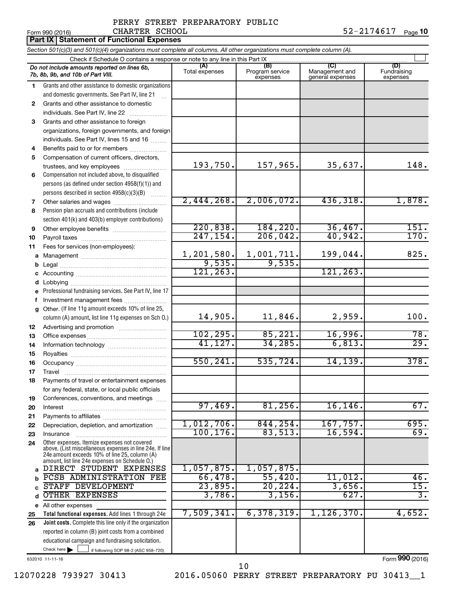#### PERRY STREET PREPARATORY PUBLIC CHARTER SCHOOL

Form 990 (2016) CHARTER SCHOOL 5 2-2174617 <sub>Page</sub> 1**0** 

|    | <b>Part IX Statement of Functional Expenses</b>                                                                            |                       |                                    |                                           |                                         |  |  |  |
|----|----------------------------------------------------------------------------------------------------------------------------|-----------------------|------------------------------------|-------------------------------------------|-----------------------------------------|--|--|--|
|    | Section 501(c)(3) and 501(c)(4) organizations must complete all columns. All other organizations must complete column (A). |                       |                                    |                                           |                                         |  |  |  |
|    | Check if Schedule O contains a response or note to any line in this Part IX                                                |                       |                                    |                                           |                                         |  |  |  |
|    | Do not include amounts reported on lines 6b,<br>7b, 8b, 9b, and 10b of Part VIII.                                          | (A)<br>Total expenses | (B)<br>Program service<br>expenses | (C)<br>Management and<br>general expenses | (D)<br>Fundraising<br>expenses          |  |  |  |
| 1. | Grants and other assistance to domestic organizations                                                                      |                       |                                    |                                           |                                         |  |  |  |
|    | and domestic governments. See Part IV, line 21                                                                             |                       |                                    |                                           |                                         |  |  |  |
| 2  | Grants and other assistance to domestic                                                                                    |                       |                                    |                                           |                                         |  |  |  |
|    | individuals. See Part IV, line 22                                                                                          |                       |                                    |                                           |                                         |  |  |  |
| 3  | Grants and other assistance to foreign                                                                                     |                       |                                    |                                           |                                         |  |  |  |
|    | organizations, foreign governments, and foreign                                                                            |                       |                                    |                                           |                                         |  |  |  |
|    | individuals. See Part IV, lines 15 and 16                                                                                  |                       |                                    |                                           |                                         |  |  |  |
| 4  | Benefits paid to or for members                                                                                            |                       |                                    |                                           |                                         |  |  |  |
| 5  | Compensation of current officers, directors,                                                                               |                       |                                    |                                           |                                         |  |  |  |
|    | trustees, and key employees                                                                                                | 193,750.              | 157,965.                           | 35,637.                                   | 148.                                    |  |  |  |
| 6  | Compensation not included above, to disqualified                                                                           |                       |                                    |                                           |                                         |  |  |  |
|    | persons (as defined under section 4958(f)(1)) and                                                                          |                       |                                    |                                           |                                         |  |  |  |
|    | persons described in section 4958(c)(3)(B)                                                                                 |                       |                                    |                                           |                                         |  |  |  |
| 7  |                                                                                                                            | 2,444,268.            | 2,006,072.                         | 436,318.                                  | 1,878.                                  |  |  |  |
| 8  | Pension plan accruals and contributions (include                                                                           |                       |                                    |                                           |                                         |  |  |  |
|    | section 401(k) and 403(b) employer contributions)                                                                          | 220,838.              | 184, 220.                          | 36,467.                                   | 151.                                    |  |  |  |
| 9  |                                                                                                                            | 247, 154.             | 206,042.                           | 40,942.                                   | 170.                                    |  |  |  |
| 10 |                                                                                                                            |                       |                                    |                                           |                                         |  |  |  |
| 11 | Fees for services (non-employees):                                                                                         | 1,201,580.            | 1,001,711.                         | 199,044.                                  | 825.                                    |  |  |  |
|    |                                                                                                                            | 9,535.                | 9,535.                             |                                           |                                         |  |  |  |
|    |                                                                                                                            | 121, 263.             |                                    | 121, 263.                                 |                                         |  |  |  |
|    |                                                                                                                            |                       |                                    |                                           |                                         |  |  |  |
|    | e Professional fundraising services. See Part IV, line 17                                                                  |                       |                                    |                                           |                                         |  |  |  |
| f  | Investment management fees                                                                                                 |                       |                                    |                                           |                                         |  |  |  |
|    | g Other. (If line 11g amount exceeds 10% of line 25,                                                                       |                       |                                    |                                           |                                         |  |  |  |
|    | column (A) amount, list line 11g expenses on Sch O.)                                                                       | 14,905.               | 11,846.                            | 2,959.                                    | 100.                                    |  |  |  |
| 12 |                                                                                                                            |                       |                                    |                                           |                                         |  |  |  |
| 13 |                                                                                                                            | 102, 295.             | 85,221.                            | 16,996.                                   | 78.                                     |  |  |  |
| 14 |                                                                                                                            | 41,127.               | 34, 285.                           | 6,813.                                    | 29.                                     |  |  |  |
| 15 |                                                                                                                            |                       |                                    |                                           |                                         |  |  |  |
| 16 |                                                                                                                            | 550, 241.             | 535,724.                           | 14,139.                                   | 378.                                    |  |  |  |
| 17 | Travel                                                                                                                     |                       |                                    |                                           |                                         |  |  |  |
| 18 | Payments of travel or entertainment expenses                                                                               |                       |                                    |                                           |                                         |  |  |  |
|    | for any federal, state, or local public officials                                                                          |                       |                                    |                                           |                                         |  |  |  |
| 19 | Conferences, conventions, and meetings                                                                                     |                       |                                    |                                           |                                         |  |  |  |
| 20 | Interest                                                                                                                   | 97,469.               | 81,256.                            | 16, 146.                                  | 67.                                     |  |  |  |
| 21 |                                                                                                                            | 1,012,706.            | 844, 254.                          | 167,757.                                  | 695.                                    |  |  |  |
| 22 | Depreciation, depletion, and amortization                                                                                  | 100, 176.             | 83,513.                            | 16,594.                                   | 69.                                     |  |  |  |
| 23 | Insurance<br>Other expenses. Itemize expenses not covered                                                                  |                       |                                    |                                           |                                         |  |  |  |
| 24 | above. (List miscellaneous expenses in line 24e. If line<br>24e amount exceeds 10% of line 25, column (A)                  |                       |                                    |                                           |                                         |  |  |  |
|    | amount, list line 24e expenses on Schedule O.)<br>DIRECT STUDENT EXPENSES                                                  | 1,057,875.            | 1,057,875.                         |                                           |                                         |  |  |  |
|    | PCSB ADMINISTRATION FEE                                                                                                    | 66,478.               | 55,420.                            | $11,012$ .                                | 46.                                     |  |  |  |
|    | STAFF DEVELOPMENT                                                                                                          | 23,895.               | 20, 224.                           | 3,656.                                    | 15.                                     |  |  |  |
| d  | OTHER EXPENSES                                                                                                             | 3,786.                | 3,156.                             | 627.                                      | $\overline{\overline{\mathbf{3}}\cdot}$ |  |  |  |
|    | e All other expenses                                                                                                       |                       |                                    |                                           |                                         |  |  |  |
| 25 | Total functional expenses. Add lines 1 through 24e                                                                         | 7,509,341.            | 6,378,319.                         | 1, 126, 370.                              | 4,652.                                  |  |  |  |
| 26 | Joint costs. Complete this line only if the organization                                                                   |                       |                                    |                                           |                                         |  |  |  |
|    | reported in column (B) joint costs from a combined                                                                         |                       |                                    |                                           |                                         |  |  |  |
|    | educational campaign and fundraising solicitation.                                                                         |                       |                                    |                                           |                                         |  |  |  |
|    | Check here<br>if following SOP 98-2 (ASC 958-720)                                                                          |                       |                                    |                                           |                                         |  |  |  |

632010 11-11-16

12070228 793927 30413 2016.05060 PERRY STREET PREPARATORY PU 30413\_\_1 10

Form (2016) **990**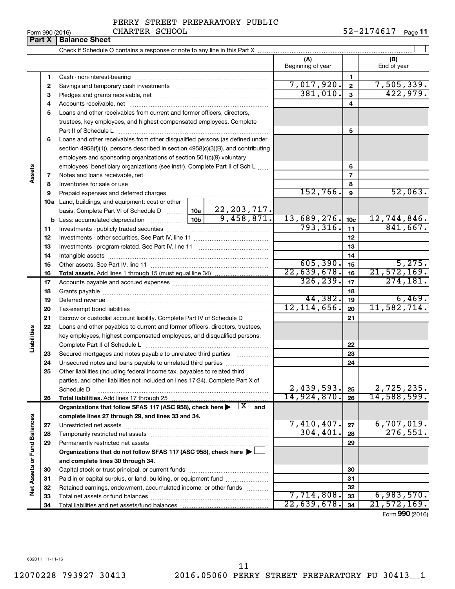|  | Form 990 (2016) |  |
|--|-----------------|--|
|  |                 |  |

**Part X** | Balance Sheet

#### PERRY STREET PREPARATORY PUBLIC CHARTER SCHOOL

Form 990 (2016) CHARTER SCHOOL 52-2174617 <sub>Page</sub> 11

 $\perp$ Check if Schedule O contains a response or note to any line in this Part X **(A) (B)** Beginning of year  $\begin{vmatrix} 1 & 1 \end{vmatrix}$  End of year **1 1** Cash - non-interest-bearing ~~~~~~~~~~~~~~~~~~~~~~~~~ 7,017,920. 2 7,505,339. **2 2** Savings and temporary cash investments ~~~~~~~~~~~~~~~~~~ 381,010. 422,979. **3 3** Pledges and grants receivable, net ~~~~~~~~~~~~~~~~~~~~~ **4 4** Accounts receivable, net ~~~~~~~~~~~~~~~~~~~~~~~~~~ **5** Loans and other receivables from current and former officers, directors, trustees, key employees, and highest compensated employees. Complete **5** Part II of Schedule L ~~~~~~~~~~~~~~~~~~~~~~~~~~~~ **6** Loans and other receivables from other disqualified persons (as defined under section 4958(f)(1)), persons described in section 4958(c)(3)(B), and contributing employers and sponsoring organizations of section 501(c)(9) voluntary employees' beneficiary organizations (see instr). Complete Part II of Sch L ...... **6 Assets 7 7** Notes and loans receivable, net ~~~~~~~~~~~~~~~~~~~~~~~ **8 8** Inventories for sale or use ~~~~~~~~~~~~~~~~~~~~~~~~~~  $152,766.$  9  $52,063.$ **9 9** Prepaid expenses and deferred charges ~~~~~~~~~~~~~~~~~~ **10 a** Land, buildings, and equipment: cost or other 22,203,717. basis. Complete Part VI of Schedule D  $\frac{1}{10}$  10a  $9,458,871.$  13,689,276. 10c 12,744,846. **10c b** Less: accumulated depreciation  $\ldots$  [10b 793,316. <sub>11</sub> 841,667. **11 11** Investments - publicly traded securities ~~~~~~~~~~~~~~~~~~~ **12 12** Investments - other securities. See Part IV, line 11 ~~~~~~~~~~~~~~ **13 13** Investments - program-related. See Part IV, line 11 ~~~~~~~~~~~~~ **14 14** Intangible assets ~~~~~~~~~~~~~~~~~~~~~~~~~~~~~~  $605,390.$   $15$   $5,275.$ Other assets. See Part IV, line 11 ~~~~~~~~~~~~~~~~~~~~~~ **15 15**  $\overline{22,639,678.}$  16  $\overline{21,572,169.}$ **16 16 Total assets.**  Add lines 1 through 15 (must equal line 34) 326,239. 274,181. **17 17** Accounts payable and accrued expenses ~~~~~~~~~~~~~~~~~~ **18 18** Grants payable ~~~~~~~~~~~~~~~~~~~~~~~~~~~~~~~  $44,382.$   $19$  6,469. **19 19** Deferred revenue ~~~~~~~~~~~~~~~~~~~~~~~~~~~~~~  $12,114,656$ .  $\boxed{20}$  11,582,714. **20 20** Tax-exempt bond liabilities ~~~~~~~~~~~~~~~~~~~~~~~~~ **21 21** Escrow or custodial account liability. Complete Part IV of Schedule D ........... **22** Loans and other payables to current and former officers, directors, trustees, **Liabilities** key employees, highest compensated employees, and disqualified persons. Complete Part II of Schedule L ~~~~~~~~~~~~~~~~~~~~~~~ **22** Secured mortgages and notes payable to unrelated third parties  $\ldots$ ................. **23 23 24** Unsecured notes and loans payable to unrelated third parties ~~~~~~~~ **24 25** Other liabilities (including federal income tax, payables to related third parties, and other liabilities not included on lines 17-24). Complete Part X of  $2,439,593$ .  $|25|$  2,725,235. Schedule D ~~~~~~~~~~~~~~~~~~~~~~~~~~~~~~~~ **25** 14,924,870. 26 14,588,599. **26 26 Total liabilities.**  Add lines 17 through 25 Organizations that follow SFAS 117 (ASC 958), check here  $\blacktriangleright$   $\boxed{X}$  and **complete lines 27 through 29, and lines 33 and 34. Vet Assets or Fund Balances Net Assets or Fund Balances**  $7,410,407$ .  $|z_7|$  6,707,019. **27 27** Unrestricted net assets ~~~~~~~~~~~~~~~~~~~~~~~~~~~ 304,401. 276,551. **28 28** Temporarily restricted net assets ~~~~~~~~~~~~~~~~~~~~~~ **29 29** Permanently restricted net assets ~~~~~~~~~~~~~~~~~~~~~ **Organizations that do not follow SFAS 117 (ASC 958), check here** | † **and complete lines 30 through 34. 30 30** Capital stock or trust principal, or current funds ~~~~~~~~~~~~~~~ **31 31** Paid-in or capital surplus, or land, building, or equipment fund ....................... **32 32** Retained earnings, endowment, accumulated income, or other funds ............  $7,714,808.$  33 6,983,570. **33** Total net assets or fund balances ~~~~~~~~~~~~~~~~~~~~~~ **33** 22,639,678. 21,572,169. **34 34** Total liabilities and net assets/fund balances

Form (2016) **990**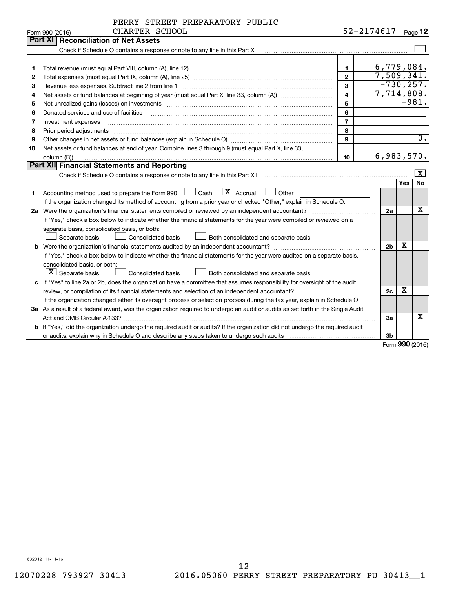|                |  | PERRY STREET PREPARATORY PUBLIC |  |
|----------------|--|---------------------------------|--|
| CHARTER SCHOOL |  |                                 |  |

|    | CHARTER SCHOOL<br>Form 990 (2016)                                                                                                                                                                                              |                         | 52-2174617     |     | Page 12             |
|----|--------------------------------------------------------------------------------------------------------------------------------------------------------------------------------------------------------------------------------|-------------------------|----------------|-----|---------------------|
|    | <b>Part XI Reconciliation of Net Assets</b>                                                                                                                                                                                    |                         |                |     |                     |
|    |                                                                                                                                                                                                                                |                         |                |     |                     |
|    |                                                                                                                                                                                                                                |                         |                |     |                     |
| 1  |                                                                                                                                                                                                                                | $\mathbf{1}$            | 6,779,084.     |     |                     |
| 2  |                                                                                                                                                                                                                                | $\overline{2}$          | 7,509,341.     |     |                     |
| з  | Revenue less expenses. Subtract line 2 from line 1                                                                                                                                                                             | 3                       | $-730, 257.$   |     |                     |
| 4  |                                                                                                                                                                                                                                | $\overline{\mathbf{4}}$ | 7,714,808.     |     |                     |
| 5  | Net unrealized gains (losses) on investments [11] matter than the control of the state of the state of the state of the state of the state of the state of the state of the state of the state of the state of the state of th | 5                       |                |     | $-981.$             |
| 6  | Donated services and use of facilities                                                                                                                                                                                         | 6                       |                |     |                     |
| 7  | Investment expenses                                                                                                                                                                                                            | $\overline{7}$          |                |     |                     |
| 8  | Prior period adjustments material contents and content and content and content and content and content and content and content and content and content and content and content and content and content and content and content | 8                       |                |     |                     |
| 9  |                                                                                                                                                                                                                                | 9                       |                |     | $\overline{0}$ .    |
| 10 | Net assets or fund balances at end of year. Combine lines 3 through 9 (must equal Part X, line 33,                                                                                                                             |                         |                |     |                     |
|    | column (B))                                                                                                                                                                                                                    | 10                      | 6,983,570.     |     |                     |
|    | Part XII Financial Statements and Reporting                                                                                                                                                                                    |                         |                |     |                     |
|    |                                                                                                                                                                                                                                |                         |                |     | $\lfloor x \rfloor$ |
|    |                                                                                                                                                                                                                                |                         |                | Yes | <b>No</b>           |
| 1  | $\lfloor x \rfloor$ Accrual<br>Accounting method used to prepare the Form 990: [130] Cash<br>$\Box$ Other                                                                                                                      |                         |                |     |                     |
|    | If the organization changed its method of accounting from a prior year or checked "Other," explain in Schedule O.                                                                                                              |                         |                |     |                     |
|    |                                                                                                                                                                                                                                |                         | 2a             |     | X                   |
|    | If "Yes," check a box below to indicate whether the financial statements for the year were compiled or reviewed on a                                                                                                           |                         |                |     |                     |
|    | separate basis, consolidated basis, or both:                                                                                                                                                                                   |                         |                |     |                     |
|    | Both consolidated and separate basis<br>Separate basis<br>Consolidated basis                                                                                                                                                   |                         |                |     |                     |
|    |                                                                                                                                                                                                                                |                         | 2 <sub>b</sub> | х   |                     |
|    | If "Yes," check a box below to indicate whether the financial statements for the year were audited on a separate basis,                                                                                                        |                         |                |     |                     |
|    | consolidated basis, or both:                                                                                                                                                                                                   |                         |                |     |                     |
|    | $ \mathbf{X} $ Separate basis<br>Consolidated basis<br>Both consolidated and separate basis                                                                                                                                    |                         |                |     |                     |
|    | c If "Yes" to line 2a or 2b, does the organization have a committee that assumes responsibility for oversight of the audit,                                                                                                    |                         |                |     |                     |
|    |                                                                                                                                                                                                                                |                         | 2c             | х   |                     |
|    | If the organization changed either its oversight process or selection process during the tax year, explain in Schedule O.                                                                                                      |                         |                |     |                     |
|    | 3a As a result of a federal award, was the organization required to undergo an audit or audits as set forth in the Single Audit                                                                                                |                         |                |     |                     |
|    |                                                                                                                                                                                                                                |                         | За             |     | x                   |
|    | <b>b</b> If "Yes," did the organization undergo the required audit or audits? If the organization did not undergo the required audit                                                                                           |                         |                |     |                     |
|    |                                                                                                                                                                                                                                |                         | 3 <sub>b</sub> |     |                     |

Form (2016) **990**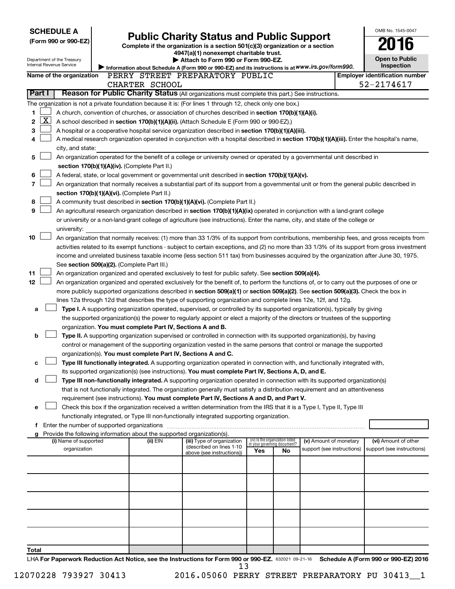| <b>SCHEDULE A</b>                                                                                                                          |                                                                                                                                            |                                                                                    |                                                                                                                                                                                                                                                      |     |                                                                |                                       |  | OMB No. 1545-0047          |
|--------------------------------------------------------------------------------------------------------------------------------------------|--------------------------------------------------------------------------------------------------------------------------------------------|------------------------------------------------------------------------------------|------------------------------------------------------------------------------------------------------------------------------------------------------------------------------------------------------------------------------------------------------|-----|----------------------------------------------------------------|---------------------------------------|--|----------------------------|
| (Form 990 or 990-EZ)                                                                                                                       |                                                                                                                                            |                                                                                    | <b>Public Charity Status and Public Support</b>                                                                                                                                                                                                      |     |                                                                |                                       |  | 16                         |
|                                                                                                                                            |                                                                                                                                            |                                                                                    | Complete if the organization is a section 501(c)(3) organization or a section<br>4947(a)(1) nonexempt charitable trust.                                                                                                                              |     |                                                                |                                       |  |                            |
| Department of the Treasury<br>Internal Revenue Service                                                                                     |                                                                                                                                            |                                                                                    | Attach to Form 990 or Form 990-EZ.                                                                                                                                                                                                                   |     |                                                                |                                       |  | <b>Open to Public</b>      |
|                                                                                                                                            |                                                                                                                                            |                                                                                    | Information about Schedule A (Form 990 or 990-EZ) and its instructions is at WWW.irs.gov/form990.                                                                                                                                                    |     |                                                                |                                       |  | <b>Inspection</b>          |
| PERRY STREET PREPARATORY PUBLIC<br>Name of the organization<br>CHARTER SCHOOL                                                              |                                                                                                                                            |                                                                                    |                                                                                                                                                                                                                                                      |     |                                                                | <b>Employer identification number</b> |  |                            |
| Part I                                                                                                                                     |                                                                                                                                            |                                                                                    | Reason for Public Charity Status (All organizations must complete this part.) See instructions.                                                                                                                                                      |     |                                                                |                                       |  | 52-2174617                 |
|                                                                                                                                            |                                                                                                                                            |                                                                                    |                                                                                                                                                                                                                                                      |     |                                                                |                                       |  |                            |
| The organization is not a private foundation because it is: (For lines 1 through 12, check only one box.)                                  |                                                                                                                                            |                                                                                    |                                                                                                                                                                                                                                                      |     |                                                                |                                       |  |                            |
| 1<br>$\mathbf{X}$                                                                                                                          |                                                                                                                                            |                                                                                    | A church, convention of churches, or association of churches described in section 170(b)(1)(A)(i).                                                                                                                                                   |     |                                                                |                                       |  |                            |
| 2<br>3                                                                                                                                     |                                                                                                                                            |                                                                                    | A school described in section 170(b)(1)(A)(ii). (Attach Schedule E (Form 990 or 990-EZ).)<br>A hospital or a cooperative hospital service organization described in section 170(b)(1)(A)(iii).                                                       |     |                                                                |                                       |  |                            |
| 4                                                                                                                                          |                                                                                                                                            |                                                                                    |                                                                                                                                                                                                                                                      |     |                                                                |                                       |  |                            |
| city, and state:                                                                                                                           | A medical research organization operated in conjunction with a hospital described in section 170(b)(1)(A)(iii). Enter the hospital's name, |                                                                                    |                                                                                                                                                                                                                                                      |     |                                                                |                                       |  |                            |
| 5                                                                                                                                          | An organization operated for the benefit of a college or university owned or operated by a governmental unit described in                  |                                                                                    |                                                                                                                                                                                                                                                      |     |                                                                |                                       |  |                            |
|                                                                                                                                            |                                                                                                                                            | section 170(b)(1)(A)(iv). (Complete Part II.)                                      |                                                                                                                                                                                                                                                      |     |                                                                |                                       |  |                            |
| 6                                                                                                                                          |                                                                                                                                            |                                                                                    | A federal, state, or local government or governmental unit described in section 170(b)(1)(A)(v).                                                                                                                                                     |     |                                                                |                                       |  |                            |
| 7                                                                                                                                          |                                                                                                                                            |                                                                                    | An organization that normally receives a substantial part of its support from a governmental unit or from the general public described in                                                                                                            |     |                                                                |                                       |  |                            |
|                                                                                                                                            |                                                                                                                                            | section 170(b)(1)(A)(vi). (Complete Part II.)                                      |                                                                                                                                                                                                                                                      |     |                                                                |                                       |  |                            |
| 8                                                                                                                                          |                                                                                                                                            |                                                                                    | A community trust described in section 170(b)(1)(A)(vi). (Complete Part II.)                                                                                                                                                                         |     |                                                                |                                       |  |                            |
| 9                                                                                                                                          |                                                                                                                                            |                                                                                    | An agricultural research organization described in section 170(b)(1)(A)(ix) operated in conjunction with a land-grant college                                                                                                                        |     |                                                                |                                       |  |                            |
|                                                                                                                                            |                                                                                                                                            |                                                                                    | or university or a non-land-grant college of agriculture (see instructions). Enter the name, city, and state of the college or                                                                                                                       |     |                                                                |                                       |  |                            |
| university:                                                                                                                                |                                                                                                                                            |                                                                                    |                                                                                                                                                                                                                                                      |     |                                                                |                                       |  |                            |
| 10                                                                                                                                         |                                                                                                                                            |                                                                                    | An organization that normally receives: (1) more than 33 1/3% of its support from contributions, membership fees, and gross receipts from                                                                                                            |     |                                                                |                                       |  |                            |
|                                                                                                                                            |                                                                                                                                            |                                                                                    | activities related to its exempt functions - subject to certain exceptions, and (2) no more than 33 1/3% of its support from gross investment                                                                                                        |     |                                                                |                                       |  |                            |
|                                                                                                                                            |                                                                                                                                            |                                                                                    | income and unrelated business taxable income (less section 511 tax) from businesses acquired by the organization after June 30, 1975.                                                                                                                |     |                                                                |                                       |  |                            |
|                                                                                                                                            |                                                                                                                                            | See section 509(a)(2). (Complete Part III.)                                        |                                                                                                                                                                                                                                                      |     |                                                                |                                       |  |                            |
| 11                                                                                                                                         |                                                                                                                                            |                                                                                    | An organization organized and operated exclusively to test for public safety. See section 509(a)(4).                                                                                                                                                 |     |                                                                |                                       |  |                            |
| 12 <sub>2</sub>                                                                                                                            |                                                                                                                                            |                                                                                    | An organization organized and operated exclusively for the benefit of, to perform the functions of, or to carry out the purposes of one or                                                                                                           |     |                                                                |                                       |  |                            |
|                                                                                                                                            |                                                                                                                                            |                                                                                    | more publicly supported organizations described in section 509(a)(1) or section 509(a)(2). See section 509(a)(3). Check the box in<br>lines 12a through 12d that describes the type of supporting organization and complete lines 12e, 12f, and 12g. |     |                                                                |                                       |  |                            |
| a                                                                                                                                          |                                                                                                                                            |                                                                                    | Type I. A supporting organization operated, supervised, or controlled by its supported organization(s), typically by giving                                                                                                                          |     |                                                                |                                       |  |                            |
|                                                                                                                                            |                                                                                                                                            |                                                                                    | the supported organization(s) the power to regularly appoint or elect a majority of the directors or trustees of the supporting                                                                                                                      |     |                                                                |                                       |  |                            |
|                                                                                                                                            |                                                                                                                                            | organization. You must complete Part IV, Sections A and B.                         |                                                                                                                                                                                                                                                      |     |                                                                |                                       |  |                            |
| b                                                                                                                                          |                                                                                                                                            |                                                                                    | Type II. A supporting organization supervised or controlled in connection with its supported organization(s), by having                                                                                                                              |     |                                                                |                                       |  |                            |
|                                                                                                                                            |                                                                                                                                            |                                                                                    | control or management of the supporting organization vested in the same persons that control or manage the supported                                                                                                                                 |     |                                                                |                                       |  |                            |
|                                                                                                                                            |                                                                                                                                            | organization(s). You must complete Part IV, Sections A and C.                      |                                                                                                                                                                                                                                                      |     |                                                                |                                       |  |                            |
|                                                                                                                                            |                                                                                                                                            |                                                                                    | Type III functionally integrated. A supporting organization operated in connection with, and functionally integrated with,                                                                                                                           |     |                                                                |                                       |  |                            |
|                                                                                                                                            |                                                                                                                                            |                                                                                    | its supported organization(s) (see instructions). You must complete Part IV, Sections A, D, and E.                                                                                                                                                   |     |                                                                |                                       |  |                            |
| d                                                                                                                                          |                                                                                                                                            |                                                                                    | Type III non-functionally integrated. A supporting organization operated in connection with its supported organization(s)                                                                                                                            |     |                                                                |                                       |  |                            |
|                                                                                                                                            |                                                                                                                                            |                                                                                    | that is not functionally integrated. The organization generally must satisfy a distribution requirement and an attentiveness                                                                                                                         |     |                                                                |                                       |  |                            |
|                                                                                                                                            |                                                                                                                                            |                                                                                    | requirement (see instructions). You must complete Part IV, Sections A and D, and Part V.                                                                                                                                                             |     |                                                                |                                       |  |                            |
| е                                                                                                                                          |                                                                                                                                            |                                                                                    | Check this box if the organization received a written determination from the IRS that it is a Type I, Type II, Type III                                                                                                                              |     |                                                                |                                       |  |                            |
|                                                                                                                                            |                                                                                                                                            |                                                                                    | functionally integrated, or Type III non-functionally integrated supporting organization.                                                                                                                                                            |     |                                                                |                                       |  |                            |
| f Enter the number of supported organizations                                                                                              |                                                                                                                                            |                                                                                    |                                                                                                                                                                                                                                                      |     |                                                                |                                       |  |                            |
| (i) Name of supported                                                                                                                      |                                                                                                                                            | Provide the following information about the supported organization(s).<br>(ii) EIN | (iii) Type of organization                                                                                                                                                                                                                           |     | (iv) Is the organization listed<br>in your governing document? | (v) Amount of monetary                |  | (vi) Amount of other       |
| organization                                                                                                                               |                                                                                                                                            |                                                                                    | (described on lines 1-10                                                                                                                                                                                                                             | Yes | No                                                             | support (see instructions)            |  | support (see instructions) |
|                                                                                                                                            |                                                                                                                                            |                                                                                    | above (see instructions))                                                                                                                                                                                                                            |     |                                                                |                                       |  |                            |
|                                                                                                                                            |                                                                                                                                            |                                                                                    |                                                                                                                                                                                                                                                      |     |                                                                |                                       |  |                            |
|                                                                                                                                            |                                                                                                                                            |                                                                                    |                                                                                                                                                                                                                                                      |     |                                                                |                                       |  |                            |
|                                                                                                                                            |                                                                                                                                            |                                                                                    |                                                                                                                                                                                                                                                      |     |                                                                |                                       |  |                            |
|                                                                                                                                            |                                                                                                                                            |                                                                                    |                                                                                                                                                                                                                                                      |     |                                                                |                                       |  |                            |
|                                                                                                                                            |                                                                                                                                            |                                                                                    |                                                                                                                                                                                                                                                      |     |                                                                |                                       |  |                            |
|                                                                                                                                            |                                                                                                                                            |                                                                                    |                                                                                                                                                                                                                                                      |     |                                                                |                                       |  |                            |
|                                                                                                                                            |                                                                                                                                            |                                                                                    |                                                                                                                                                                                                                                                      |     |                                                                |                                       |  |                            |
|                                                                                                                                            |                                                                                                                                            |                                                                                    |                                                                                                                                                                                                                                                      |     |                                                                |                                       |  |                            |
|                                                                                                                                            |                                                                                                                                            |                                                                                    |                                                                                                                                                                                                                                                      |     |                                                                |                                       |  |                            |
| Total                                                                                                                                      |                                                                                                                                            |                                                                                    |                                                                                                                                                                                                                                                      |     |                                                                |                                       |  |                            |
| LHA For Paperwork Reduction Act Notice, see the Instructions for Form 990 or 990-FZ, 632021 09-21-16. Schedule A (Form 990 or 990-FZ) 2016 |                                                                                                                                            |                                                                                    |                                                                                                                                                                                                                                                      |     |                                                                |                                       |  |                            |

632021 09-21-16 **For Paperwork Reduction Act Notice, see the Instructions for Form 990 or 990-EZ. Schedule A (Form 990 or 990-EZ) 2016** LHA 13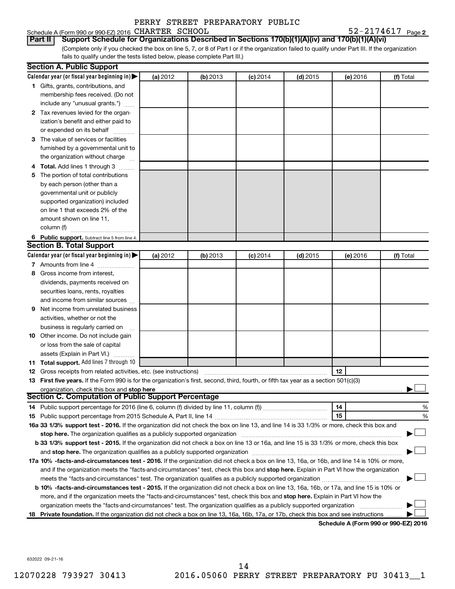Schedule A (Form 990 or 990-EZ) 2016 CHARTER SCHOOL  $52-2174617$  Page

52-2174617 Page 2

(Complete only if you checked the box on line 5, 7, or 8 of Part I or if the organization failed to qualify under Part III. If the organization fails to qualify under the tests listed below, please complete Part III.) **Part II Support Schedule for Organizations Described in Sections 170(b)(1)(A)(iv) and 170(b)(1)(A)(vi)**

|    | <b>Section A. Public Support</b>                                                                                                               |          |          |            |            |          |                                      |
|----|------------------------------------------------------------------------------------------------------------------------------------------------|----------|----------|------------|------------|----------|--------------------------------------|
|    | Calendar year (or fiscal year beginning in) $\blacktriangleright$                                                                              | (a) 2012 | (b) 2013 | $(c)$ 2014 | $(d)$ 2015 | (e) 2016 | (f) Total                            |
|    | 1 Gifts, grants, contributions, and                                                                                                            |          |          |            |            |          |                                      |
|    | membership fees received. (Do not                                                                                                              |          |          |            |            |          |                                      |
|    | include any "unusual grants.")                                                                                                                 |          |          |            |            |          |                                      |
|    | 2 Tax revenues levied for the organ-                                                                                                           |          |          |            |            |          |                                      |
|    | ization's benefit and either paid to                                                                                                           |          |          |            |            |          |                                      |
|    | or expended on its behalf                                                                                                                      |          |          |            |            |          |                                      |
|    | 3 The value of services or facilities                                                                                                          |          |          |            |            |          |                                      |
|    | furnished by a governmental unit to                                                                                                            |          |          |            |            |          |                                      |
|    | the organization without charge                                                                                                                |          |          |            |            |          |                                      |
|    | 4 Total. Add lines 1 through 3                                                                                                                 |          |          |            |            |          |                                      |
| 5  | The portion of total contributions                                                                                                             |          |          |            |            |          |                                      |
|    | by each person (other than a                                                                                                                   |          |          |            |            |          |                                      |
|    | governmental unit or publicly                                                                                                                  |          |          |            |            |          |                                      |
|    | supported organization) included                                                                                                               |          |          |            |            |          |                                      |
|    | on line 1 that exceeds 2% of the                                                                                                               |          |          |            |            |          |                                      |
|    | amount shown on line 11,                                                                                                                       |          |          |            |            |          |                                      |
|    | column (f)                                                                                                                                     |          |          |            |            |          |                                      |
|    | 6 Public support. Subtract line 5 from line 4.                                                                                                 |          |          |            |            |          |                                      |
|    | <b>Section B. Total Support</b>                                                                                                                |          |          |            |            |          |                                      |
|    | Calendar year (or fiscal year beginning in)                                                                                                    | (a) 2012 | (b) 2013 | $(c)$ 2014 | $(d)$ 2015 | (e) 2016 | (f) Total                            |
|    | 7 Amounts from line 4                                                                                                                          |          |          |            |            |          |                                      |
| 8  | Gross income from interest,                                                                                                                    |          |          |            |            |          |                                      |
|    | dividends, payments received on                                                                                                                |          |          |            |            |          |                                      |
|    | securities loans, rents, royalties                                                                                                             |          |          |            |            |          |                                      |
|    | and income from similar sources                                                                                                                |          |          |            |            |          |                                      |
| 9  | Net income from unrelated business                                                                                                             |          |          |            |            |          |                                      |
|    | activities, whether or not the                                                                                                                 |          |          |            |            |          |                                      |
|    | business is regularly carried on                                                                                                               |          |          |            |            |          |                                      |
|    | <b>10</b> Other income. Do not include gain                                                                                                    |          |          |            |            |          |                                      |
|    | or loss from the sale of capital                                                                                                               |          |          |            |            |          |                                      |
|    | assets (Explain in Part VI.)                                                                                                                   |          |          |            |            |          |                                      |
|    | 11 Total support. Add lines 7 through 10                                                                                                       |          |          |            |            |          |                                      |
|    | <b>12</b> Gross receipts from related activities, etc. (see instructions)                                                                      |          |          |            |            | 12       |                                      |
|    | 13 First five years. If the Form 990 is for the organization's first, second, third, fourth, or fifth tax year as a section 501(c)(3)          |          |          |            |            |          |                                      |
|    | organization, check this box and stop here                                                                                                     |          |          |            |            |          |                                      |
|    | <b>Section C. Computation of Public Support Percentage</b>                                                                                     |          |          |            |            |          |                                      |
|    |                                                                                                                                                |          |          |            |            | 14       | %                                    |
|    |                                                                                                                                                |          |          |            |            | 15       | %                                    |
|    | 16a 33 1/3% support test - 2016. If the organization did not check the box on line 13, and line 14 is 33 1/3% or more, check this box and      |          |          |            |            |          |                                      |
|    | stop here. The organization qualifies as a publicly supported organization                                                                     |          |          |            |            |          |                                      |
|    | b 33 1/3% support test - 2015. If the organization did not check a box on line 13 or 16a, and line 15 is 33 1/3% or more, check this box       |          |          |            |            |          |                                      |
|    |                                                                                                                                                |          |          |            |            |          |                                      |
|    | 17a 10% -facts-and-circumstances test - 2016. If the organization did not check a box on line 13, 16a, or 16b, and line 14 is 10% or more,     |          |          |            |            |          |                                      |
|    | and if the organization meets the "facts-and-circumstances" test, check this box and stop here. Explain in Part VI how the organization        |          |          |            |            |          |                                      |
|    |                                                                                                                                                |          |          |            |            |          |                                      |
|    | <b>b 10%</b> -facts-and-circumstances test - 2015. If the organization did not check a box on line 13, 16a, 16b, or 17a, and line 15 is 10% or |          |          |            |            |          |                                      |
|    | more, and if the organization meets the "facts-and-circumstances" test, check this box and stop here. Explain in Part VI how the               |          |          |            |            |          |                                      |
|    | organization meets the "facts-and-circumstances" test. The organization qualifies as a publicly supported organization                         |          |          |            |            |          |                                      |
| 18 | Private foundation. If the organization did not check a box on line 13, 16a, 16b, 17a, or 17b, check this box and see instructions             |          |          |            |            |          |                                      |
|    |                                                                                                                                                |          |          |            |            |          | Schedule A (Form 990 or 990-F7) 2016 |

**Schedule A (Form 990 or 990-EZ) 2016**

632022 09-21-16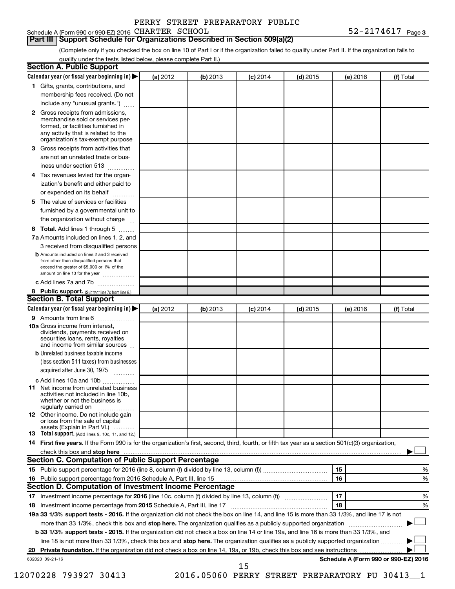#### **Part III Support Schedule for Organizations Described in Section 509(a)(2)**

(Complete only if you checked the box on line 10 of Part I or if the organization failed to qualify under Part II. If the organization fails to qualify under the tests listed below, please complete Part II.)

| <b>Section A. Public Support</b>                                                                                                                                                                |          |          |            |            |          |                                      |
|-------------------------------------------------------------------------------------------------------------------------------------------------------------------------------------------------|----------|----------|------------|------------|----------|--------------------------------------|
| Calendar year (or fiscal year beginning in)                                                                                                                                                     | (a) 2012 | (b) 2013 | $(c)$ 2014 | $(d)$ 2015 | (e) 2016 | (f) Total                            |
| 1 Gifts, grants, contributions, and                                                                                                                                                             |          |          |            |            |          |                                      |
| membership fees received. (Do not                                                                                                                                                               |          |          |            |            |          |                                      |
| include any "unusual grants.")                                                                                                                                                                  |          |          |            |            |          |                                      |
| <b>2</b> Gross receipts from admissions,<br>merchandise sold or services per-<br>formed, or facilities furnished in<br>any activity that is related to the<br>organization's tax-exempt purpose |          |          |            |            |          |                                      |
| 3 Gross receipts from activities that                                                                                                                                                           |          |          |            |            |          |                                      |
| are not an unrelated trade or bus-                                                                                                                                                              |          |          |            |            |          |                                      |
| iness under section 513                                                                                                                                                                         |          |          |            |            |          |                                      |
| 4 Tax revenues levied for the organ-                                                                                                                                                            |          |          |            |            |          |                                      |
| ization's benefit and either paid to                                                                                                                                                            |          |          |            |            |          |                                      |
| or expended on its behalf                                                                                                                                                                       |          |          |            |            |          |                                      |
| 5 The value of services or facilities                                                                                                                                                           |          |          |            |            |          |                                      |
| furnished by a governmental unit to                                                                                                                                                             |          |          |            |            |          |                                      |
| the organization without charge                                                                                                                                                                 |          |          |            |            |          |                                      |
| <b>6 Total.</b> Add lines 1 through 5                                                                                                                                                           |          |          |            |            |          |                                      |
| 7a Amounts included on lines 1, 2, and                                                                                                                                                          |          |          |            |            |          |                                      |
| 3 received from disqualified persons                                                                                                                                                            |          |          |            |            |          |                                      |
| <b>b</b> Amounts included on lines 2 and 3 received<br>from other than disqualified persons that<br>exceed the greater of \$5,000 or 1% of the<br>amount on line 13 for the year                |          |          |            |            |          |                                      |
| c Add lines 7a and 7b                                                                                                                                                                           |          |          |            |            |          |                                      |
| 8 Public support. (Subtract line 7c from line 6.)                                                                                                                                               |          |          |            |            |          |                                      |
| <b>Section B. Total Support</b>                                                                                                                                                                 |          |          |            |            |          |                                      |
| Calendar year (or fiscal year beginning in)                                                                                                                                                     | (a) 2012 | (b) 2013 | $(c)$ 2014 | $(d)$ 2015 | (e) 2016 | (f) Total                            |
| 9 Amounts from line 6                                                                                                                                                                           |          |          |            |            |          |                                      |
| <b>10a</b> Gross income from interest,<br>dividends, payments received on<br>securities loans, rents, royalties<br>and income from similar sources                                              |          |          |            |            |          |                                      |
| <b>b</b> Unrelated business taxable income<br>(less section 511 taxes) from businesses<br>acquired after June 30, 1975                                                                          |          |          |            |            |          |                                      |
| c Add lines 10a and 10b<br><b>11</b> Net income from unrelated business<br>activities not included in line 10b.<br>whether or not the business is<br>regularly carried on                       |          |          |            |            |          |                                      |
| 12 Other income. Do not include gain<br>or loss from the sale of capital<br>assets (Explain in Part VI.)                                                                                        |          |          |            |            |          |                                      |
| <b>13</b> Total support. (Add lines 9, 10c, 11, and 12.)                                                                                                                                        |          |          |            |            |          |                                      |
| 14 First five years. If the Form 990 is for the organization's first, second, third, fourth, or fifth tax year as a section 501(c)(3) organization,                                             |          |          |            |            |          |                                      |
|                                                                                                                                                                                                 |          |          |            |            |          |                                      |
| Section C. Computation of Public Support Percentage                                                                                                                                             |          |          |            |            |          |                                      |
|                                                                                                                                                                                                 |          |          |            |            | 15       | %                                    |
|                                                                                                                                                                                                 |          |          |            |            | 16       | %                                    |
| Section D. Computation of Investment Income Percentage                                                                                                                                          |          |          |            |            |          |                                      |
| 17 Investment income percentage for 2016 (line 10c, column (f) divided by line 13, column (f))                                                                                                  |          |          |            |            | 17       | %                                    |
| 18 Investment income percentage from 2015 Schedule A, Part III, line 17                                                                                                                         |          |          |            |            | 18       | %                                    |
| 19a 33 1/3% support tests - 2016. If the organization did not check the box on line 14, and line 15 is more than 33 1/3%, and line 17 is not                                                    |          |          |            |            |          |                                      |
| more than 33 1/3%, check this box and stop here. The organization qualifies as a publicly supported organization                                                                                |          |          |            |            |          |                                      |
| b 33 1/3% support tests - 2015. If the organization did not check a box on line 14 or line 19a, and line 16 is more than 33 1/3%, and                                                           |          |          |            |            |          |                                      |
| line 18 is not more than 33 1/3%, check this box and stop here. The organization qualifies as a publicly supported organization                                                                 |          |          |            |            |          |                                      |
|                                                                                                                                                                                                 |          |          |            |            |          |                                      |
| 632023 09-21-16                                                                                                                                                                                 |          |          | 15         |            |          | Schedule A (Form 990 or 990-EZ) 2016 |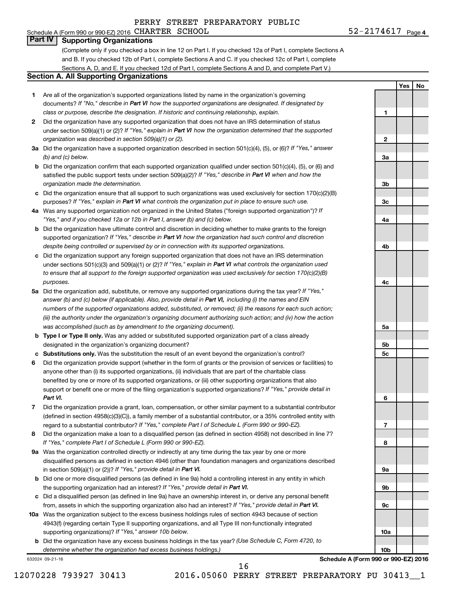#### Schedule A (Form 990 or 990-EZ) 2016 CHARTER SCHOOL  $52-2174617$  Page **Part IV Supporting Organizations**

(Complete only if you checked a box in line 12 on Part I. If you checked 12a of Part I, complete Sections A and B. If you checked 12b of Part I, complete Sections A and C. If you checked 12c of Part I, complete Sections A, D, and E. If you checked 12d of Part I, complete Sections A and D, and complete Part V.)

#### **Section A. All Supporting Organizations**

- **1** Are all of the organization's supported organizations listed by name in the organization's governing documents? If "No," describe in Part VI how the supported organizations are designated. If designated by *class or purpose, describe the designation. If historic and continuing relationship, explain.*
- **2** Did the organization have any supported organization that does not have an IRS determination of status under section 509(a)(1) or (2)? If "Yes," explain in Part VI how the organization determined that the supported *organization was described in section 509(a)(1) or (2).*
- **3a** Did the organization have a supported organization described in section 501(c)(4), (5), or (6)? If "Yes," answer *(b) and (c) below.*
- **b** Did the organization confirm that each supported organization qualified under section 501(c)(4), (5), or (6) and satisfied the public support tests under section 509(a)(2)? If "Yes," describe in Part VI when and how the *organization made the determination.*
- **c** Did the organization ensure that all support to such organizations was used exclusively for section 170(c)(2)(B) purposes? If "Yes," explain in Part VI what controls the organization put in place to ensure such use.
- **4 a** *If* Was any supported organization not organized in the United States ("foreign supported organization")? *"Yes," and if you checked 12a or 12b in Part I, answer (b) and (c) below.*
- **b** Did the organization have ultimate control and discretion in deciding whether to make grants to the foreign supported organization? If "Yes," describe in Part VI how the organization had such control and discretion *despite being controlled or supervised by or in connection with its supported organizations.*
- **c** Did the organization support any foreign supported organization that does not have an IRS determination under sections 501(c)(3) and 509(a)(1) or (2)? If "Yes," explain in Part VI what controls the organization used *to ensure that all support to the foreign supported organization was used exclusively for section 170(c)(2)(B) purposes.*
- **5a** Did the organization add, substitute, or remove any supported organizations during the tax year? If "Yes," answer (b) and (c) below (if applicable). Also, provide detail in Part VI, including (i) the names and EIN *numbers of the supported organizations added, substituted, or removed; (ii) the reasons for each such action; (iii) the authority under the organization's organizing document authorizing such action; and (iv) how the action was accomplished (such as by amendment to the organizing document).*
- **b Type I or Type II only.** Was any added or substituted supported organization part of a class already designated in the organization's organizing document?
- **c Substitutions only.**  Was the substitution the result of an event beyond the organization's control?
- **6** Did the organization provide support (whether in the form of grants or the provision of services or facilities) to support or benefit one or more of the filing organization's supported organizations? If "Yes," provide detail in anyone other than (i) its supported organizations, (ii) individuals that are part of the charitable class benefited by one or more of its supported organizations, or (iii) other supporting organizations that also *Part VI.*
- **7** Did the organization provide a grant, loan, compensation, or other similar payment to a substantial contributor regard to a substantial contributor? If "Yes," complete Part I of Schedule L (Form 990 or 990-EZ). (defined in section 4958(c)(3)(C)), a family member of a substantial contributor, or a 35% controlled entity with
- **8** Did the organization make a loan to a disqualified person (as defined in section 4958) not described in line 7? *If "Yes," complete Part I of Schedule L (Form 990 or 990-EZ).*
- **9 a** Was the organization controlled directly or indirectly at any time during the tax year by one or more in section 509(a)(1) or (2))? If "Yes," provide detail in Part VI. disqualified persons as defined in section 4946 (other than foundation managers and organizations described
- **b** Did one or more disqualified persons (as defined in line 9a) hold a controlling interest in any entity in which the supporting organization had an interest? If "Yes," provide detail in Part VI.
- **c** Did a disqualified person (as defined in line 9a) have an ownership interest in, or derive any personal benefit from, assets in which the supporting organization also had an interest? If "Yes," provide detail in Part VI.
- **10 a** Was the organization subject to the excess business holdings rules of section 4943 because of section supporting organizations)? If "Yes," answer 10b below. 4943(f) (regarding certain Type II supporting organizations, and all Type III non-functionally integrated
	- **b** Did the organization have any excess business holdings in the tax year? (Use Schedule C, Form 4720, to *determine whether the organization had excess business holdings.)*

632024 09-21-16



52-2174617 Page 4

**1**

**Yes No**

**Schedule A (Form 990 or 990-EZ) 2016**

12070228 793927 30413 2016.05060 PERRY STREET PREPARATORY PU 30413\_\_1

16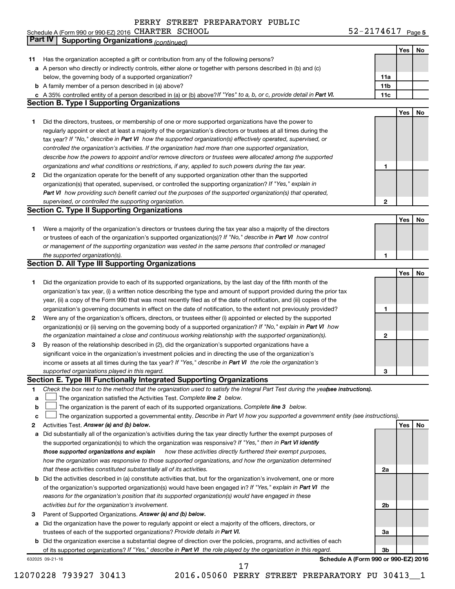# PERRY STREET PREPARATORY PUBLIC<br>CHARTER SCHOOL

|              | Schedule A (Form 990 or 990-EZ) 2016 CHARTER SCHOOL                                                                                                            | 52-2174617 Page 5 |     |    |
|--------------|----------------------------------------------------------------------------------------------------------------------------------------------------------------|-------------------|-----|----|
|              | <b>Part IV</b><br><b>Supporting Organizations (continued)</b>                                                                                                  |                   |     |    |
|              |                                                                                                                                                                |                   | Yes | No |
| 11           | Has the organization accepted a gift or contribution from any of the following persons?                                                                        |                   |     |    |
|              | a A person who directly or indirectly controls, either alone or together with persons described in (b) and (c)                                                 |                   |     |    |
|              | below, the governing body of a supported organization?                                                                                                         | 11a               |     |    |
|              | <b>b</b> A family member of a person described in (a) above?                                                                                                   | 11b               |     |    |
|              | c A 35% controlled entity of a person described in (a) or (b) above? If "Yes" to a, b, or c, provide detail in Part VI.                                        | 11c               |     |    |
|              | <b>Section B. Type I Supporting Organizations</b>                                                                                                              |                   |     |    |
|              |                                                                                                                                                                |                   | Yes | No |
| 1.           | Did the directors, trustees, or membership of one or more supported organizations have the power to                                                            |                   |     |    |
|              | regularly appoint or elect at least a majority of the organization's directors or trustees at all times during the                                             |                   |     |    |
|              | tax year? If "No," describe in Part VI how the supported organization(s) effectively operated, supervised, or                                                  |                   |     |    |
|              | controlled the organization's activities. If the organization had more than one supported organization,                                                        |                   |     |    |
|              | describe how the powers to appoint and/or remove directors or trustees were allocated among the supported                                                      |                   |     |    |
|              | organizations and what conditions or restrictions, if any, applied to such powers during the tax year.                                                         | 1                 |     |    |
| $\mathbf{2}$ | Did the organization operate for the benefit of any supported organization other than the supported                                                            |                   |     |    |
|              | organization(s) that operated, supervised, or controlled the supporting organization? If "Yes," explain in                                                     |                   |     |    |
|              | Part VI how providing such benefit carried out the purposes of the supported organization(s) that operated,                                                    |                   |     |    |
|              | supervised, or controlled the supporting organization.                                                                                                         | $\mathbf{2}$      |     |    |
|              | <b>Section C. Type II Supporting Organizations</b>                                                                                                             |                   |     |    |
|              |                                                                                                                                                                |                   | Yes | No |
| 1.           | Were a majority of the organization's directors or trustees during the tax year also a majority of the directors                                               |                   |     |    |
|              | or trustees of each of the organization's supported organization(s)? If "No," describe in Part VI how control                                                  |                   |     |    |
|              | or management of the supporting organization was vested in the same persons that controlled or managed                                                         |                   |     |    |
|              | the supported organization(s).                                                                                                                                 | 1                 |     |    |
|              | <b>Section D. All Type III Supporting Organizations</b>                                                                                                        |                   |     |    |
|              |                                                                                                                                                                |                   | Yes | No |
| 1.           | Did the organization provide to each of its supported organizations, by the last day of the fifth month of the                                                 |                   |     |    |
|              | organization's tax year, (i) a written notice describing the type and amount of support provided during the prior tax                                          |                   |     |    |
|              | year, (ii) a copy of the Form 990 that was most recently filed as of the date of notification, and (iii) copies of the                                         |                   |     |    |
|              | organization's governing documents in effect on the date of notification, to the extent not previously provided?                                               | 1                 |     |    |
| $\mathbf{2}$ | Were any of the organization's officers, directors, or trustees either (i) appointed or elected by the supported                                               |                   |     |    |
|              | organization(s) or (ii) serving on the governing body of a supported organization? If "No," explain in Part VI how                                             |                   |     |    |
|              | the organization maintained a close and continuous working relationship with the supported organization(s).                                                    | 2                 |     |    |
| 3            | By reason of the relationship described in (2), did the organization's supported organizations have a                                                          |                   |     |    |
|              | significant voice in the organization's investment policies and in directing the use of the organization's                                                     |                   |     |    |
|              | income or assets at all times during the tax year? If "Yes," describe in Part VI the role the organization's<br>supported organizations played in this regard. | З                 |     |    |
|              | Section E. Type III Functionally Integrated Supporting Organizations                                                                                           |                   |     |    |
| 1            | Check the box next to the method that the organization used to satisfy the Integral Part Test during the yea(see instructions).                                |                   |     |    |
| a            | The organization satisfied the Activities Test. Complete line 2 below.                                                                                         |                   |     |    |
| b            | The organization is the parent of each of its supported organizations. Complete line 3 below.                                                                  |                   |     |    |
| с            | The organization supported a governmental entity. Describe in Part VI how you supported a government entity (see instructions).                                |                   |     |    |
| 2            | Activities Test. Answer (a) and (b) below.                                                                                                                     |                   | Yes | No |
| а            | Did substantially all of the organization's activities during the tax year directly further the exempt purposes of                                             |                   |     |    |
|              | the supported organization(s) to which the organization was responsive? If "Yes," then in Part VI identify                                                     |                   |     |    |
|              | those supported organizations and explain<br>how these activities directly furthered their exempt purposes,                                                    |                   |     |    |
|              | how the organization was responsive to those supported organizations, and how the organization determined                                                      |                   |     |    |
|              | that these activities constituted substantially all of its activities.                                                                                         | 2a                |     |    |
|              | <b>b</b> Did the activities described in (a) constitute activities that, but for the organization's involvement, one or more                                   |                   |     |    |
|              | of the organization's supported organization(s) would have been engaged in? If "Yes," explain in Part VI the                                                   |                   |     |    |
|              | reasons for the organization's position that its supported organization(s) would have engaged in these                                                         |                   |     |    |
|              | activities but for the organization's involvement.                                                                                                             | 2b                |     |    |
| 3            | Parent of Supported Organizations. Answer (a) and (b) below.                                                                                                   |                   |     |    |
|              | a Did the organization have the power to regularly appoint or elect a majority of the officers, directors, or                                                  |                   |     |    |
|              | trustees of each of the supported organizations? Provide details in Part VI.                                                                                   | За                |     |    |
|              | <b>b</b> Did the organization exercise a substantial degree of direction over the policies, programs, and activities of each                                   |                   |     |    |
|              | of its supported organizations? If "Yes," describe in Part VI the role played by the organization in this regard.                                              | 3b                |     |    |

632025 09-21-16

**Schedule A (Form 990 or 990-EZ) 2016**

12070228 793927 30413 2016.05060 PERRY STREET PREPARATORY PU 30413\_\_1

17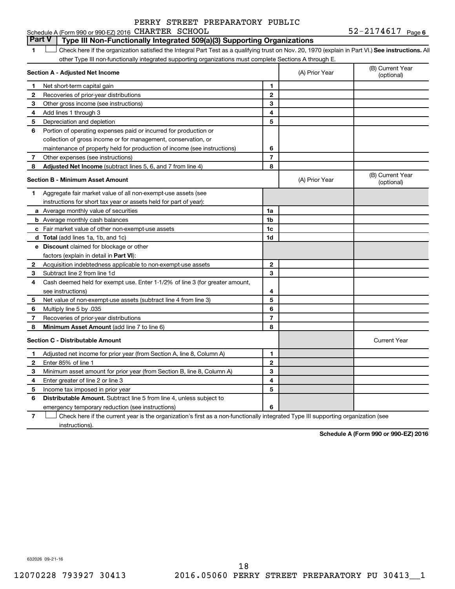### **Part V Type III Non-Functionally Integrated 509(a)(3) Supporting Organizations**

1 **Letter See instructions.** All Check here if the organization satisfied the Integral Part Test as a qualifying trust on Nov. 20, 1970 (explain in Part VI.) See instructions. All other Type III non-functionally integrated supporting organizations must complete Sections A through E.

|    | Section A - Adjusted Net Income                                              | (A) Prior Year | (B) Current Year<br>(optional) |                                |
|----|------------------------------------------------------------------------------|----------------|--------------------------------|--------------------------------|
| 1  | Net short-term capital gain                                                  | 1              |                                |                                |
| 2  | Recoveries of prior-year distributions                                       | $\overline{2}$ |                                |                                |
| 3  | Other gross income (see instructions)                                        | 3              |                                |                                |
| 4  | Add lines 1 through 3                                                        | 4              |                                |                                |
| 5  | Depreciation and depletion                                                   | 5              |                                |                                |
| 6  | Portion of operating expenses paid or incurred for production or             |                |                                |                                |
|    | collection of gross income or for management, conservation, or               |                |                                |                                |
|    | maintenance of property held for production of income (see instructions)     | 6              |                                |                                |
| 7  | Other expenses (see instructions)                                            | 7              |                                |                                |
| 8  | Adjusted Net Income (subtract lines 5, 6, and 7 from line 4)                 | 8              |                                |                                |
|    | <b>Section B - Minimum Asset Amount</b>                                      |                | (A) Prior Year                 | (B) Current Year<br>(optional) |
| 1. | Aggregate fair market value of all non-exempt-use assets (see                |                |                                |                                |
|    | instructions for short tax year or assets held for part of year):            |                |                                |                                |
|    | a Average monthly value of securities                                        | 1a             |                                |                                |
|    | <b>b</b> Average monthly cash balances                                       | 1b             |                                |                                |
|    | c Fair market value of other non-exempt-use assets                           | 1c             |                                |                                |
|    | d Total (add lines 1a, 1b, and 1c)                                           | 1d             |                                |                                |
|    | <b>e</b> Discount claimed for blockage or other                              |                |                                |                                |
|    | factors (explain in detail in Part VI):                                      |                |                                |                                |
| 2  | Acquisition indebtedness applicable to non-exempt-use assets                 | 2              |                                |                                |
| 3  | Subtract line 2 from line 1d                                                 | 3              |                                |                                |
| 4  | Cash deemed held for exempt use. Enter 1-1/2% of line 3 (for greater amount, |                |                                |                                |
|    | see instructions)                                                            | 4              |                                |                                |
| 5  | Net value of non-exempt-use assets (subtract line 4 from line 3)             | 5              |                                |                                |
| 6  | Multiply line 5 by .035                                                      | 6              |                                |                                |
| 7  | Recoveries of prior-year distributions                                       | $\overline{7}$ |                                |                                |
| 8  | Minimum Asset Amount (add line 7 to line 6)                                  | 8              |                                |                                |
|    | <b>Section C - Distributable Amount</b>                                      |                |                                | <b>Current Year</b>            |
| 1. | Adjusted net income for prior year (from Section A, line 8, Column A)        | 1              |                                |                                |
| 2  | Enter 85% of line 1                                                          | $\overline{2}$ |                                |                                |
| 3  | Minimum asset amount for prior year (from Section B, line 8, Column A)       | 3              |                                |                                |
| 4  | Enter greater of line 2 or line 3                                            | 4              |                                |                                |
| 5  | Income tax imposed in prior year                                             | 5              |                                |                                |
| 6  | <b>Distributable Amount.</b> Subtract line 5 from line 4, unless subject to  |                |                                |                                |
|    | emergency temporary reduction (see instructions)                             | 6              |                                |                                |
|    |                                                                              |                |                                |                                |

**7** Check here if the current year is the organization's first as a non-functionally integrated Type III supporting organization (see † instructions).

**Schedule A (Form 990 or 990-EZ) 2016**

632026 09-21-16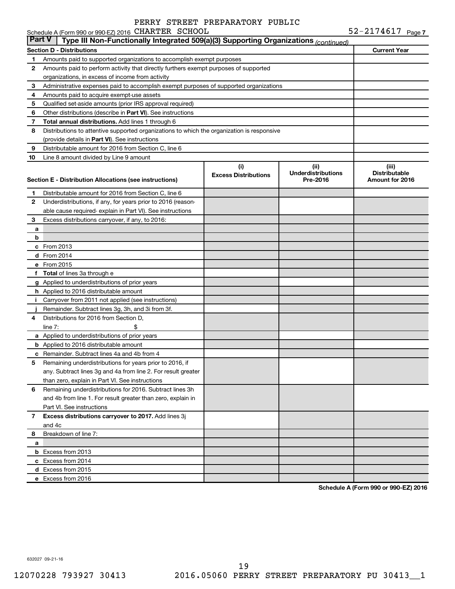|               | Schedule A (Form 990 or 990-EZ) 2016 CHARTER SCHOOL                                        |                                    |                                               | $52 - 2174617$ Page 7                            |
|---------------|--------------------------------------------------------------------------------------------|------------------------------------|-----------------------------------------------|--------------------------------------------------|
| <b>Part V</b> | Type III Non-Functionally Integrated 509(a)(3) Supporting Organizations (continued)        |                                    |                                               |                                                  |
|               | Section D - Distributions                                                                  |                                    |                                               | <b>Current Year</b>                              |
| 1             | Amounts paid to supported organizations to accomplish exempt purposes                      |                                    |                                               |                                                  |
| 2             | Amounts paid to perform activity that directly furthers exempt purposes of supported       |                                    |                                               |                                                  |
|               | organizations, in excess of income from activity                                           |                                    |                                               |                                                  |
| 3             | Administrative expenses paid to accomplish exempt purposes of supported organizations      |                                    |                                               |                                                  |
| 4             | Amounts paid to acquire exempt-use assets                                                  |                                    |                                               |                                                  |
| 5             | Qualified set-aside amounts (prior IRS approval required)                                  |                                    |                                               |                                                  |
| 6             | Other distributions (describe in Part VI). See instructions                                |                                    |                                               |                                                  |
| 7             | Total annual distributions. Add lines 1 through 6                                          |                                    |                                               |                                                  |
| 8             | Distributions to attentive supported organizations to which the organization is responsive |                                    |                                               |                                                  |
|               | (provide details in Part VI). See instructions                                             |                                    |                                               |                                                  |
| 9             | Distributable amount for 2016 from Section C, line 6                                       |                                    |                                               |                                                  |
| 10            | Line 8 amount divided by Line 9 amount                                                     |                                    |                                               |                                                  |
|               | Section E - Distribution Allocations (see instructions)                                    | (i)<br><b>Excess Distributions</b> | (ii)<br><b>Underdistributions</b><br>Pre-2016 | (iii)<br><b>Distributable</b><br>Amount for 2016 |
| 1             | Distributable amount for 2016 from Section C, line 6                                       |                                    |                                               |                                                  |
| 2             | Underdistributions, if any, for years prior to 2016 (reason-                               |                                    |                                               |                                                  |
|               | able cause required-explain in Part VI). See instructions                                  |                                    |                                               |                                                  |
| 3             | Excess distributions carryover, if any, to 2016:                                           |                                    |                                               |                                                  |
| а             |                                                                                            |                                    |                                               |                                                  |
| b             |                                                                                            |                                    |                                               |                                                  |
|               | c From 2013                                                                                |                                    |                                               |                                                  |
|               | <b>d</b> From 2014                                                                         |                                    |                                               |                                                  |
|               | e From 2015                                                                                |                                    |                                               |                                                  |
|               | f Total of lines 3a through e                                                              |                                    |                                               |                                                  |
|               | g Applied to underdistributions of prior years                                             |                                    |                                               |                                                  |
|               | h Applied to 2016 distributable amount                                                     |                                    |                                               |                                                  |
| Ť.            | Carryover from 2011 not applied (see instructions)                                         |                                    |                                               |                                                  |
|               | Remainder. Subtract lines 3g, 3h, and 3i from 3f.                                          |                                    |                                               |                                                  |
| 4             | Distributions for 2016 from Section D,                                                     |                                    |                                               |                                                  |
|               | line $7:$                                                                                  |                                    |                                               |                                                  |
|               | a Applied to underdistributions of prior years                                             |                                    |                                               |                                                  |
|               | <b>b</b> Applied to 2016 distributable amount                                              |                                    |                                               |                                                  |
|               | c Remainder. Subtract lines 4a and 4b from 4                                               |                                    |                                               |                                                  |
|               | 5 Remaining underdistributions for years prior to 2016, if                                 |                                    |                                               |                                                  |
|               | any. Subtract lines 3g and 4a from line 2. For result greater                              |                                    |                                               |                                                  |
|               | than zero, explain in Part VI. See instructions                                            |                                    |                                               |                                                  |
| 6             | Remaining underdistributions for 2016. Subtract lines 3h                                   |                                    |                                               |                                                  |
|               | and 4b from line 1. For result greater than zero, explain in                               |                                    |                                               |                                                  |
|               | Part VI. See instructions                                                                  |                                    |                                               |                                                  |
| 7             | Excess distributions carryover to 2017. Add lines 3j                                       |                                    |                                               |                                                  |
|               | and 4c                                                                                     |                                    |                                               |                                                  |
| 8             | Breakdown of line 7:                                                                       |                                    |                                               |                                                  |
| а             |                                                                                            |                                    |                                               |                                                  |
|               | <b>b</b> Excess from 2013                                                                  |                                    |                                               |                                                  |
|               | c Excess from 2014                                                                         |                                    |                                               |                                                  |
|               | d Excess from 2015                                                                         |                                    |                                               |                                                  |
|               | e Excess from 2016                                                                         |                                    |                                               |                                                  |
|               |                                                                                            |                                    |                                               |                                                  |

**Schedule A (Form 990 or 990-EZ) 2016**

632027 09-21-16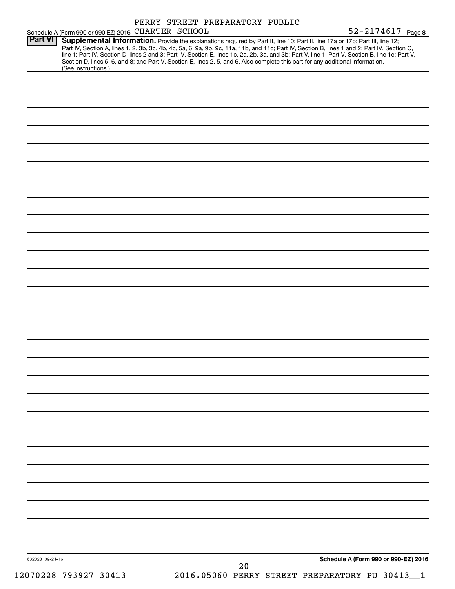| Schedule A (Form 990 or 990-EZ) 2016 CHARTER SCHOOL |                                                                                                                                 | 52-2174617 Page 8                                                                                                                                                                                                                                                                                                                                                                                                                 |
|-----------------------------------------------------|---------------------------------------------------------------------------------------------------------------------------------|-----------------------------------------------------------------------------------------------------------------------------------------------------------------------------------------------------------------------------------------------------------------------------------------------------------------------------------------------------------------------------------------------------------------------------------|
| <b>Part VI</b><br>(See instructions.)               | Section D, lines 5, 6, and 8; and Part V, Section E, lines 2, 5, and 6. Also complete this part for any additional information. | Supplemental Information. Provide the explanations required by Part II, line 10; Part II, line 17a or 17b; Part III, line 12;<br>Part IV, Section A, lines 1, 2, 3b, 3c, 4b, 4c, 5a, 6, 9a, 9b, 9c, 11a, 11b, and 11c; Part IV, Section B, lines 1 and 2; Part IV, Section C,<br>line 1; Part IV, Section D, lines 2 and 3; Part IV, Section E, lines 1c, 2a, 2b, 3a, and 3b; Part V, line 1; Part V, Section B, line 1e; Part V, |
|                                                     |                                                                                                                                 |                                                                                                                                                                                                                                                                                                                                                                                                                                   |
|                                                     |                                                                                                                                 |                                                                                                                                                                                                                                                                                                                                                                                                                                   |
|                                                     |                                                                                                                                 |                                                                                                                                                                                                                                                                                                                                                                                                                                   |
|                                                     |                                                                                                                                 |                                                                                                                                                                                                                                                                                                                                                                                                                                   |
|                                                     |                                                                                                                                 |                                                                                                                                                                                                                                                                                                                                                                                                                                   |
|                                                     |                                                                                                                                 |                                                                                                                                                                                                                                                                                                                                                                                                                                   |
|                                                     |                                                                                                                                 |                                                                                                                                                                                                                                                                                                                                                                                                                                   |
|                                                     |                                                                                                                                 |                                                                                                                                                                                                                                                                                                                                                                                                                                   |
|                                                     |                                                                                                                                 |                                                                                                                                                                                                                                                                                                                                                                                                                                   |
|                                                     |                                                                                                                                 |                                                                                                                                                                                                                                                                                                                                                                                                                                   |
|                                                     |                                                                                                                                 |                                                                                                                                                                                                                                                                                                                                                                                                                                   |
|                                                     |                                                                                                                                 |                                                                                                                                                                                                                                                                                                                                                                                                                                   |
|                                                     |                                                                                                                                 |                                                                                                                                                                                                                                                                                                                                                                                                                                   |
|                                                     |                                                                                                                                 |                                                                                                                                                                                                                                                                                                                                                                                                                                   |
|                                                     |                                                                                                                                 |                                                                                                                                                                                                                                                                                                                                                                                                                                   |
|                                                     |                                                                                                                                 |                                                                                                                                                                                                                                                                                                                                                                                                                                   |
|                                                     |                                                                                                                                 |                                                                                                                                                                                                                                                                                                                                                                                                                                   |
|                                                     |                                                                                                                                 |                                                                                                                                                                                                                                                                                                                                                                                                                                   |
|                                                     |                                                                                                                                 |                                                                                                                                                                                                                                                                                                                                                                                                                                   |
|                                                     |                                                                                                                                 |                                                                                                                                                                                                                                                                                                                                                                                                                                   |
|                                                     |                                                                                                                                 |                                                                                                                                                                                                                                                                                                                                                                                                                                   |
|                                                     |                                                                                                                                 |                                                                                                                                                                                                                                                                                                                                                                                                                                   |
|                                                     |                                                                                                                                 |                                                                                                                                                                                                                                                                                                                                                                                                                                   |
|                                                     |                                                                                                                                 |                                                                                                                                                                                                                                                                                                                                                                                                                                   |
|                                                     |                                                                                                                                 |                                                                                                                                                                                                                                                                                                                                                                                                                                   |
|                                                     |                                                                                                                                 |                                                                                                                                                                                                                                                                                                                                                                                                                                   |
|                                                     |                                                                                                                                 |                                                                                                                                                                                                                                                                                                                                                                                                                                   |
|                                                     |                                                                                                                                 |                                                                                                                                                                                                                                                                                                                                                                                                                                   |
|                                                     |                                                                                                                                 |                                                                                                                                                                                                                                                                                                                                                                                                                                   |
|                                                     |                                                                                                                                 |                                                                                                                                                                                                                                                                                                                                                                                                                                   |
|                                                     |                                                                                                                                 |                                                                                                                                                                                                                                                                                                                                                                                                                                   |
|                                                     |                                                                                                                                 |                                                                                                                                                                                                                                                                                                                                                                                                                                   |
|                                                     |                                                                                                                                 |                                                                                                                                                                                                                                                                                                                                                                                                                                   |
|                                                     |                                                                                                                                 |                                                                                                                                                                                                                                                                                                                                                                                                                                   |
| 632028 09-21-16                                     |                                                                                                                                 | Schedule A (Form 990 or 990-EZ) 2016                                                                                                                                                                                                                                                                                                                                                                                              |
|                                                     | 20                                                                                                                              |                                                                                                                                                                                                                                                                                                                                                                                                                                   |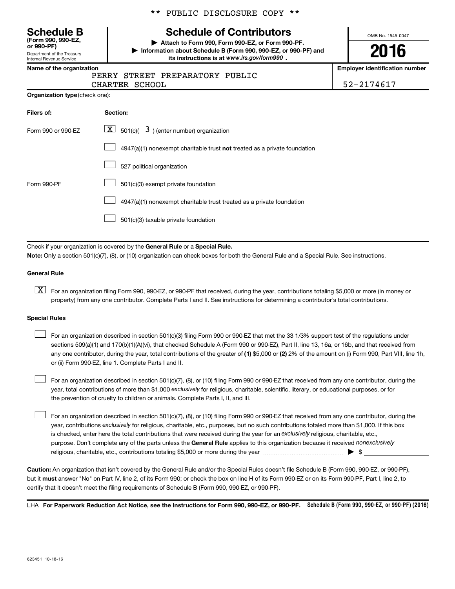Department of the Treasury **(Form 990, 990-EZ,**

Internal Revenue Service

#### \*\* PUBLIC DISCLOSURE COPY \*\*

## **Schedule B Schedule of Contributors**

**or 990-PF) | Attach to Form 990, Form 990-EZ, or Form 990-PF. | Information about Schedule B (Form 990, 990-EZ, or 990-PF) and** its instructions is at www.irs.gov/form990.

OMB No. 1545-0047

# **2016**

**Name of the organization Employer identification number**

|  | PERRY STREET PREPI |  |
|--|--------------------|--|

ARATORY PUBLIC CHARTER SCHOOL 52-2174617

|  | Organization type (check one): |
|--|--------------------------------|
|--|--------------------------------|

| Filers of:         | Section:                                                                  |
|--------------------|---------------------------------------------------------------------------|
| Form 990 or 990-EZ | $\lfloor x \rfloor$ 501(c)( 3) (enter number) organization                |
|                    | 4947(a)(1) nonexempt charitable trust not treated as a private foundation |
|                    | 527 political organization                                                |
| Form 990-PF        | 501(c)(3) exempt private foundation                                       |
|                    | 4947(a)(1) nonexempt charitable trust treated as a private foundation     |
|                    | 501(c)(3) taxable private foundation                                      |

Check if your organization is covered by the General Rule or a Special Rule.

**Note:**  Only a section 501(c)(7), (8), or (10) organization can check boxes for both the General Rule and a Special Rule. See instructions.

#### **General Rule**

**K** For an organization filing Form 990, 990-EZ, or 990-PF that received, during the year, contributions totaling \$5,000 or more (in money or property) from any one contributor. Complete Parts I and II. See instructions for determining a contributor's total contributions.

#### **Special Rules**

 $\Box$ 

any one contributor, during the year, total contributions of the greater of **(1)** \$5,000 or **(2)** 2% of the amount on (i) Form 990, Part VIII, line 1h, For an organization described in section 501(c)(3) filing Form 990 or 990-EZ that met the 33 1/3% support test of the regulations under sections 509(a)(1) and 170(b)(1)(A)(vi), that checked Schedule A (Form 990 or 990-EZ), Part II, line 13, 16a, or 16b, and that received from or (ii) Form 990-EZ, line 1. Complete Parts I and II.  $\Box$ 

year, total contributions of more than \$1,000 *exclusively* for religious, charitable, scientific, literary, or educational purposes, or for For an organization described in section 501(c)(7), (8), or (10) filing Form 990 or 990-EZ that received from any one contributor, during the the prevention of cruelty to children or animals. Complete Parts I, II, and III.  $\Box$ 

purpose. Don't complete any of the parts unless the General Rule applies to this organization because it received nonexclusively year, contributions exclusively for religious, charitable, etc., purposes, but no such contributions totaled more than \$1,000. If this box is checked, enter here the total contributions that were received during the year for an exclusively religious, charitable, etc., For an organization described in section 501(c)(7), (8), or (10) filing Form 990 or 990-EZ that received from any one contributor, during the religious, charitable, etc., contributions totaling \$5,000 or more during the year  $\ldots$  $\ldots$  $\ldots$  $\ldots$  $\ldots$  $\ldots$ 

**Caution:**  An organization that isn't covered by the General Rule and/or the Special Rules doesn't file Schedule B (Form 990, 990-EZ, or 990-PF),  **must** but it answer "No" on Part IV, line 2, of its Form 990; or check the box on line H of its Form 990-EZ or on its Form 990-PF, Part I, line 2, to certify that it doesn't meet the filing requirements of Schedule B (Form 990, 990-EZ, or 990-PF).

LHA For Paperwork Reduction Act Notice, see the Instructions for Form 990, 990-EZ, or 990-PF. Schedule B (Form 990, 990-EZ, or 990-PF) (2016)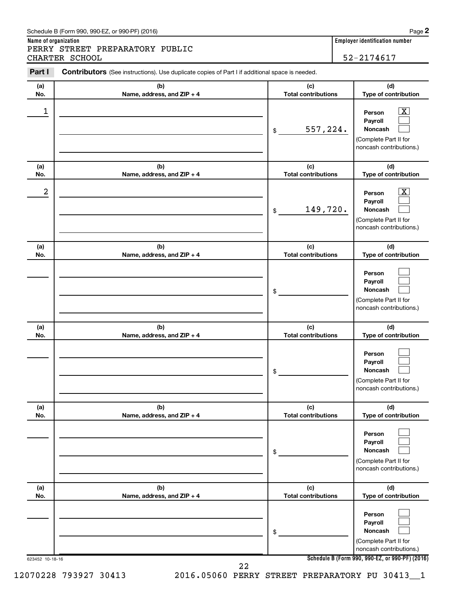#### Schedule B (Form 990, 990-EZ, or 990-PF) (2016)

PERRY STREET PREPARATORY PUBLIC CHARTER SCHOOL 52-2174617

**Name of organization Employer identification number**

| (a) | (b)                        | (c)                        | (d)                                                                                                                |
|-----|----------------------------|----------------------------|--------------------------------------------------------------------------------------------------------------------|
| No. | Name, address, and ZIP + 4 | <b>Total contributions</b> | Type of contribution                                                                                               |
| 1   |                            | 557,224.<br>\$             | $\overline{\mathbf{X}}$<br>Person<br>Payroll<br><b>Noncash</b><br>(Complete Part II for<br>noncash contributions.) |
| (a) | (b)                        | (c)                        | (d)                                                                                                                |
| No. | Name, address, and ZIP + 4 | <b>Total contributions</b> | Type of contribution                                                                                               |
| 2   |                            | 149,720.<br>\$             | $\mathbf{X}$<br>Person<br>Payroll<br><b>Noncash</b><br>(Complete Part II for<br>noncash contributions.)            |
| (a) | (b)                        | (c)                        | (d)                                                                                                                |
| No. | Name, address, and ZIP + 4 | <b>Total contributions</b> | Type of contribution                                                                                               |
|     |                            | \$                         | Person<br>Payroll<br>Noncash<br>(Complete Part II for<br>noncash contributions.)                                   |
| (a) | (b)                        | (c)                        | (d)                                                                                                                |
| No. | Name, address, and ZIP + 4 | <b>Total contributions</b> | Type of contribution                                                                                               |
|     |                            | \$                         | Person<br>Payroll<br>Noncash<br>(Complete Part II for<br>noncash contributions.)                                   |
| (a) | (b)                        | (c)                        | (d)                                                                                                                |
| No. | Name, address, and ZIP + 4 | <b>Total contributions</b> | Type of contribution                                                                                               |
|     |                            | \$                         | Person<br>Payroll<br><b>Noncash</b><br>(Complete Part II for<br>noncash contributions.)                            |
| (a) | (b)                        | (c)                        | (d)                                                                                                                |
| No. | Name, address, and ZIP + 4 | <b>Total contributions</b> | Type of contribution                                                                                               |
|     |                            | \$                         | Person<br>Payroll<br><b>Noncash</b><br>(Complete Part II for<br>noncash contributions.)                            |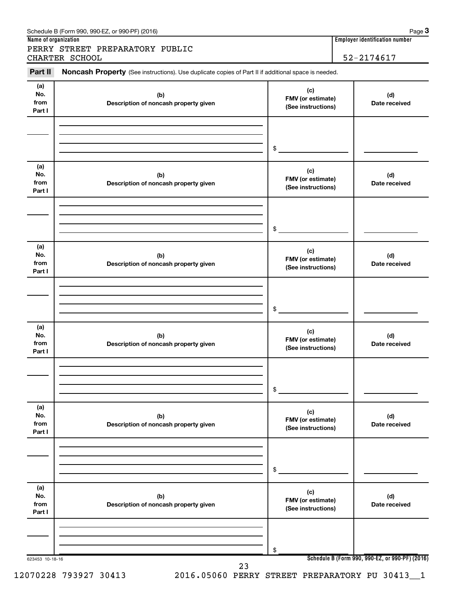| Part II                      | Noncash Property (See instructions). Use duplicate copies of Part II if additional space is needed. |                                                |                      |
|------------------------------|-----------------------------------------------------------------------------------------------------|------------------------------------------------|----------------------|
| (a)<br>No.<br>from<br>Part I | (b)<br>Description of noncash property given                                                        | (c)<br>FMV (or estimate)<br>(See instructions) | (d)<br>Date received |
|                              |                                                                                                     | $\frac{1}{2}$                                  |                      |
| (a)<br>No.<br>from<br>Part I | (b)<br>Description of noncash property given                                                        | (c)<br>FMV (or estimate)<br>(See instructions) | (d)<br>Date received |
|                              |                                                                                                     | $\frac{1}{2}$                                  |                      |
| (a)<br>No.<br>from<br>Part I | (b)<br>Description of noncash property given                                                        | (c)<br>FMV (or estimate)<br>(See instructions) | (d)<br>Date received |
|                              |                                                                                                     | $\frac{1}{2}$                                  |                      |
| (a)<br>No.<br>from<br>Part I | (b)<br>Description of noncash property given                                                        | (c)<br>FMV (or estimate)<br>(See instructions) | (d)<br>Date received |
|                              |                                                                                                     | \$                                             |                      |
| (a)<br>No.<br>from<br>Part I | (b)<br>Description of noncash property given                                                        | (c)<br>FMV (or estimate)<br>(See instructions) | (d)<br>Date received |
|                              |                                                                                                     | \$                                             |                      |
| (a)<br>No.<br>from<br>Part I | (b)<br>Description of noncash property given                                                        | (c)<br>FMV (or estimate)<br>(See instructions) | (d)<br>Date received |
|                              |                                                                                                     | \$                                             |                      |

**Name of organization Employer identification number**

**3**

12070228 793927 30413 2016.05060 PERRY STREET PREPARATORY PU 30413\_\_1

Schedule B (Form 990, 990-EZ, or 990-PF) (2016)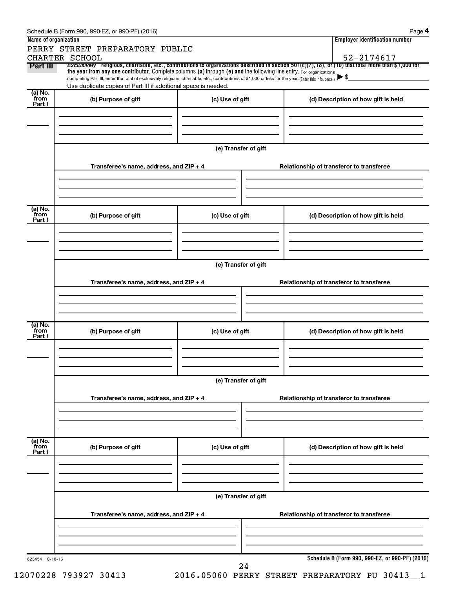| Name of organization | PERRY STREET PREPARATORY PUBLIC                                                                                                                                                                                             |                      | <b>Employer identification number</b>                                                                                                                    |  |
|----------------------|-----------------------------------------------------------------------------------------------------------------------------------------------------------------------------------------------------------------------------|----------------------|----------------------------------------------------------------------------------------------------------------------------------------------------------|--|
|                      | CHARTER SCHOOL                                                                                                                                                                                                              |                      | 52-2174617                                                                                                                                               |  |
| Part III             | the year from any one contributor. Complete columns (a) through (e) and the following line entry. For organizations                                                                                                         |                      | Exclusively religious, charitable, etc., contributions to organizations described in section $501(c)(7)$ , (8), or (10) that total more than \$1,000 for |  |
|                      | completing Part III, enter the total of exclusively religious, charitable, etc., contributions of \$1,000 or less for the year. (Enter this info. once.)<br>Use duplicate copies of Part III if additional space is needed. |                      | $\blacktriangleright$ \$                                                                                                                                 |  |
| (a) No.<br>`from     |                                                                                                                                                                                                                             |                      |                                                                                                                                                          |  |
| Part I               | (b) Purpose of gift                                                                                                                                                                                                         | (c) Use of gift      | (d) Description of how gift is held                                                                                                                      |  |
|                      |                                                                                                                                                                                                                             |                      |                                                                                                                                                          |  |
|                      |                                                                                                                                                                                                                             |                      |                                                                                                                                                          |  |
|                      |                                                                                                                                                                                                                             |                      |                                                                                                                                                          |  |
|                      |                                                                                                                                                                                                                             | (e) Transfer of gift |                                                                                                                                                          |  |
|                      | Transferee's name, address, and ZIP + 4                                                                                                                                                                                     |                      | Relationship of transferor to transferee                                                                                                                 |  |
|                      |                                                                                                                                                                                                                             |                      |                                                                                                                                                          |  |
|                      |                                                                                                                                                                                                                             |                      |                                                                                                                                                          |  |
|                      |                                                                                                                                                                                                                             |                      |                                                                                                                                                          |  |
| (a) No.<br>`from     | (b) Purpose of gift                                                                                                                                                                                                         | (c) Use of gift      | (d) Description of how gift is held                                                                                                                      |  |
| Part I               |                                                                                                                                                                                                                             |                      |                                                                                                                                                          |  |
|                      |                                                                                                                                                                                                                             |                      |                                                                                                                                                          |  |
|                      |                                                                                                                                                                                                                             |                      |                                                                                                                                                          |  |
|                      |                                                                                                                                                                                                                             |                      |                                                                                                                                                          |  |
|                      |                                                                                                                                                                                                                             | (e) Transfer of gift |                                                                                                                                                          |  |
|                      | Transferee's name, address, and ZIP + 4                                                                                                                                                                                     |                      | Relationship of transferor to transferee                                                                                                                 |  |
|                      |                                                                                                                                                                                                                             |                      |                                                                                                                                                          |  |
|                      |                                                                                                                                                                                                                             |                      |                                                                                                                                                          |  |
|                      |                                                                                                                                                                                                                             |                      |                                                                                                                                                          |  |
| (a) No.<br>`from     | (b) Purpose of gift                                                                                                                                                                                                         | (c) Use of gift      | (d) Description of how gift is held                                                                                                                      |  |
| Part I               |                                                                                                                                                                                                                             |                      |                                                                                                                                                          |  |
|                      |                                                                                                                                                                                                                             |                      |                                                                                                                                                          |  |
|                      |                                                                                                                                                                                                                             |                      |                                                                                                                                                          |  |
|                      |                                                                                                                                                                                                                             | (e) Transfer of gift |                                                                                                                                                          |  |
|                      |                                                                                                                                                                                                                             |                      |                                                                                                                                                          |  |
|                      | Transferee's name, address, and ZIP + 4                                                                                                                                                                                     |                      | Relationship of transferor to transferee                                                                                                                 |  |
|                      |                                                                                                                                                                                                                             |                      |                                                                                                                                                          |  |
|                      |                                                                                                                                                                                                                             |                      |                                                                                                                                                          |  |
| (a) No.<br>from      |                                                                                                                                                                                                                             |                      |                                                                                                                                                          |  |
| Part I               | (b) Purpose of gift                                                                                                                                                                                                         | (c) Use of gift      | (d) Description of how gift is held                                                                                                                      |  |
|                      |                                                                                                                                                                                                                             |                      |                                                                                                                                                          |  |
|                      |                                                                                                                                                                                                                             |                      |                                                                                                                                                          |  |
|                      |                                                                                                                                                                                                                             |                      |                                                                                                                                                          |  |
|                      |                                                                                                                                                                                                                             | (e) Transfer of gift |                                                                                                                                                          |  |
|                      | Transferee's name, address, and ZIP + 4                                                                                                                                                                                     |                      | Relationship of transferor to transferee                                                                                                                 |  |
|                      |                                                                                                                                                                                                                             |                      |                                                                                                                                                          |  |
|                      |                                                                                                                                                                                                                             |                      |                                                                                                                                                          |  |
|                      |                                                                                                                                                                                                                             |                      |                                                                                                                                                          |  |
|                      |                                                                                                                                                                                                                             |                      |                                                                                                                                                          |  |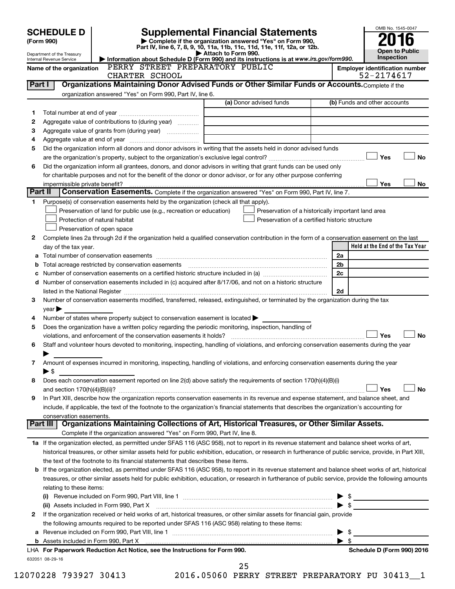|         | <b>SCHEDULE D</b>              |                                                                                                        | <b>Supplemental Financial Statements</b>                                                                                                                   | OMB No. 1545-0047                     |
|---------|--------------------------------|--------------------------------------------------------------------------------------------------------|------------------------------------------------------------------------------------------------------------------------------------------------------------|---------------------------------------|
|         | (Form 990)                     |                                                                                                        | Complete if the organization answered "Yes" on Form 990,                                                                                                   |                                       |
|         | Department of the Treasury     |                                                                                                        | Part IV, line 6, 7, 8, 9, 10, 11a, 11b, 11c, 11d, 11e, 11f, 12a, or 12b.<br>Attach to Form 990.                                                            | <b>Open to Public</b>                 |
|         | Internal Revenue Service       |                                                                                                        | Information about Schedule D (Form 990) and its instructions is at www.irs.gov/form990.                                                                    | Inspection                            |
|         | Name of the organization       | PERRY STREET PREPARATORY PUBLIC                                                                        |                                                                                                                                                            | <b>Employer identification number</b> |
| Part I  |                                | CHARTER SCHOOL                                                                                         | Organizations Maintaining Donor Advised Funds or Other Similar Funds or Accounts. Complete if the                                                          | 52-2174617                            |
|         |                                | organization answered "Yes" on Form 990, Part IV, line 6.                                              |                                                                                                                                                            |                                       |
|         |                                |                                                                                                        | (a) Donor advised funds                                                                                                                                    | (b) Funds and other accounts          |
| 1       |                                |                                                                                                        |                                                                                                                                                            |                                       |
| 2       |                                | Aggregate value of contributions to (during year)                                                      |                                                                                                                                                            |                                       |
| З       |                                |                                                                                                        |                                                                                                                                                            |                                       |
| 4       |                                |                                                                                                        |                                                                                                                                                            |                                       |
| 5       |                                |                                                                                                        | Did the organization inform all donors and donor advisors in writing that the assets held in donor advised funds                                           |                                       |
|         |                                |                                                                                                        |                                                                                                                                                            | Yes<br><b>No</b>                      |
| 6       |                                |                                                                                                        | Did the organization inform all grantees, donors, and donor advisors in writing that grant funds can be used only                                          |                                       |
|         |                                |                                                                                                        | for charitable purposes and not for the benefit of the donor or donor advisor, or for any other purpose conferring                                         |                                       |
|         | impermissible private benefit? |                                                                                                        |                                                                                                                                                            | Yes<br>No                             |
| Part II |                                |                                                                                                        | Conservation Easements. Complete if the organization answered "Yes" on Form 990, Part IV, line 7.                                                          |                                       |
| 1       |                                | Purpose(s) of conservation easements held by the organization (check all that apply).                  |                                                                                                                                                            |                                       |
|         |                                | Preservation of land for public use (e.g., recreation or education)                                    | Preservation of a historically important land area                                                                                                         |                                       |
|         |                                | Protection of natural habitat                                                                          | Preservation of a certified historic structure                                                                                                             |                                       |
|         |                                | Preservation of open space                                                                             |                                                                                                                                                            |                                       |
| 2       |                                |                                                                                                        | Complete lines 2a through 2d if the organization held a qualified conservation contribution in the form of a conservation easement on the last             | Held at the End of the Tax Year       |
|         | day of the tax year.           |                                                                                                        |                                                                                                                                                            | 2a                                    |
| b       |                                |                                                                                                        |                                                                                                                                                            | 2 <sub>b</sub>                        |
| с       |                                |                                                                                                        |                                                                                                                                                            | 2c                                    |
| d       |                                |                                                                                                        | Number of conservation easements included in (c) acquired after 8/17/06, and not on a historic structure                                                   |                                       |
|         |                                |                                                                                                        |                                                                                                                                                            | 2d                                    |
| 3       |                                |                                                                                                        | Number of conservation easements modified, transferred, released, extinguished, or terminated by the organization during the tax                           |                                       |
|         | year                           |                                                                                                        |                                                                                                                                                            |                                       |
| 4       |                                | Number of states where property subject to conservation easement is located $\blacktriangleright$      |                                                                                                                                                            |                                       |
| 5       |                                | Does the organization have a written policy regarding the periodic monitoring, inspection, handling of |                                                                                                                                                            |                                       |
|         |                                |                                                                                                        |                                                                                                                                                            | Yes<br><b>No</b>                      |
| 6       |                                |                                                                                                        | Staff and volunteer hours devoted to monitoring, inspecting, handling of violations, and enforcing conservation easements during the year                  |                                       |
|         |                                |                                                                                                        |                                                                                                                                                            |                                       |
| 7       |                                |                                                                                                        | Amount of expenses incurred in monitoring, inspecting, handling of violations, and enforcing conservation easements during the year                        |                                       |
|         | $\blacktriangleright$ \$       |                                                                                                        |                                                                                                                                                            |                                       |
| 8       |                                |                                                                                                        | Does each conservation easement reported on line 2(d) above satisfy the requirements of section 170(h)(4)(B)(i)                                            |                                       |
|         |                                |                                                                                                        |                                                                                                                                                            | No<br>Yes                             |
| 9       |                                |                                                                                                        | In Part XIII, describe how the organization reports conservation easements in its revenue and expense statement, and balance sheet, and                    |                                       |
|         |                                |                                                                                                        | include, if applicable, the text of the footnote to the organization's financial statements that describes the organization's accounting for               |                                       |
|         | conservation easements.        |                                                                                                        | Part III   Organizations Maintaining Collections of Art, Historical Treasures, or Other Similar Assets.                                                    |                                       |
|         |                                | Complete if the organization answered "Yes" on Form 990, Part IV, line 8.                              |                                                                                                                                                            |                                       |
|         |                                |                                                                                                        | 1a If the organization elected, as permitted under SFAS 116 (ASC 958), not to report in its revenue statement and balance sheet works of art,              |                                       |
|         |                                |                                                                                                        | historical treasures, or other similar assets held for public exhibition, education, or research in furtherance of public service, provide, in Part XIII,  |                                       |
|         |                                | the text of the footnote to its financial statements that describes these items.                       |                                                                                                                                                            |                                       |
|         |                                |                                                                                                        | <b>b</b> If the organization elected, as permitted under SFAS 116 (ASC 958), to report in its revenue statement and balance sheet works of art, historical |                                       |
|         |                                |                                                                                                        | treasures, or other similar assets held for public exhibition, education, or research in furtherance of public service, provide the following amounts      |                                       |
|         | relating to these items:       |                                                                                                        |                                                                                                                                                            |                                       |
|         |                                |                                                                                                        |                                                                                                                                                            | \$                                    |
|         |                                | (ii) Assets included in Form 990, Part X                                                               |                                                                                                                                                            | $\blacktriangleright$ \$              |
| 2       |                                |                                                                                                        | If the organization received or held works of art, historical treasures, or other similar assets for financial gain, provide                               |                                       |
|         |                                | the following amounts required to be reported under SFAS 116 (ASC 958) relating to these items:        |                                                                                                                                                            |                                       |
|         |                                |                                                                                                        |                                                                                                                                                            | \$                                    |
|         |                                |                                                                                                        |                                                                                                                                                            | $\blacktriangleright$ s               |
|         |                                | LHA For Paperwork Reduction Act Notice, see the Instructions for Form 990.                             |                                                                                                                                                            | Schedule D (Form 990) 2016            |
|         | 632051 08-29-16                |                                                                                                        | 25                                                                                                                                                         |                                       |
|         |                                |                                                                                                        |                                                                                                                                                            |                                       |

12070228 793927 30413 2016.05060 PERRY STREET PREPARATORY PU 30413\_\_1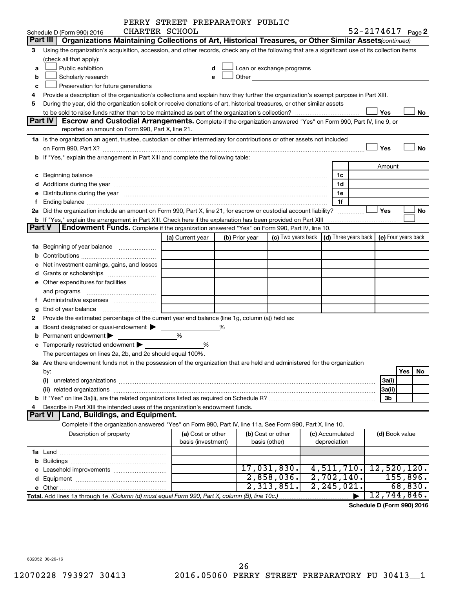|               |                                                                                                                                                                                                                                | PERRY STREET PREPARATORY PUBLIC         |   |                |                                                                                                                                                                                                                               |                                                         |                       |                     |
|---------------|--------------------------------------------------------------------------------------------------------------------------------------------------------------------------------------------------------------------------------|-----------------------------------------|---|----------------|-------------------------------------------------------------------------------------------------------------------------------------------------------------------------------------------------------------------------------|---------------------------------------------------------|-----------------------|---------------------|
|               | CHARTER SCHOOL<br>Schedule D (Form 990) 2016                                                                                                                                                                                   |                                         |   |                |                                                                                                                                                                                                                               |                                                         | $52 - 2174617$ Page 2 |                     |
|               | Part III<br>Organizations Maintaining Collections of Art, Historical Treasures, or Other Similar Assets (continued)                                                                                                            |                                         |   |                |                                                                                                                                                                                                                               |                                                         |                       |                     |
| 3             | Using the organization's acquisition, accession, and other records, check any of the following that are a significant use of its collection items                                                                              |                                         |   |                |                                                                                                                                                                                                                               |                                                         |                       |                     |
|               | (check all that apply):                                                                                                                                                                                                        |                                         |   |                |                                                                                                                                                                                                                               |                                                         |                       |                     |
| a             | Public exhibition                                                                                                                                                                                                              |                                         | d |                | Loan or exchange programs                                                                                                                                                                                                     |                                                         |                       |                     |
| b             | Scholarly research                                                                                                                                                                                                             |                                         | e |                | Other and the contract of the contract of the contract of the contract of the contract of the contract of the contract of the contract of the contract of the contract of the contract of the contract of the contract of the |                                                         |                       |                     |
| c             | Preservation for future generations                                                                                                                                                                                            |                                         |   |                |                                                                                                                                                                                                                               |                                                         |                       |                     |
| 4             | Provide a description of the organization's collections and explain how they further the organization's exempt purpose in Part XIII.                                                                                           |                                         |   |                |                                                                                                                                                                                                                               |                                                         |                       |                     |
| 5             | During the year, did the organization solicit or receive donations of art, historical treasures, or other similar assets                                                                                                       |                                         |   |                |                                                                                                                                                                                                                               |                                                         |                       |                     |
|               |                                                                                                                                                                                                                                |                                         |   |                |                                                                                                                                                                                                                               |                                                         | Yes                   | No                  |
|               | Part IV<br><b>Escrow and Custodial Arrangements.</b> Complete if the organization answered "Yes" on Form 990, Part IV, line 9, or                                                                                              |                                         |   |                |                                                                                                                                                                                                                               |                                                         |                       |                     |
|               | reported an amount on Form 990, Part X, line 21.                                                                                                                                                                               |                                         |   |                |                                                                                                                                                                                                                               |                                                         |                       |                     |
|               | 1a Is the organization an agent, trustee, custodian or other intermediary for contributions or other assets not included                                                                                                       |                                         |   |                |                                                                                                                                                                                                                               |                                                         |                       |                     |
|               | on Form 990, Part X? [11] matter and the contract of the contract of the contract of the contract of the contract of the contract of the contract of the contract of the contract of the contract of the contract of the contr |                                         |   |                |                                                                                                                                                                                                                               |                                                         | Yes                   | <b>No</b>           |
|               | b If "Yes," explain the arrangement in Part XIII and complete the following table:                                                                                                                                             |                                         |   |                |                                                                                                                                                                                                                               |                                                         |                       |                     |
|               |                                                                                                                                                                                                                                |                                         |   |                |                                                                                                                                                                                                                               |                                                         | Amount                |                     |
|               | c Beginning balance measurements and the contract of the contract of the contract of the contract of the contract of the contract of the contract of the contract of the contract of the contract of the contract of the contr |                                         |   |                |                                                                                                                                                                                                                               | 1c                                                      |                       |                     |
|               |                                                                                                                                                                                                                                |                                         |   |                |                                                                                                                                                                                                                               | 1d                                                      |                       |                     |
|               | e Distributions during the year manufactured and contained and contained and the year manufactured and contained and the year manufactured and contained and contained and contained and contained and contained and contained |                                         |   |                |                                                                                                                                                                                                                               | 1e                                                      |                       |                     |
| f             |                                                                                                                                                                                                                                |                                         |   |                |                                                                                                                                                                                                                               | 1f                                                      |                       |                     |
|               | 2a Did the organization include an amount on Form 990, Part X, line 21, for escrow or custodial account liability?                                                                                                             |                                         |   |                |                                                                                                                                                                                                                               |                                                         | Yes                   | No                  |
| <b>Part V</b> | <b>b</b> If "Yes," explain the arrangement in Part XIII. Check here if the explanation has been provided on Part XIII<br><b>Endowment Funds.</b> Complete if the organization answered "Yes" on Form 990, Part IV, line 10.    |                                         |   |                |                                                                                                                                                                                                                               |                                                         |                       |                     |
|               |                                                                                                                                                                                                                                | (a) Current year                        |   | (b) Prior year |                                                                                                                                                                                                                               | (c) Two years back $\vert$ (d) Three years back $\vert$ |                       | (e) Four years back |
|               | 1a Beginning of year balance                                                                                                                                                                                                   |                                         |   |                |                                                                                                                                                                                                                               |                                                         |                       |                     |
|               |                                                                                                                                                                                                                                |                                         |   |                |                                                                                                                                                                                                                               |                                                         |                       |                     |
|               |                                                                                                                                                                                                                                |                                         |   |                |                                                                                                                                                                                                                               |                                                         |                       |                     |
|               | c Net investment earnings, gains, and losses                                                                                                                                                                                   |                                         |   |                |                                                                                                                                                                                                                               |                                                         |                       |                     |
|               |                                                                                                                                                                                                                                |                                         |   |                |                                                                                                                                                                                                                               |                                                         |                       |                     |
|               | e Other expenditures for facilities                                                                                                                                                                                            |                                         |   |                |                                                                                                                                                                                                                               |                                                         |                       |                     |
|               | and programs                                                                                                                                                                                                                   |                                         |   |                |                                                                                                                                                                                                                               |                                                         |                       |                     |
|               |                                                                                                                                                                                                                                |                                         |   |                |                                                                                                                                                                                                                               |                                                         |                       |                     |
|               | Provide the estimated percentage of the current year end balance (line 1g, column (a)) held as:                                                                                                                                |                                         |   |                |                                                                                                                                                                                                                               |                                                         |                       |                     |
| 2             |                                                                                                                                                                                                                                |                                         | % |                |                                                                                                                                                                                                                               |                                                         |                       |                     |
|               | a Board designated or quasi-endowment ><br><b>b</b> Permanent endowment $\blacktriangleright$                                                                                                                                  | %                                       |   |                |                                                                                                                                                                                                                               |                                                         |                       |                     |
|               |                                                                                                                                                                                                                                | %                                       |   |                |                                                                                                                                                                                                                               |                                                         |                       |                     |
|               | c Temporarily restricted endowment $\blacktriangleright$<br>The percentages on lines 2a, 2b, and 2c should equal 100%.                                                                                                         |                                         |   |                |                                                                                                                                                                                                                               |                                                         |                       |                     |
|               | 3a Are there endowment funds not in the possession of the organization that are held and administered for the organization                                                                                                     |                                         |   |                |                                                                                                                                                                                                                               |                                                         |                       |                     |
|               |                                                                                                                                                                                                                                |                                         |   |                |                                                                                                                                                                                                                               |                                                         |                       | Yes<br>No           |
|               | by:<br>(i)                                                                                                                                                                                                                     |                                         |   |                |                                                                                                                                                                                                                               |                                                         | 3a(i)                 |                     |
|               |                                                                                                                                                                                                                                |                                         |   |                |                                                                                                                                                                                                                               |                                                         | 3a(ii)                |                     |
|               |                                                                                                                                                                                                                                |                                         |   |                |                                                                                                                                                                                                                               |                                                         | 3b                    |                     |
| 4             | Describe in Part XIII the intended uses of the organization's endowment funds.                                                                                                                                                 |                                         |   |                |                                                                                                                                                                                                                               |                                                         |                       |                     |
|               | Land, Buildings, and Equipment.<br><b>Part VI</b>                                                                                                                                                                              |                                         |   |                |                                                                                                                                                                                                                               |                                                         |                       |                     |
|               | Complete if the organization answered "Yes" on Form 990, Part IV, line 11a. See Form 990, Part X, line 10.                                                                                                                     |                                         |   |                |                                                                                                                                                                                                                               |                                                         |                       |                     |
|               | Description of property                                                                                                                                                                                                        | (a) Cost or other<br>basis (investment) |   |                | (b) Cost or other<br>basis (other)                                                                                                                                                                                            | (c) Accumulated<br>depreciation                         | (d) Book value        |                     |
|               |                                                                                                                                                                                                                                |                                         |   |                |                                                                                                                                                                                                                               |                                                         |                       |                     |
|               |                                                                                                                                                                                                                                |                                         |   |                |                                                                                                                                                                                                                               |                                                         |                       |                     |
|               |                                                                                                                                                                                                                                |                                         |   |                | 17,031,830.                                                                                                                                                                                                                   | 4,511,710.                                              | 12,520,120.           |                     |
|               |                                                                                                                                                                                                                                |                                         |   |                | 2,858,036.                                                                                                                                                                                                                    | 2,702,140.                                              |                       | 155,896.            |
|               |                                                                                                                                                                                                                                |                                         |   |                | 2,313,851.                                                                                                                                                                                                                    | 2, 245, 021.                                            |                       | 68,830.             |
|               | Total. Add lines 1a through 1e. (Column (d) must equal Form 990, Part X, column (B), line 10c.)                                                                                                                                |                                         |   |                |                                                                                                                                                                                                                               |                                                         | 12,744,846.           |                     |
|               |                                                                                                                                                                                                                                |                                         |   |                |                                                                                                                                                                                                                               |                                                         |                       |                     |

**Schedule D (Form 990) 2016**

632052 08-29-16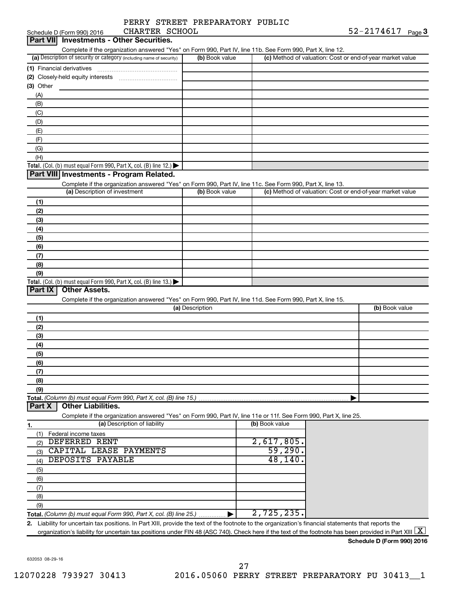|                | PERRY STREET PREPARATORY PUBLIC |                  |  |
|----------------|---------------------------------|------------------|--|
| CHARTER SCHOOL |                                 | $52 - 2174617$ p |  |

| Schedule D (Form 990) 2016<br>CHARTER SCHOOL                                                                                                                                                 |                 |                | 52-2174617<br>Page 3                                      |
|----------------------------------------------------------------------------------------------------------------------------------------------------------------------------------------------|-----------------|----------------|-----------------------------------------------------------|
| <b>Part VIII</b><br><b>Investments - Other Securities.</b>                                                                                                                                   |                 |                |                                                           |
| Complete if the organization answered "Yes" on Form 990, Part IV, line 11b. See Form 990, Part X, line 12.                                                                                   |                 |                |                                                           |
| (a) Description of security or category (including name of security)                                                                                                                         | (b) Book value  |                | (c) Method of valuation: Cost or end-of-year market value |
| (1) Financial derivatives                                                                                                                                                                    |                 |                |                                                           |
| (2) Closely-held equity interests                                                                                                                                                            |                 |                |                                                           |
| (3) Other                                                                                                                                                                                    |                 |                |                                                           |
| (A)                                                                                                                                                                                          |                 |                |                                                           |
| (B)                                                                                                                                                                                          |                 |                |                                                           |
| (C)                                                                                                                                                                                          |                 |                |                                                           |
| (D)                                                                                                                                                                                          |                 |                |                                                           |
| (E)                                                                                                                                                                                          |                 |                |                                                           |
| (F)                                                                                                                                                                                          |                 |                |                                                           |
| (G)                                                                                                                                                                                          |                 |                |                                                           |
| (H)                                                                                                                                                                                          |                 |                |                                                           |
| Total. (Col. (b) must equal Form 990, Part X, col. (B) line 12.) $\blacktriangleright$                                                                                                       |                 |                |                                                           |
| Part VIII Investments - Program Related.                                                                                                                                                     |                 |                |                                                           |
| Complete if the organization answered "Yes" on Form 990, Part IV, line 11c. See Form 990, Part X, line 13.                                                                                   |                 |                |                                                           |
| (a) Description of investment                                                                                                                                                                | (b) Book value  |                | (c) Method of valuation: Cost or end-of-year market value |
| (1)                                                                                                                                                                                          |                 |                |                                                           |
| (2)                                                                                                                                                                                          |                 |                |                                                           |
| (3)                                                                                                                                                                                          |                 |                |                                                           |
| (4)                                                                                                                                                                                          |                 |                |                                                           |
| (5)                                                                                                                                                                                          |                 |                |                                                           |
| (6)                                                                                                                                                                                          |                 |                |                                                           |
| (7)                                                                                                                                                                                          |                 |                |                                                           |
| (8)                                                                                                                                                                                          |                 |                |                                                           |
| (9)                                                                                                                                                                                          |                 |                |                                                           |
| Total. (Col. (b) must equal Form 990, Part X, col. (B) line 13.)                                                                                                                             |                 |                |                                                           |
| <b>Other Assets.</b><br>Part IX                                                                                                                                                              |                 |                |                                                           |
| Complete if the organization answered "Yes" on Form 990, Part IV, line 11d. See Form 990, Part X, line 15.                                                                                   |                 |                |                                                           |
|                                                                                                                                                                                              | (a) Description |                | (b) Book value                                            |
| (1)                                                                                                                                                                                          |                 |                |                                                           |
| (2)                                                                                                                                                                                          |                 |                |                                                           |
| (3)                                                                                                                                                                                          |                 |                |                                                           |
| (4)                                                                                                                                                                                          |                 |                |                                                           |
| (5)                                                                                                                                                                                          |                 |                |                                                           |
| (6)                                                                                                                                                                                          |                 |                |                                                           |
| (7)                                                                                                                                                                                          |                 |                |                                                           |
| (8)                                                                                                                                                                                          |                 |                |                                                           |
| (9)                                                                                                                                                                                          |                 |                |                                                           |
| Total. (Column (b) must equal Form 990, Part X, col. (B) line 15.)                                                                                                                           |                 |                |                                                           |
| <b>Other Liabilities.</b><br>Part X                                                                                                                                                          |                 |                |                                                           |
| Complete if the organization answered "Yes" on Form 990, Part IV, line 11e or 11f. See Form 990, Part X, line 25.                                                                            |                 |                |                                                           |
| (a) Description of liability<br>1.                                                                                                                                                           |                 | (b) Book value |                                                           |
| Federal income taxes<br>(1)                                                                                                                                                                  |                 |                |                                                           |
| DEFERRED RENT<br>(2)                                                                                                                                                                         |                 | 2,617,805.     |                                                           |
| CAPITAL LEASE PAYMENTS<br>(3)                                                                                                                                                                |                 | 59,290.        |                                                           |
| DEPOSITS PAYABLE<br>(4)                                                                                                                                                                      |                 | 48,140.        |                                                           |
| (5)                                                                                                                                                                                          |                 |                |                                                           |
| (6)                                                                                                                                                                                          |                 |                |                                                           |
|                                                                                                                                                                                              |                 |                |                                                           |
| (7)                                                                                                                                                                                          |                 |                |                                                           |
| (8)                                                                                                                                                                                          |                 |                |                                                           |
| (9)                                                                                                                                                                                          |                 | 2,725,235.     |                                                           |
| Total. (Column (b) must equal Form 990, Part X, col. (B) line 25.)                                                                                                                           |                 |                |                                                           |
| Liability for uncertain tax positions. In Part XIII, provide the text of the footnote to the organization's financial statements that reports the<br>2.                                      |                 |                |                                                           |
| organization's liability for uncertain tax positions under FIN 48 (ASC 740). Check here if the text of the footnote has been provided in Part XIII $\lfloor \textnormal{\textbf{X}} \rfloor$ |                 |                |                                                           |
|                                                                                                                                                                                              |                 |                | Schedule D (Form 990) 2016                                |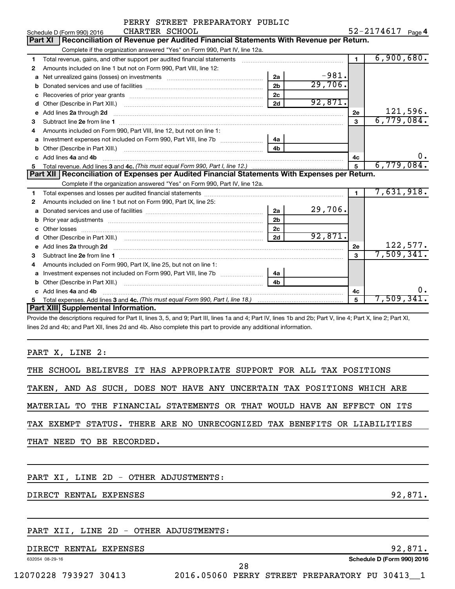|                            | PERRY STREET PREPARATORY PUBLIC |  |            |      |
|----------------------------|---------------------------------|--|------------|------|
| Schedule D (Form 990) 2016 | CHARTER SCHOOL                  |  | 52-2174617 | Page |

52-2174617 <sub>Page</sub> 4

|    | <b>Part XI</b><br>Reconciliation of Revenue per Audited Financial Statements With Revenue per Return.                                                                |                |         |                |            |
|----|----------------------------------------------------------------------------------------------------------------------------------------------------------------------|----------------|---------|----------------|------------|
|    | Complete if the organization answered "Yes" on Form 990, Part IV, line 12a.                                                                                          |                |         |                |            |
| 1. | Total revenue, gains, and other support per audited financial statements [11] [11] Total revenue, [21] Total revenue of the support per audited financial statements |                |         | $\blacksquare$ | 6,900,680. |
| 2  | Amounts included on line 1 but not on Form 990, Part VIII, line 12:                                                                                                  |                |         |                |            |
| a  |                                                                                                                                                                      | 2a             | $-981.$ |                |            |
| b  |                                                                                                                                                                      | 2 <sub>b</sub> | 29,706. |                |            |
| с  |                                                                                                                                                                      | 2 <sub>c</sub> |         |                |            |
| d  | Other (Describe in Part XIII.) <b>Construction Contract Construction</b> Chern Construction Construction Construction                                                | 2d             | 92,871. |                |            |
| e  | Add lines 2a through 2d                                                                                                                                              |                |         | 2e             | 121,596.   |
| з  |                                                                                                                                                                      |                |         | 3              | 6,779,084. |
| 4  | Amounts included on Form 990, Part VIII, line 12, but not on line 1:                                                                                                 |                |         |                |            |
| a  | Investment expenses not included on Form 990, Part VIII, line 7b [                                                                                                   | 4a             |         |                |            |
| b  | Other (Describe in Part XIII.)                                                                                                                                       | 4 <sub>b</sub> |         |                |            |
|    | Add lines 4a and 4b                                                                                                                                                  |                |         | 4c             | υ.         |
| 5. |                                                                                                                                                                      |                |         | 5              | 6,779,084. |
|    | Part XII   Reconciliation of Expenses per Audited Financial Statements With Expenses per Return.                                                                     |                |         |                |            |
|    | Complete if the organization answered "Yes" on Form 990, Part IV, line 12a.                                                                                          |                |         |                |            |
| 1  |                                                                                                                                                                      |                |         | $\mathbf{1}$   | 7,631,918. |
| 2  | Amounts included on line 1 but not on Form 990, Part IX, line 25:                                                                                                    |                |         |                |            |
| a  |                                                                                                                                                                      | 2a             | 29,706. |                |            |
| b  |                                                                                                                                                                      | 2 <sub>b</sub> |         |                |            |
| с  | Other losses                                                                                                                                                         | 2 <sub>c</sub> |         |                |            |
| d  |                                                                                                                                                                      | 2d             | 92,871. |                |            |
| e  | Add lines 2a through 2d                                                                                                                                              |                |         | 2e             | 122,577.   |
| з  |                                                                                                                                                                      |                |         | $\mathbf{a}$   | 7,509,341. |
| 4  | Amounts included on Form 990, Part IX, line 25, but not on line 1:                                                                                                   |                |         |                |            |
| a  |                                                                                                                                                                      | 4a             |         |                |            |
| b  | Other (Describe in Part XIII.)                                                                                                                                       | 4 <sub>b</sub> |         |                |            |
|    | Add lines 4a and 4b                                                                                                                                                  |                |         | 4c             | 0.         |
|    |                                                                                                                                                                      |                |         | 5              | 7,509,341。 |
|    | Part XIII Supplemental Information.                                                                                                                                  |                |         |                |            |

Provide the descriptions required for Part II, lines 3, 5, and 9; Part III, lines 1a and 4; Part IV, lines 1b and 2b; Part V, line 4; Part X, line 2; Part XI, lines 2d and 4b; and Part XII, lines 2d and 4b. Also complete this part to provide any additional information.

PART X, LINE 2:

|  |  |                           |  |  | THE SCHOOL BELIEVES IT HAS APPROPRIATE SUPPORT FOR ALL TAX POSITIONS     |  |  |  |  |
|--|--|---------------------------|--|--|--------------------------------------------------------------------------|--|--|--|--|
|  |  |                           |  |  | TAKEN, AND AS SUCH, DOES NOT HAVE ANY UNCERTAIN TAX POSITIONS WHICH ARE  |  |  |  |  |
|  |  |                           |  |  | MATERIAL TO THE FINANCIAL STATEMENTS OR THAT WOULD HAVE AN EFFECT ON ITS |  |  |  |  |
|  |  |                           |  |  | TAX EXEMPT STATUS. THERE ARE NO UNRECOGNIZED TAX BENEFITS OR LIABILITIES |  |  |  |  |
|  |  | THAT NEED TO BE RECORDED. |  |  |                                                                          |  |  |  |  |
|  |  |                           |  |  |                                                                          |  |  |  |  |

PART XI, LINE 2D - OTHER ADJUSTMENTS:

DIRECT RENTAL EXPENSES 32,871.

#### PART XII, LINE 2D - OTHER ADJUSTMENTS:

#### DIRECT RENTAL EXPENSES 32, 1999 SETTING A SERVERS AND RESERVE THE SERVER OF STRUCK AND RESERVE THE SERVER OF S

632054 08-29-16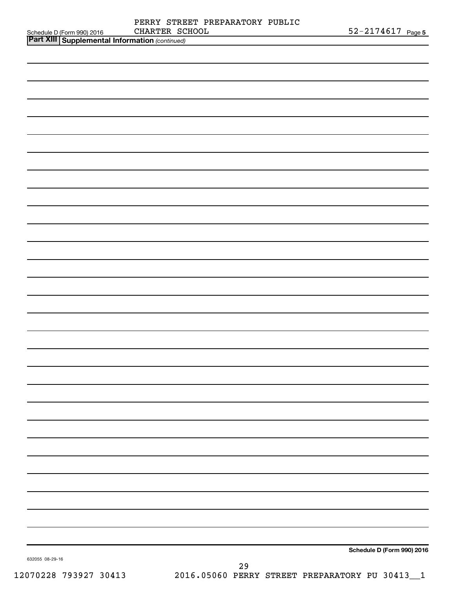|                                                                                                | CHARTER SCHOOL | $52 - 2174617$ Page 5      |
|------------------------------------------------------------------------------------------------|----------------|----------------------------|
| Schedule D (Form 990) 2016 CHARTER SC<br><b>Part XIII Supplemental Information</b> (continued) |                |                            |
|                                                                                                |                |                            |
|                                                                                                |                |                            |
|                                                                                                |                |                            |
|                                                                                                |                |                            |
|                                                                                                |                |                            |
|                                                                                                |                |                            |
|                                                                                                |                |                            |
|                                                                                                |                |                            |
|                                                                                                |                |                            |
|                                                                                                |                |                            |
|                                                                                                |                |                            |
|                                                                                                |                |                            |
|                                                                                                |                |                            |
|                                                                                                |                |                            |
|                                                                                                |                |                            |
|                                                                                                |                |                            |
|                                                                                                |                |                            |
|                                                                                                |                |                            |
|                                                                                                |                |                            |
|                                                                                                |                |                            |
|                                                                                                |                |                            |
|                                                                                                |                |                            |
|                                                                                                |                |                            |
|                                                                                                |                |                            |
|                                                                                                |                |                            |
|                                                                                                |                |                            |
|                                                                                                |                |                            |
|                                                                                                |                |                            |
|                                                                                                |                |                            |
|                                                                                                |                |                            |
|                                                                                                |                |                            |
|                                                                                                |                |                            |
|                                                                                                |                |                            |
|                                                                                                |                |                            |
|                                                                                                |                |                            |
|                                                                                                |                |                            |
|                                                                                                |                |                            |
|                                                                                                |                |                            |
|                                                                                                |                |                            |
|                                                                                                |                |                            |
|                                                                                                |                |                            |
|                                                                                                |                |                            |
|                                                                                                |                |                            |
|                                                                                                |                | Schedule D (Form 990) 2016 |
| 632055 08-29-16                                                                                |                |                            |
|                                                                                                | 29             |                            |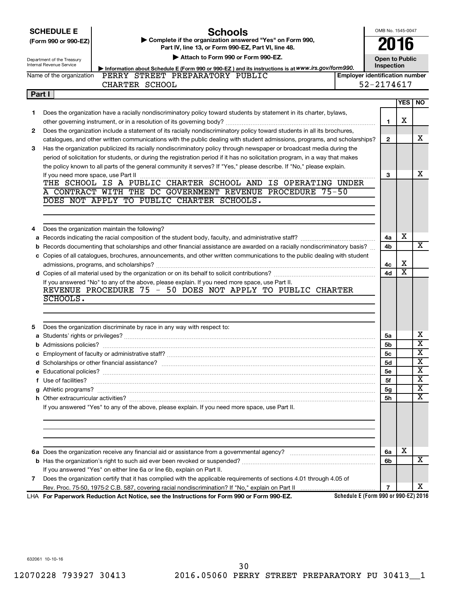|  | <b>SCHEDULE E</b> |  |
|--|-------------------|--|
|  |                   |  |

# **Schools**<br>anization answer

OMB No. 1545-0047 **2016**

| SUNEDULE E           | SCNOOIS                                                    |
|----------------------|------------------------------------------------------------|
| (Form 990 or 990-EZ) | ► Complete if the organization answered "Yes" on Form 990, |
|                      | Part IV, line 13, or Form 990-EZ, Part VI, line 48.        |

|    | Attach to Form 990 or Form 990-EZ.<br>Department of the Treasury<br><b>Internal Revenue Service</b> |                                                                                                                                                              |                                       |                |                       | <b>Open to Public</b><br>Inspection |  |  |  |  |
|----|-----------------------------------------------------------------------------------------------------|--------------------------------------------------------------------------------------------------------------------------------------------------------------|---------------------------------------|----------------|-----------------------|-------------------------------------|--|--|--|--|
|    | Name of the organization                                                                            | Information about Schedule E (Form 990 or 990-EZ) and its instructions is at WWW.irs.gov/form990.<br>PERRY STREET PREPARATORY PUBLIC                         | <b>Employer identification number</b> |                |                       |                                     |  |  |  |  |
|    |                                                                                                     | CHARTER SCHOOL                                                                                                                                               |                                       | 52-2174617     |                       |                                     |  |  |  |  |
|    |                                                                                                     |                                                                                                                                                              |                                       |                |                       |                                     |  |  |  |  |
|    | Part I                                                                                              |                                                                                                                                                              |                                       |                | YES                   | <b>NO</b>                           |  |  |  |  |
|    |                                                                                                     |                                                                                                                                                              |                                       |                |                       |                                     |  |  |  |  |
| 1. |                                                                                                     | Does the organization have a racially nondiscriminatory policy toward students by statement in its charter, bylaws,                                          |                                       |                | X                     |                                     |  |  |  |  |
|    |                                                                                                     |                                                                                                                                                              |                                       | $\mathbf{1}$   |                       |                                     |  |  |  |  |
| 2  |                                                                                                     | Does the organization include a statement of its racially nondiscriminatory policy toward students in all its brochures,                                     |                                       |                |                       |                                     |  |  |  |  |
|    |                                                                                                     | catalogues, and other written communications with the public dealing with student admissions, programs, and scholarships?                                    |                                       | $\mathbf{2}$   |                       | х                                   |  |  |  |  |
| 3  |                                                                                                     | Has the organization publicized its racially nondiscriminatory policy through newspaper or broadcast media during the                                        |                                       |                |                       |                                     |  |  |  |  |
|    |                                                                                                     | period of solicitation for students, or during the registration period if it has no solicitation program, in a way that makes                                |                                       |                |                       |                                     |  |  |  |  |
|    |                                                                                                     | the policy known to all parts of the general community it serves? If "Yes," please describe. If "No," please explain.                                        |                                       |                |                       | X                                   |  |  |  |  |
|    |                                                                                                     | THE SCHOOL IS A PUBLIC CHARTER SCHOOL AND IS OPERATING UNDER                                                                                                 |                                       | 3              |                       |                                     |  |  |  |  |
|    |                                                                                                     |                                                                                                                                                              |                                       |                |                       |                                     |  |  |  |  |
|    |                                                                                                     | A CONTRACT WITH THE DC GOVERNMENT REVENUE PROCEDURE 75-50                                                                                                    |                                       |                |                       |                                     |  |  |  |  |
|    |                                                                                                     | DOES NOT APPLY TO PUBLIC CHARTER SCHOOLS.                                                                                                                    |                                       |                |                       |                                     |  |  |  |  |
|    |                                                                                                     |                                                                                                                                                              |                                       |                |                       |                                     |  |  |  |  |
|    |                                                                                                     |                                                                                                                                                              |                                       |                |                       |                                     |  |  |  |  |
| 4  |                                                                                                     | Does the organization maintain the following?                                                                                                                |                                       |                |                       |                                     |  |  |  |  |
|    |                                                                                                     |                                                                                                                                                              |                                       | 4a             | X                     |                                     |  |  |  |  |
| b  |                                                                                                     | Records documenting that scholarships and other financial assistance are awarded on a racially nondiscriminatory basis?                                      |                                       | 4b             |                       | х                                   |  |  |  |  |
|    |                                                                                                     | c Copies of all catalogues, brochures, announcements, and other written communications to the public dealing with student                                    |                                       |                |                       |                                     |  |  |  |  |
|    |                                                                                                     |                                                                                                                                                              |                                       | 4с             | X                     |                                     |  |  |  |  |
|    |                                                                                                     |                                                                                                                                                              |                                       | 4d             | $\overline{\text{x}}$ |                                     |  |  |  |  |
|    |                                                                                                     | If you answered "No" to any of the above, please explain. If you need more space, use Part II.<br>REVENUE PROCEDURE 75 - 50 DOES NOT APPLY TO PUBLIC CHARTER |                                       |                |                       |                                     |  |  |  |  |
|    | SCHOOLS.                                                                                            |                                                                                                                                                              |                                       |                |                       |                                     |  |  |  |  |
| 5  |                                                                                                     | Does the organization discriminate by race in any way with respect to:                                                                                       |                                       |                |                       |                                     |  |  |  |  |
|    |                                                                                                     |                                                                                                                                                              |                                       |                |                       | х                                   |  |  |  |  |
|    |                                                                                                     |                                                                                                                                                              |                                       | 5a<br>5b       |                       | $\overline{\mathbf{X}}$             |  |  |  |  |
|    |                                                                                                     |                                                                                                                                                              |                                       | <b>5c</b>      |                       | $\overline{\textbf{x}}$             |  |  |  |  |
|    |                                                                                                     |                                                                                                                                                              |                                       | 5d             |                       | $\overline{\mathbf{X}}$             |  |  |  |  |
|    |                                                                                                     |                                                                                                                                                              |                                       | 5e             |                       | $\overline{\mathbf{X}}$             |  |  |  |  |
|    | f Use of facilities?                                                                                |                                                                                                                                                              |                                       | 5f             |                       | $\overline{\text{x}}$               |  |  |  |  |
|    |                                                                                                     |                                                                                                                                                              |                                       | 5g             |                       | $\overline{\mathtt{x}}$             |  |  |  |  |
|    |                                                                                                     |                                                                                                                                                              |                                       |                |                       | $\overline{\textbf{x}}$             |  |  |  |  |
|    |                                                                                                     | If you answered "Yes" to any of the above, please explain. If you need more space, use Part II.                                                              |                                       | 5h             |                       |                                     |  |  |  |  |
|    |                                                                                                     |                                                                                                                                                              |                                       |                |                       |                                     |  |  |  |  |
|    |                                                                                                     |                                                                                                                                                              |                                       |                |                       |                                     |  |  |  |  |
|    |                                                                                                     |                                                                                                                                                              |                                       | 6а             | X                     |                                     |  |  |  |  |
|    |                                                                                                     |                                                                                                                                                              |                                       | 6b             |                       | x                                   |  |  |  |  |
|    |                                                                                                     | If you answered "Yes" on either line 6a or line 6b, explain on Part II.                                                                                      |                                       |                |                       |                                     |  |  |  |  |
| 7  |                                                                                                     | Does the organization certify that it has complied with the applicable requirements of sections 4.01 through 4.05 of                                         |                                       |                |                       |                                     |  |  |  |  |
|    |                                                                                                     |                                                                                                                                                              |                                       | $\overline{7}$ |                       | x                                   |  |  |  |  |
|    |                                                                                                     |                                                                                                                                                              |                                       |                |                       |                                     |  |  |  |  |

**For Paperwork Reduction Act Notice, see the Instructions for Form 990 or Form 990-EZ.** LHA

**Schedule E (Form 990 or 990-EZ) 2016**

632061 10-10-16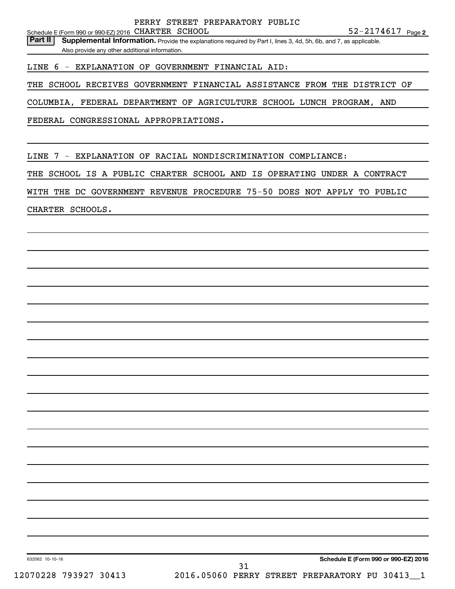Part II | Supplemental Information. Provide the explanations required by Part I, lines 3, 4d, 5h, 6b, and 7, as applicable. Also provide any other additional information.

LINE 6 - EXPLANATION OF GOVERNMENT FINANCIAL AID:

THE SCHOOL RECEIVES GOVERNMENT FINANCIAL ASSISTANCE FROM THE DISTRICT OF

COLUMBIA, FEDERAL DEPARTMENT OF AGRICULTURE SCHOOL LUNCH PROGRAM, AND

FEDERAL CONGRESSIONAL APPROPRIATIONS.

LINE 7 - EXPLANATION OF RACIAL NONDISCRIMINATION COMPLIANCE:

THE SCHOOL IS A PUBLIC CHARTER SCHOOL AND IS OPERATING UNDER A CONTRACT

WITH THE DC GOVERNMENT REVENUE PROCEDURE 75-50 DOES NOT APPLY TO PUBLIC

CHARTER SCHOOLS.

**Schedule E (Form 990 or 990-EZ) 2016**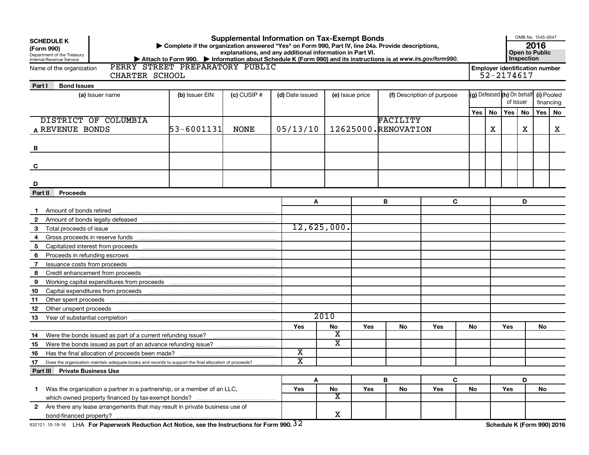| <b>Supplemental Information on Tax-Exempt Bonds</b><br><b>SCHEDULE K</b><br>Complete if the organization answered "Yes" on Form 990, Part IV, line 24a. Provide descriptions,<br>(Form 990)<br>explanations, and any additional information in Part VI.<br>Department of the Treasury<br>▶ Attach to Form 990. ▶ Information about Schedule K (Form 990) and its instructions is at www.irs.gov/form990.<br>Internal Revenue Service<br>PERRY STREET PREPARATORY PUBLIC |                                                    |      |                         |             |                 |                     |                            |                                       |                                                     |       | OMB No. 1545-0047<br>2016<br><b>Open to Public</b><br>Inspection |     |                            |
|-------------------------------------------------------------------------------------------------------------------------------------------------------------------------------------------------------------------------------------------------------------------------------------------------------------------------------------------------------------------------------------------------------------------------------------------------------------------------|----------------------------------------------------|------|-------------------------|-------------|-----------------|---------------------|----------------------------|---------------------------------------|-----------------------------------------------------|-------|------------------------------------------------------------------|-----|----------------------------|
| Name of the organization<br>CHARTER SCHOOL                                                                                                                                                                                                                                                                                                                                                                                                                              |                                                    |      |                         |             |                 |                     |                            |                                       | <b>Employer identification number</b><br>52-2174617 |       |                                                                  |     |                            |
| <b>Bond Issues</b><br>Part I                                                                                                                                                                                                                                                                                                                                                                                                                                            |                                                    |      |                         |             |                 |                     |                            |                                       |                                                     |       |                                                                  |     |                            |
| (a) Issuer name                                                                                                                                                                                                                                                                                                                                                                                                                                                         | $(c)$ CUSIP #<br>(b) Issuer EIN<br>(d) Date issued |      |                         |             | (e) Issue price |                     | (f) Description of purpose | (g) Defeased (h) On behalf (i) Pooled |                                                     |       | of issuer                                                        |     | financing                  |
|                                                                                                                                                                                                                                                                                                                                                                                                                                                                         |                                                    |      |                         |             |                 |                     |                            | Yes                                   | <b>No</b>                                           | Yes I | No                                                               | Yes | No                         |
| DISTRICT OF COLUMBIA                                                                                                                                                                                                                                                                                                                                                                                                                                                    |                                                    |      |                         |             |                 | FACILITY            |                            |                                       |                                                     |       |                                                                  |     |                            |
| A REVENUE BONDS                                                                                                                                                                                                                                                                                                                                                                                                                                                         | $53 - 6001131$                                     | NONE | 05/13/10                |             |                 | 12625000.RENOVATION |                            |                                       | х                                                   |       | X                                                                |     | х                          |
|                                                                                                                                                                                                                                                                                                                                                                                                                                                                         |                                                    |      |                         |             |                 |                     |                            |                                       |                                                     |       |                                                                  |     |                            |
|                                                                                                                                                                                                                                                                                                                                                                                                                                                                         |                                                    |      |                         |             |                 |                     |                            |                                       |                                                     |       |                                                                  |     |                            |
|                                                                                                                                                                                                                                                                                                                                                                                                                                                                         |                                                    |      |                         |             |                 |                     |                            |                                       |                                                     |       |                                                                  |     |                            |
| C                                                                                                                                                                                                                                                                                                                                                                                                                                                                       |                                                    |      |                         |             |                 |                     |                            |                                       |                                                     |       |                                                                  |     |                            |
|                                                                                                                                                                                                                                                                                                                                                                                                                                                                         |                                                    |      |                         |             |                 |                     |                            |                                       |                                                     |       |                                                                  |     |                            |
| D                                                                                                                                                                                                                                                                                                                                                                                                                                                                       |                                                    |      |                         |             |                 |                     |                            |                                       |                                                     |       |                                                                  |     |                            |
| <b>Proceeds</b><br>Part II                                                                                                                                                                                                                                                                                                                                                                                                                                              |                                                    |      |                         |             |                 |                     |                            |                                       |                                                     |       |                                                                  |     |                            |
|                                                                                                                                                                                                                                                                                                                                                                                                                                                                         |                                                    |      | A                       |             |                 | в                   | C                          |                                       |                                                     |       | D                                                                |     |                            |
|                                                                                                                                                                                                                                                                                                                                                                                                                                                                         |                                                    |      |                         |             |                 |                     |                            |                                       |                                                     |       |                                                                  |     |                            |
| Amount of bonds legally defeased manufactured contains and an amount of bonds legally defeased manufactured contains and an amount of bonds                                                                                                                                                                                                                                                                                                                             |                                                    |      |                         |             |                 |                     |                            |                                       |                                                     |       |                                                                  |     |                            |
| 3                                                                                                                                                                                                                                                                                                                                                                                                                                                                       |                                                    |      |                         | 12,625,000. |                 |                     |                            |                                       |                                                     |       |                                                                  |     |                            |
| 4                                                                                                                                                                                                                                                                                                                                                                                                                                                                       |                                                    |      |                         |             |                 |                     |                            |                                       |                                                     |       |                                                                  |     |                            |
| 5                                                                                                                                                                                                                                                                                                                                                                                                                                                                       |                                                    |      |                         |             |                 |                     |                            |                                       |                                                     |       |                                                                  |     |                            |
| 6<br>Proceeds in refunding escrows                                                                                                                                                                                                                                                                                                                                                                                                                                      |                                                    |      |                         |             |                 |                     |                            |                                       |                                                     |       |                                                                  |     |                            |
| 7                                                                                                                                                                                                                                                                                                                                                                                                                                                                       |                                                    |      |                         |             |                 |                     |                            |                                       |                                                     |       |                                                                  |     |                            |
| 8                                                                                                                                                                                                                                                                                                                                                                                                                                                                       |                                                    |      |                         |             |                 |                     |                            |                                       |                                                     |       |                                                                  |     |                            |
| 9                                                                                                                                                                                                                                                                                                                                                                                                                                                                       |                                                    |      |                         |             |                 |                     |                            |                                       |                                                     |       |                                                                  |     |                            |
| 10                                                                                                                                                                                                                                                                                                                                                                                                                                                                      |                                                    |      |                         |             |                 |                     |                            |                                       |                                                     |       |                                                                  |     |                            |
| Other spent proceeds<br>11                                                                                                                                                                                                                                                                                                                                                                                                                                              |                                                    |      |                         |             |                 |                     |                            |                                       |                                                     |       |                                                                  |     |                            |
| 12                                                                                                                                                                                                                                                                                                                                                                                                                                                                      |                                                    |      |                         |             |                 |                     |                            |                                       |                                                     |       |                                                                  |     |                            |
| 13                                                                                                                                                                                                                                                                                                                                                                                                                                                                      |                                                    |      |                         | 2010        |                 |                     |                            |                                       |                                                     |       |                                                                  |     |                            |
|                                                                                                                                                                                                                                                                                                                                                                                                                                                                         |                                                    |      | Yes                     | No          | Yes             | No                  | Yes                        | No.                                   |                                                     | Yes   |                                                                  | No  |                            |
| 14                                                                                                                                                                                                                                                                                                                                                                                                                                                                      |                                                    |      |                         | х           |                 |                     |                            |                                       |                                                     |       |                                                                  |     |                            |
| 15                                                                                                                                                                                                                                                                                                                                                                                                                                                                      |                                                    |      |                         | X           |                 |                     |                            |                                       |                                                     |       |                                                                  |     |                            |
| 16                                                                                                                                                                                                                                                                                                                                                                                                                                                                      |                                                    |      | $\overline{\textbf{x}}$ |             |                 |                     |                            |                                       |                                                     |       |                                                                  |     |                            |
| 17<br>Does the organization maintain adequate books and records to support the final allocation of proceeds?                                                                                                                                                                                                                                                                                                                                                            |                                                    |      | $\overline{\text{x}}$   |             |                 |                     |                            |                                       |                                                     |       |                                                                  |     |                            |
| <b>Private Business Use</b><br>Part III                                                                                                                                                                                                                                                                                                                                                                                                                                 |                                                    |      |                         |             |                 |                     |                            |                                       |                                                     |       |                                                                  |     |                            |
|                                                                                                                                                                                                                                                                                                                                                                                                                                                                         |                                                    |      | A                       |             |                 | B                   | C                          |                                       |                                                     |       | D                                                                |     |                            |
| Was the organization a partner in a partnership, or a member of an LLC,<br>1.                                                                                                                                                                                                                                                                                                                                                                                           |                                                    |      | Yes                     | No<br>X     | <b>Yes</b>      | No                  | Yes                        | No                                    |                                                     | Yes   |                                                                  | No  |                            |
|                                                                                                                                                                                                                                                                                                                                                                                                                                                                         |                                                    |      |                         |             |                 |                     |                            |                                       |                                                     |       |                                                                  |     |                            |
| 2 Are there any lease arrangements that may result in private business use of                                                                                                                                                                                                                                                                                                                                                                                           |                                                    |      |                         | X           |                 |                     |                            |                                       |                                                     |       |                                                                  |     |                            |
| 632121 10-19-16 LHA For Paperwork Reduction Act Notice, see the Instructions for Form 990. 32                                                                                                                                                                                                                                                                                                                                                                           |                                                    |      |                         |             |                 |                     |                            |                                       |                                                     |       |                                                                  |     | Schedule K (Form 990) 2016 |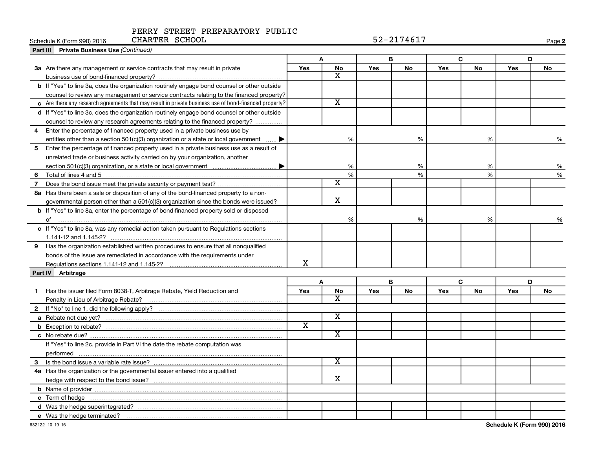#### PERRY STREET PREPARATORY PUBLIC CHARTER SCHOOL 52-2174617

| CHARTER SCHOOL<br>Schedule K (Form 990) 2016                                                           |                         |                             |            | 52-2174617 |            |               |     | Page 2 |
|--------------------------------------------------------------------------------------------------------|-------------------------|-----------------------------|------------|------------|------------|---------------|-----|--------|
| <b>Part III</b> Private Business Use (Continued)                                                       |                         |                             |            |            |            |               |     |        |
|                                                                                                        |                         | A                           | B<br>C     |            |            | D             |     |        |
| 3a Are there any management or service contracts that may result in private                            | <b>Yes</b>              | <b>No</b>                   | <b>Yes</b> | No         | Yes        | No            | Yes | No     |
|                                                                                                        |                         | X                           |            |            |            |               |     |        |
| b If "Yes" to line 3a, does the organization routinely engage bond counsel or other outside            |                         |                             |            |            |            |               |     |        |
| counsel to review any management or service contracts relating to the financed property?               |                         |                             |            |            |            |               |     |        |
| c Are there any research agreements that may result in private business use of bond-financed property? |                         | $\overline{\texttt{x}}$     |            |            |            |               |     |        |
| d If "Yes" to line 3c, does the organization routinely engage bond counsel or other outside            |                         |                             |            |            |            |               |     |        |
| counsel to review any research agreements relating to the financed property?                           |                         |                             |            |            |            |               |     |        |
| Enter the percentage of financed property used in a private business use by<br>4                       |                         |                             |            |            |            |               |     |        |
| entities other than a section 501(c)(3) organization or a state or local government $\ldots$ .         |                         | %                           |            | %          |            | %             |     | %      |
| Enter the percentage of financed property used in a private business use as a result of<br>5           |                         |                             |            |            |            |               |     |        |
| unrelated trade or business activity carried on by your organization, another                          |                         |                             |            |            |            |               |     |        |
|                                                                                                        |                         | %                           |            | %          |            | %             |     | %      |
| 6                                                                                                      |                         | %                           |            | %          |            | $\frac{9}{6}$ |     | %      |
| 7 Does the bond issue meet the private security or payment test?                                       |                         | $\overline{\textnormal{x}}$ |            |            |            |               |     |        |
| 8a Has there been a sale or disposition of any of the bond-financed property to a non-                 |                         |                             |            |            |            |               |     |        |
| governmental person other than a $501(c)(3)$ organization since the bonds were issued?                 |                         | X                           |            |            |            |               |     |        |
| <b>b</b> If "Yes" to line 8a, enter the percentage of bond-financed property sold or disposed          |                         |                             |            |            |            |               |     |        |
| of                                                                                                     |                         | %                           |            | %          |            | $\%$          |     | %      |
| c If "Yes" to line 8a, was any remedial action taken pursuant to Regulations sections                  |                         |                             |            |            |            |               |     |        |
|                                                                                                        |                         |                             |            |            |            |               |     |        |
| Has the organization established written procedures to ensure that all nonqualified<br>9               |                         |                             |            |            |            |               |     |        |
| bonds of the issue are remediated in accordance with the requirements under                            |                         |                             |            |            |            |               |     |        |
|                                                                                                        | X                       |                             |            |            |            |               |     |        |
| Part IV Arbitrage                                                                                      |                         |                             |            |            |            |               |     |        |
|                                                                                                        |                         | A                           |            | В          |            | C             | D   |        |
| 1 Has the issuer filed Form 8038-T, Arbitrage Rebate, Yield Reduction and                              | Yes                     | No                          | Yes        | No         | <b>Yes</b> | No            | Yes | No     |
|                                                                                                        |                         | х                           |            |            |            |               |     |        |
|                                                                                                        |                         |                             |            |            |            |               |     |        |
|                                                                                                        |                         | $\overline{\mathbf{x}}$     |            |            |            |               |     |        |
|                                                                                                        | $\overline{\texttt{x}}$ |                             |            |            |            |               |     |        |
|                                                                                                        |                         | $\overline{\mathbf{x}}$     |            |            |            |               |     |        |
| If "Yes" to line 2c, provide in Part VI the date the rebate computation was                            |                         |                             |            |            |            |               |     |        |
|                                                                                                        |                         |                             |            |            |            |               |     |        |
| 3                                                                                                      |                         | $\overline{\textnormal{x}}$ |            |            |            |               |     |        |
| 4a Has the organization or the governmental issuer entered into a qualified                            |                         |                             |            |            |            |               |     |        |
|                                                                                                        |                         | x                           |            |            |            |               |     |        |
|                                                                                                        |                         |                             |            |            |            |               |     |        |
|                                                                                                        |                         |                             |            |            |            |               |     |        |
|                                                                                                        |                         |                             |            |            |            |               |     |        |
| e Was the hedge terminated?                                                                            |                         |                             |            |            |            |               |     |        |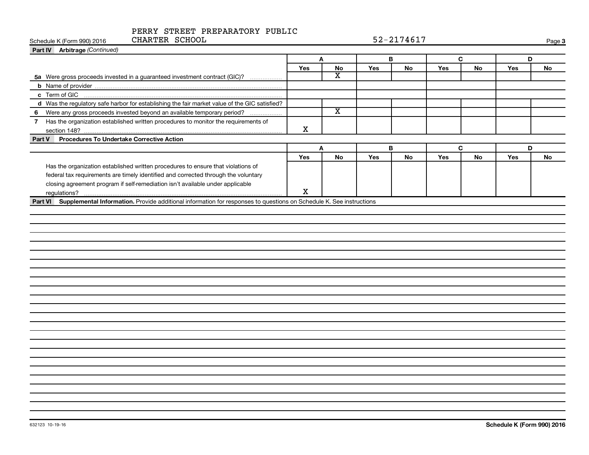| CHARTER SCHOOL<br>Schedule K (Form 990) 2016                                                                                |     | 52-2174617              |     |    |     |    |     |        |
|-----------------------------------------------------------------------------------------------------------------------------|-----|-------------------------|-----|----|-----|----|-----|--------|
| Part IV Arbitrage (Continued)                                                                                               |     |                         |     |    |     |    |     | Page 3 |
|                                                                                                                             | Α   |                         | В   |    | C   |    | D   |        |
|                                                                                                                             | Yes | No                      | Yes | No | Yes | No | Yes | No     |
| 5a Were gross proceeds invested in a guaranteed investment contract (GIC)?                                                  |     | $\overline{\mathbf{X}}$ |     |    |     |    |     |        |
|                                                                                                                             |     |                         |     |    |     |    |     |        |
|                                                                                                                             |     |                         |     |    |     |    |     |        |
| d Was the regulatory safe harbor for establishing the fair market value of the GIC satisfied?                               |     |                         |     |    |     |    |     |        |
| Were any gross proceeds invested beyond an available temporary period?<br>6                                                 |     | $\overline{\mathtt{x}}$ |     |    |     |    |     |        |
| 7 Has the organization established written procedures to monitor the requirements of                                        | X   |                         |     |    |     |    |     |        |
| Procedures To Undertake Corrective Action<br>Part V                                                                         |     |                         |     |    |     |    |     |        |
|                                                                                                                             | A   |                         |     | B  |     | C  | D   |        |
|                                                                                                                             | Yes | No                      | Yes | No | Yes | No | Yes | No     |
| Has the organization established written procedures to ensure that violations of                                            |     |                         |     |    |     |    |     |        |
| federal tax requirements are timely identified and corrected through the voluntary                                          |     |                         |     |    |     |    |     |        |
| closing agreement program if self-remediation isn't available under applicable                                              |     |                         |     |    |     |    |     |        |
| regulations?                                                                                                                | X   |                         |     |    |     |    |     |        |
| Part VI Supplemental Information. Provide additional information for responses to questions on Schedule K. See instructions |     |                         |     |    |     |    |     |        |
|                                                                                                                             |     |                         |     |    |     |    |     |        |
|                                                                                                                             |     |                         |     |    |     |    |     |        |
|                                                                                                                             |     |                         |     |    |     |    |     |        |
|                                                                                                                             |     |                         |     |    |     |    |     |        |
|                                                                                                                             |     |                         |     |    |     |    |     |        |
|                                                                                                                             |     |                         |     |    |     |    |     |        |
|                                                                                                                             |     |                         |     |    |     |    |     |        |
|                                                                                                                             |     |                         |     |    |     |    |     |        |
|                                                                                                                             |     |                         |     |    |     |    |     |        |
|                                                                                                                             |     |                         |     |    |     |    |     |        |
|                                                                                                                             |     |                         |     |    |     |    |     |        |
|                                                                                                                             |     |                         |     |    |     |    |     |        |
|                                                                                                                             |     |                         |     |    |     |    |     |        |
|                                                                                                                             |     |                         |     |    |     |    |     |        |
|                                                                                                                             |     |                         |     |    |     |    |     |        |
|                                                                                                                             |     |                         |     |    |     |    |     |        |
|                                                                                                                             |     |                         |     |    |     |    |     |        |
|                                                                                                                             |     |                         |     |    |     |    |     |        |
|                                                                                                                             |     |                         |     |    |     |    |     |        |
|                                                                                                                             |     |                         |     |    |     |    |     |        |
|                                                                                                                             |     |                         |     |    |     |    |     |        |
|                                                                                                                             |     |                         |     |    |     |    |     |        |
|                                                                                                                             |     |                         |     |    |     |    |     |        |
|                                                                                                                             |     |                         |     |    |     |    |     |        |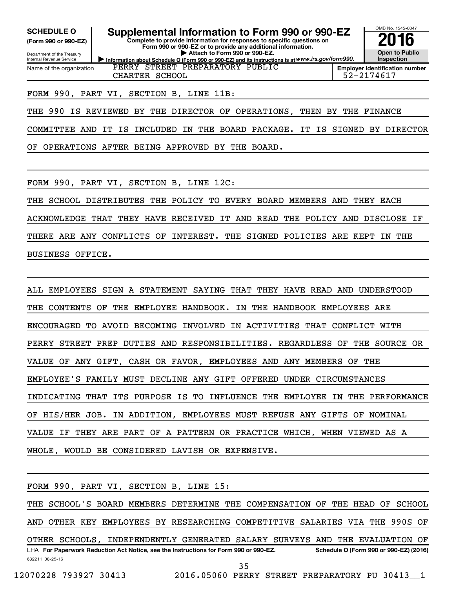**(Form 990 or 990-EZ)**

Department of the Treasury Internal Revenue Service Name of the organization

**SCHEDULE O Supplemental Information to Form 990 or 990-EZ 2016**

**Information about Schedule O (Form 990 or 990-EZ) and its instructions is at WWW.irs.gov/form990. Complete to provide information for responses to specific questions on Form 990 or 990-EZ or to provide any additional information. | Attach to Form 990 or 990-EZ.**



**Employer identification number** CHARTER SCHOOL 52-2174617

#### FORM 990, PART VI, SECTION B, LINE 11B:

THE 990 IS REVIEWED BY THE DIRECTOR OF OPERATIONS, THEN BY THE FINANCE

PERRY STREET PREPARATORY PUBLIC

COMMITTEE AND IT IS INCLUDED IN THE BOARD PACKAGE. IT IS SIGNED BY DIRECTOR

OF OPERATIONS AFTER BEING APPROVED BY THE BOARD.

FORM 990, PART VI, SECTION B, LINE 12C:

THE SCHOOL DISTRIBUTES THE POLICY TO EVERY BOARD MEMBERS AND THEY EACH ACKNOWLEDGE THAT THEY HAVE RECEIVED IT AND READ THE POLICY AND DISCLOSE IF THERE ARE ANY CONFLICTS OF INTEREST. THE SIGNED POLICIES ARE KEPT IN THE

BUSINESS OFFICE.

ALL EMPLOYEES SIGN A STATEMENT SAYING THAT THEY HAVE READ AND UNDERSTOOD THE CONTENTS OF THE EMPLOYEE HANDBOOK. IN THE HANDBOOK EMPLOYEES ARE ENCOURAGED TO AVOID BECOMING INVOLVED IN ACTIVITIES THAT CONFLICT WITH PERRY STREET PREP DUTIES AND RESPONSIBILITIES. REGARDLESS OF THE SOURCE OR VALUE OF ANY GIFT, CASH OR FAVOR, EMPLOYEES AND ANY MEMBERS OF THE EMPLOYEE'S FAMILY MUST DECLINE ANY GIFT OFFERED UNDER CIRCUMSTANCES INDICATING THAT ITS PURPOSE IS TO INFLUENCE THE EMPLOYEE IN THE PERFORMANCE OF HIS/HER JOB. IN ADDITION, EMPLOYEES MUST REFUSE ANY GIFTS OF NOMINAL VALUE IF THEY ARE PART OF A PATTERN OR PRACTICE WHICH, WHEN VIEWED AS A WHOLE, WOULD BE CONSIDERED LAVISH OR EXPENSIVE.

632211 08-25-16 LHA For Paperwork Reduction Act Notice, see the Instructions for Form 990 or 990-EZ. Schedule O (Form 990 or 990-EZ) (2016) FORM 990, PART VI, SECTION B, LINE 15: THE SCHOOL'S BOARD MEMBERS DETERMINE THE COMPENSATION OF THE HEAD OF SCHOOL AND OTHER KEY EMPLOYEES BY RESEARCHING COMPETITIVE SALARIES VIA THE 990S OF OTHER SCHOOLS, INDEPENDENTLY GENERATED SALARY SURVEYS AND THE EVALUATION OF 35